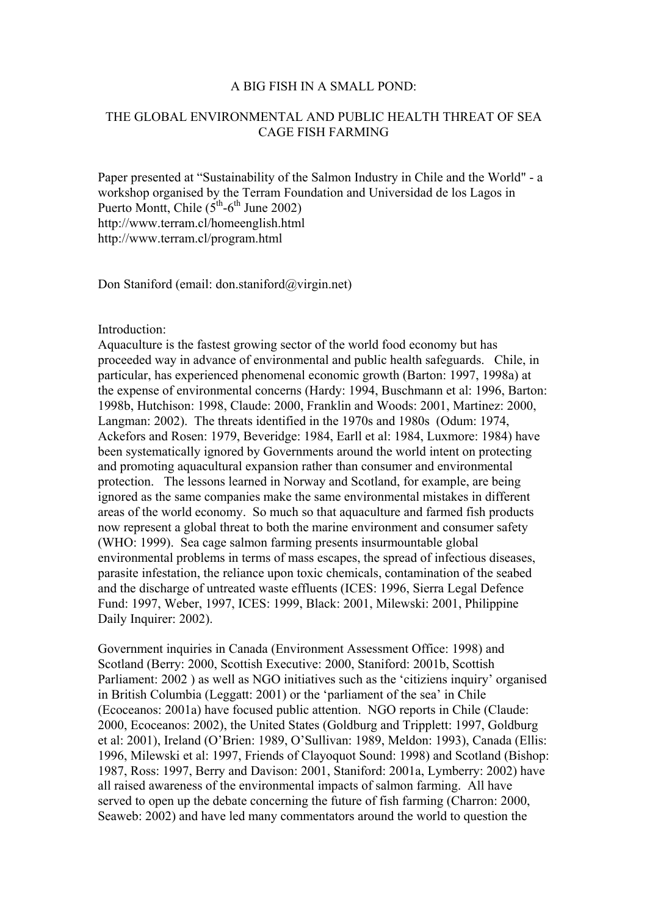## A BIG FISH IN A SMALL POND:

## THE GLOBAL ENVIRONMENTAL AND PUBLIC HEALTH THREAT OF SEA CAGE FISH FARMING

Paper presented at "Sustainability of the Salmon Industry in Chile and the World" - a workshop organised by the Terram Foundation and Universidad de los Lagos in Puerto Montt, Chile  $(5<sup>th</sup>-6<sup>th</sup>$  June 2002) http://www.terram.cl/homeenglish.html http://www.terram.cl/program.html

Don Staniford (email: don.staniford@virgin.net)

# Introduction:

Aquaculture is the fastest growing sector of the world food economy but has proceeded way in advance of environmental and public health safeguards. Chile, in particular, has experienced phenomenal economic growth (Barton: 1997, 1998a) at the expense of environmental concerns (Hardy: 1994, Buschmann et al: 1996, Barton: 1998b, Hutchison: 1998, Claude: 2000, Franklin and Woods: 2001, Martinez: 2000, Langman: 2002). The threats identified in the 1970s and 1980s (Odum: 1974, Ackefors and Rosen: 1979, Beveridge: 1984, Earll et al: 1984, Luxmore: 1984) have been systematically ignored by Governments around the world intent on protecting and promoting aquacultural expansion rather than consumer and environmental protection. The lessons learned in Norway and Scotland, for example, are being ignored as the same companies make the same environmental mistakes in different areas of the world economy. So much so that aquaculture and farmed fish products now represent a global threat to both the marine environment and consumer safety (WHO: 1999). Sea cage salmon farming presents insurmountable global environmental problems in terms of mass escapes, the spread of infectious diseases, parasite infestation, the reliance upon toxic chemicals, contamination of the seabed and the discharge of untreated waste effluents (ICES: 1996, Sierra Legal Defence Fund: 1997, Weber, 1997, ICES: 1999, Black: 2001, Milewski: 2001, Philippine Daily Inquirer: 2002).

Government inquiries in Canada (Environment Assessment Office: 1998) and Scotland (Berry: 2000, Scottish Executive: 2000, Staniford: 2001b, Scottish Parliament: 2002 ) as well as NGO initiatives such as the 'citiziens inquiry' organised in British Columbia (Leggatt: 2001) or the 'parliament of the sea' in Chile (Ecoceanos: 2001a) have focused public attention. NGO reports in Chile (Claude: 2000, Ecoceanos: 2002), the United States (Goldburg and Tripplett: 1997, Goldburg et al: 2001), Ireland (O'Brien: 1989, O'Sullivan: 1989, Meldon: 1993), Canada (Ellis: 1996, Milewski et al: 1997, Friends of Clayoquot Sound: 1998) and Scotland (Bishop: 1987, Ross: 1997, Berry and Davison: 2001, Staniford: 2001a, Lymberry: 2002) have all raised awareness of the environmental impacts of salmon farming. All have served to open up the debate concerning the future of fish farming (Charron: 2000, Seaweb: 2002) and have led many commentators around the world to question the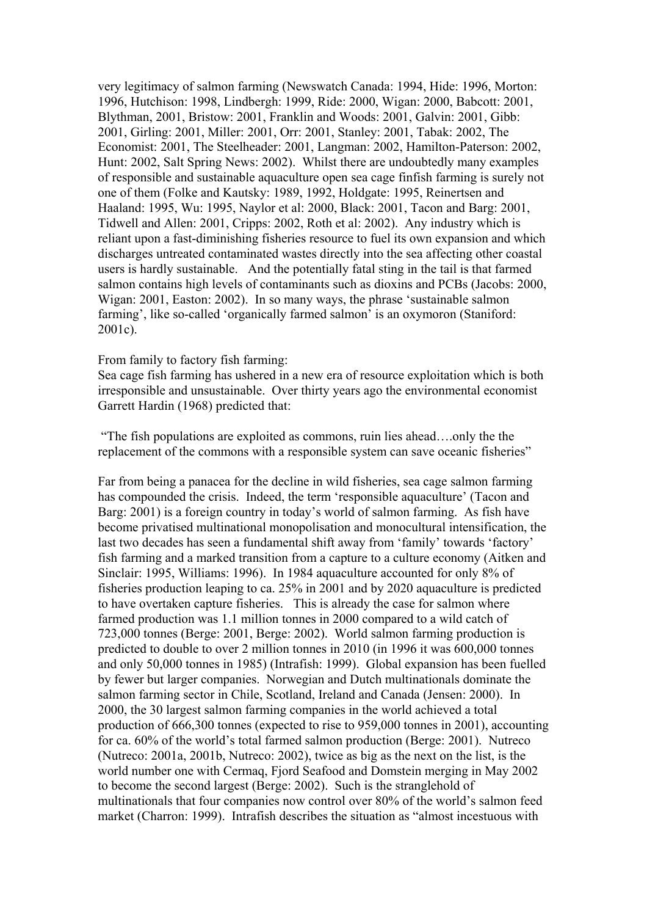very legitimacy of salmon farming (Newswatch Canada: 1994, Hide: 1996, Morton: 1996, Hutchison: 1998, Lindbergh: 1999, Ride: 2000, Wigan: 2000, Babcott: 2001, Blythman, 2001, Bristow: 2001, Franklin and Woods: 2001, Galvin: 2001, Gibb: 2001, Girling: 2001, Miller: 2001, Orr: 2001, Stanley: 2001, Tabak: 2002, The Economist: 2001, The Steelheader: 2001, Langman: 2002, Hamilton-Paterson: 2002, Hunt: 2002, Salt Spring News: 2002). Whilst there are undoubtedly many examples of responsible and sustainable aquaculture open sea cage finfish farming is surely not one of them (Folke and Kautsky: 1989, 1992, Holdgate: 1995, Reinertsen and Haaland: 1995, Wu: 1995, Naylor et al: 2000, Black: 2001, Tacon and Barg: 2001, Tidwell and Allen: 2001, Cripps: 2002, Roth et al: 2002). Any industry which is reliant upon a fast-diminishing fisheries resource to fuel its own expansion and which discharges untreated contaminated wastes directly into the sea affecting other coastal users is hardly sustainable. And the potentially fatal sting in the tail is that farmed salmon contains high levels of contaminants such as dioxins and PCBs (Jacobs: 2000, Wigan: 2001, Easton: 2002). In so many ways, the phrase 'sustainable salmon farming', like so-called 'organically farmed salmon' is an oxymoron (Staniford: 2001c).

#### From family to factory fish farming:

Sea cage fish farming has ushered in a new era of resource exploitation which is both irresponsible and unsustainable. Over thirty years ago the environmental economist Garrett Hardin (1968) predicted that:

 "The fish populations are exploited as commons, ruin lies ahead….only the the replacement of the commons with a responsible system can save oceanic fisheries"

Far from being a panacea for the decline in wild fisheries, sea cage salmon farming has compounded the crisis. Indeed, the term 'responsible aquaculture' (Tacon and Barg: 2001) is a foreign country in today's world of salmon farming. As fish have become privatised multinational monopolisation and monocultural intensification, the last two decades has seen a fundamental shift away from 'family' towards 'factory' fish farming and a marked transition from a capture to a culture economy (Aitken and Sinclair: 1995, Williams: 1996). In 1984 aquaculture accounted for only 8% of fisheries production leaping to ca. 25% in 2001 and by 2020 aquaculture is predicted to have overtaken capture fisheries. This is already the case for salmon where farmed production was 1.1 million tonnes in 2000 compared to a wild catch of 723,000 tonnes (Berge: 2001, Berge: 2002). World salmon farming production is predicted to double to over 2 million tonnes in 2010 (in 1996 it was 600,000 tonnes and only 50,000 tonnes in 1985) (Intrafish: 1999). Global expansion has been fuelled by fewer but larger companies. Norwegian and Dutch multinationals dominate the salmon farming sector in Chile, Scotland, Ireland and Canada (Jensen: 2000). In 2000, the 30 largest salmon farming companies in the world achieved a total production of 666,300 tonnes (expected to rise to 959,000 tonnes in 2001), accounting for ca. 60% of the world's total farmed salmon production (Berge: 2001). Nutreco (Nutreco: 2001a, 2001b, Nutreco: 2002), twice as big as the next on the list, is the world number one with Cermaq, Fjord Seafood and Domstein merging in May 2002 to become the second largest (Berge: 2002). Such is the stranglehold of multinationals that four companies now control over 80% of the world's salmon feed market (Charron: 1999). Intrafish describes the situation as "almost incestuous with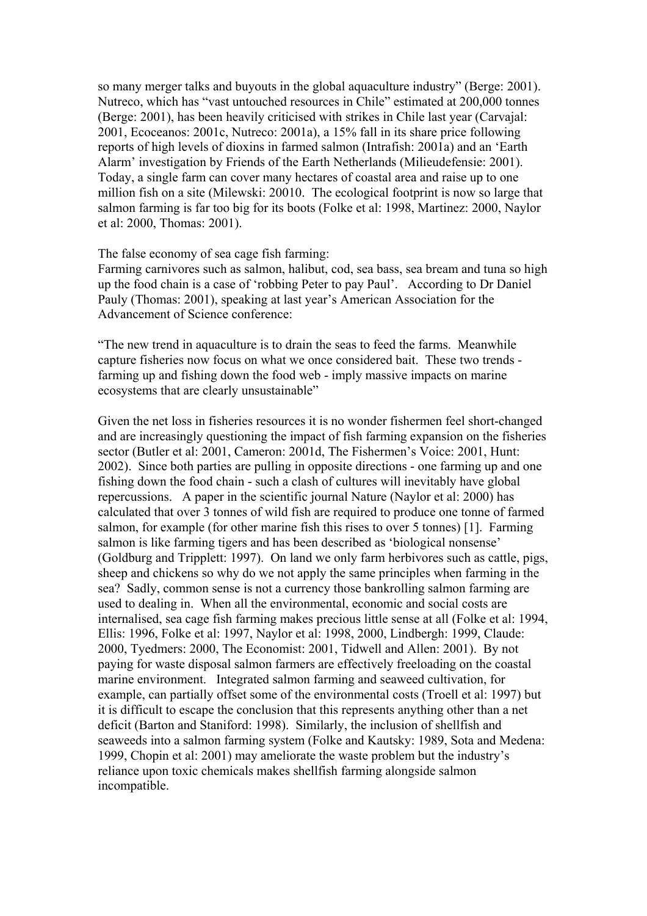so many merger talks and buyouts in the global aquaculture industry" (Berge: 2001). Nutreco, which has "vast untouched resources in Chile" estimated at 200,000 tonnes (Berge: 2001), has been heavily criticised with strikes in Chile last year (Carvajal: 2001, Ecoceanos: 2001c, Nutreco: 2001a), a 15% fall in its share price following reports of high levels of dioxins in farmed salmon (Intrafish: 2001a) and an 'Earth Alarm' investigation by Friends of the Earth Netherlands (Milieudefensie: 2001). Today, a single farm can cover many hectares of coastal area and raise up to one million fish on a site (Milewski: 20010. The ecological footprint is now so large that salmon farming is far too big for its boots (Folke et al: 1998, Martinez: 2000, Naylor et al: 2000, Thomas: 2001).

The false economy of sea cage fish farming:

Farming carnivores such as salmon, halibut, cod, sea bass, sea bream and tuna so high up the food chain is a case of 'robbing Peter to pay Paul'. According to Dr Daniel Pauly (Thomas: 2001), speaking at last year's American Association for the Advancement of Science conference:

"The new trend in aquaculture is to drain the seas to feed the farms. Meanwhile capture fisheries now focus on what we once considered bait. These two trends farming up and fishing down the food web - imply massive impacts on marine ecosystems that are clearly unsustainable"

Given the net loss in fisheries resources it is no wonder fishermen feel short-changed and are increasingly questioning the impact of fish farming expansion on the fisheries sector (Butler et al: 2001, Cameron: 2001d, The Fishermen's Voice: 2001, Hunt: 2002). Since both parties are pulling in opposite directions - one farming up and one fishing down the food chain - such a clash of cultures will inevitably have global repercussions. A paper in the scientific journal Nature (Naylor et al: 2000) has calculated that over 3 tonnes of wild fish are required to produce one tonne of farmed salmon, for example (for other marine fish this rises to over 5 tonnes) [1]. Farming salmon is like farming tigers and has been described as 'biological nonsense' (Goldburg and Tripplett: 1997). On land we only farm herbivores such as cattle, pigs, sheep and chickens so why do we not apply the same principles when farming in the sea? Sadly, common sense is not a currency those bankrolling salmon farming are used to dealing in. When all the environmental, economic and social costs are internalised, sea cage fish farming makes precious little sense at all (Folke et al: 1994, Ellis: 1996, Folke et al: 1997, Naylor et al: 1998, 2000, Lindbergh: 1999, Claude: 2000, Tyedmers: 2000, The Economist: 2001, Tidwell and Allen: 2001). By not paying for waste disposal salmon farmers are effectively freeloading on the coastal marine environment. Integrated salmon farming and seaweed cultivation, for example, can partially offset some of the environmental costs (Troell et al: 1997) but it is difficult to escape the conclusion that this represents anything other than a net deficit (Barton and Staniford: 1998). Similarly, the inclusion of shellfish and seaweeds into a salmon farming system (Folke and Kautsky: 1989, Sota and Medena: 1999, Chopin et al: 2001) may ameliorate the waste problem but the industry's reliance upon toxic chemicals makes shellfish farming alongside salmon incompatible.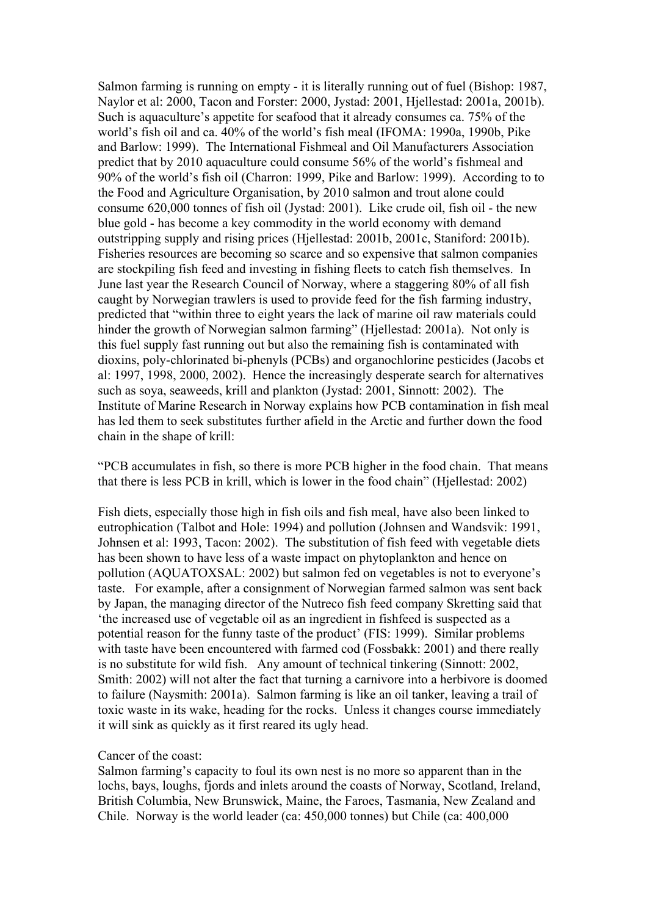Salmon farming is running on empty - it is literally running out of fuel (Bishop: 1987, Naylor et al: 2000, Tacon and Forster: 2000, Jystad: 2001, Hjellestad: 2001a, 2001b). Such is aquaculture's appetite for seafood that it already consumes ca. 75% of the world's fish oil and ca. 40% of the world's fish meal (IFOMA: 1990a, 1990b, Pike and Barlow: 1999). The International Fishmeal and Oil Manufacturers Association predict that by 2010 aquaculture could consume 56% of the world's fishmeal and 90% of the world's fish oil (Charron: 1999, Pike and Barlow: 1999). According to to the Food and Agriculture Organisation, by 2010 salmon and trout alone could consume 620,000 tonnes of fish oil (Jystad: 2001). Like crude oil, fish oil - the new blue gold - has become a key commodity in the world economy with demand outstripping supply and rising prices (Hjellestad: 2001b, 2001c, Staniford: 2001b). Fisheries resources are becoming so scarce and so expensive that salmon companies are stockpiling fish feed and investing in fishing fleets to catch fish themselves. In June last year the Research Council of Norway, where a staggering 80% of all fish caught by Norwegian trawlers is used to provide feed for the fish farming industry, predicted that "within three to eight years the lack of marine oil raw materials could hinder the growth of Norwegian salmon farming" (Hjellestad: 2001a). Not only is this fuel supply fast running out but also the remaining fish is contaminated with dioxins, poly-chlorinated bi-phenyls (PCBs) and organochlorine pesticides (Jacobs et al: 1997, 1998, 2000, 2002). Hence the increasingly desperate search for alternatives such as soya, seaweeds, krill and plankton (Jystad: 2001, Sinnott: 2002). The Institute of Marine Research in Norway explains how PCB contamination in fish meal has led them to seek substitutes further afield in the Arctic and further down the food chain in the shape of krill:

"PCB accumulates in fish, so there is more PCB higher in the food chain. That means that there is less PCB in krill, which is lower in the food chain" (Hjellestad: 2002)

Fish diets, especially those high in fish oils and fish meal, have also been linked to eutrophication (Talbot and Hole: 1994) and pollution (Johnsen and Wandsvik: 1991, Johnsen et al: 1993, Tacon: 2002). The substitution of fish feed with vegetable diets has been shown to have less of a waste impact on phytoplankton and hence on pollution (AQUATOXSAL: 2002) but salmon fed on vegetables is not to everyone's taste. For example, after a consignment of Norwegian farmed salmon was sent back by Japan, the managing director of the Nutreco fish feed company Skretting said that 'the increased use of vegetable oil as an ingredient in fishfeed is suspected as a potential reason for the funny taste of the product' (FIS: 1999). Similar problems with taste have been encountered with farmed cod (Fossbakk: 2001) and there really is no substitute for wild fish. Any amount of technical tinkering (Sinnott: 2002, Smith: 2002) will not alter the fact that turning a carnivore into a herbivore is doomed to failure (Naysmith: 2001a). Salmon farming is like an oil tanker, leaving a trail of toxic waste in its wake, heading for the rocks. Unless it changes course immediately it will sink as quickly as it first reared its ugly head.

## Cancer of the coast:

Salmon farming's capacity to foul its own nest is no more so apparent than in the lochs, bays, loughs, fjords and inlets around the coasts of Norway, Scotland, Ireland, British Columbia, New Brunswick, Maine, the Faroes, Tasmania, New Zealand and Chile. Norway is the world leader (ca: 450,000 tonnes) but Chile (ca: 400,000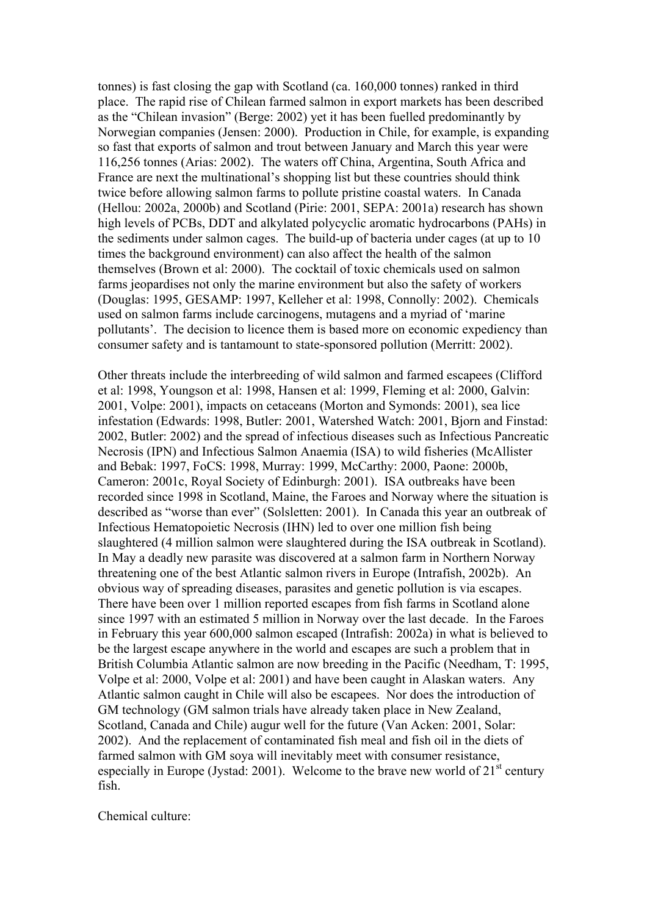tonnes) is fast closing the gap with Scotland (ca. 160,000 tonnes) ranked in third place. The rapid rise of Chilean farmed salmon in export markets has been described as the "Chilean invasion" (Berge: 2002) yet it has been fuelled predominantly by Norwegian companies (Jensen: 2000). Production in Chile, for example, is expanding so fast that exports of salmon and trout between January and March this year were 116,256 tonnes (Arias: 2002). The waters off China, Argentina, South Africa and France are next the multinational's shopping list but these countries should think twice before allowing salmon farms to pollute pristine coastal waters. In Canada (Hellou: 2002a, 2000b) and Scotland (Pirie: 2001, SEPA: 2001a) research has shown high levels of PCBs, DDT and alkylated polycyclic aromatic hydrocarbons (PAHs) in the sediments under salmon cages. The build-up of bacteria under cages (at up to 10 times the background environment) can also affect the health of the salmon themselves (Brown et al: 2000). The cocktail of toxic chemicals used on salmon farms jeopardises not only the marine environment but also the safety of workers (Douglas: 1995, GESAMP: 1997, Kelleher et al: 1998, Connolly: 2002). Chemicals used on salmon farms include carcinogens, mutagens and a myriad of 'marine pollutants'. The decision to licence them is based more on economic expediency than consumer safety and is tantamount to state-sponsored pollution (Merritt: 2002).

Other threats include the interbreeding of wild salmon and farmed escapees (Clifford et al: 1998, Youngson et al: 1998, Hansen et al: 1999, Fleming et al: 2000, Galvin: 2001, Volpe: 2001), impacts on cetaceans (Morton and Symonds: 2001), sea lice infestation (Edwards: 1998, Butler: 2001, Watershed Watch: 2001, Bjorn and Finstad: 2002, Butler: 2002) and the spread of infectious diseases such as Infectious Pancreatic Necrosis (IPN) and Infectious Salmon Anaemia (ISA) to wild fisheries (McAllister and Bebak: 1997, FoCS: 1998, Murray: 1999, McCarthy: 2000, Paone: 2000b, Cameron: 2001c, Royal Society of Edinburgh: 2001). ISA outbreaks have been recorded since 1998 in Scotland, Maine, the Faroes and Norway where the situation is described as "worse than ever" (Solsletten: 2001). In Canada this year an outbreak of Infectious Hematopoietic Necrosis (IHN) led to over one million fish being slaughtered (4 million salmon were slaughtered during the ISA outbreak in Scotland). In May a deadly new parasite was discovered at a salmon farm in Northern Norway threatening one of the best Atlantic salmon rivers in Europe (Intrafish, 2002b). An obvious way of spreading diseases, parasites and genetic pollution is via escapes. There have been over 1 million reported escapes from fish farms in Scotland alone since 1997 with an estimated 5 million in Norway over the last decade. In the Faroes in February this year 600,000 salmon escaped (Intrafish: 2002a) in what is believed to be the largest escape anywhere in the world and escapes are such a problem that in British Columbia Atlantic salmon are now breeding in the Pacific (Needham, T: 1995, Volpe et al: 2000, Volpe et al: 2001) and have been caught in Alaskan waters. Any Atlantic salmon caught in Chile will also be escapees. Nor does the introduction of GM technology (GM salmon trials have already taken place in New Zealand, Scotland, Canada and Chile) augur well for the future (Van Acken: 2001, Solar: 2002). And the replacement of contaminated fish meal and fish oil in the diets of farmed salmon with GM soya will inevitably meet with consumer resistance, especially in Europe (Jystad: 2001). Welcome to the brave new world of  $21<sup>st</sup>$  century fish.

Chemical culture: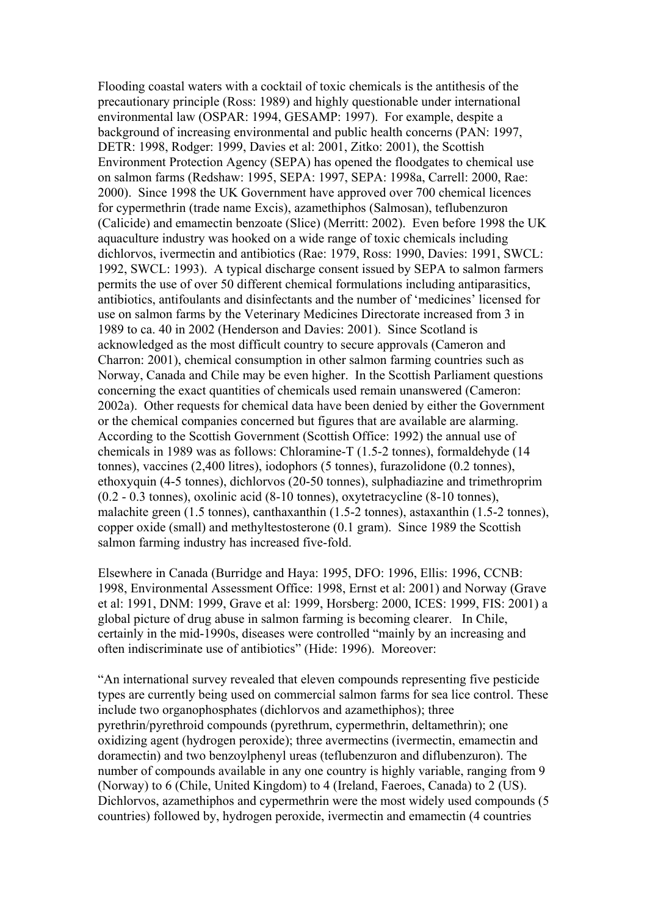Flooding coastal waters with a cocktail of toxic chemicals is the antithesis of the precautionary principle (Ross: 1989) and highly questionable under international environmental law (OSPAR: 1994, GESAMP: 1997). For example, despite a background of increasing environmental and public health concerns (PAN: 1997, DETR: 1998, Rodger: 1999, Davies et al: 2001, Zitko: 2001), the Scottish Environment Protection Agency (SEPA) has opened the floodgates to chemical use on salmon farms (Redshaw: 1995, SEPA: 1997, SEPA: 1998a, Carrell: 2000, Rae: 2000). Since 1998 the UK Government have approved over 700 chemical licences for cypermethrin (trade name Excis), azamethiphos (Salmosan), teflubenzuron (Calicide) and emamectin benzoate (Slice) (Merritt: 2002). Even before 1998 the UK aquaculture industry was hooked on a wide range of toxic chemicals including dichlorvos, ivermectin and antibiotics (Rae: 1979, Ross: 1990, Davies: 1991, SWCL: 1992, SWCL: 1993). A typical discharge consent issued by SEPA to salmon farmers permits the use of over 50 different chemical formulations including antiparasitics, antibiotics, antifoulants and disinfectants and the number of 'medicines' licensed for use on salmon farms by the Veterinary Medicines Directorate increased from 3 in 1989 to ca. 40 in 2002 (Henderson and Davies: 2001). Since Scotland is acknowledged as the most difficult country to secure approvals (Cameron and Charron: 2001), chemical consumption in other salmon farming countries such as Norway, Canada and Chile may be even higher. In the Scottish Parliament questions concerning the exact quantities of chemicals used remain unanswered (Cameron: 2002a). Other requests for chemical data have been denied by either the Government or the chemical companies concerned but figures that are available are alarming. According to the Scottish Government (Scottish Office: 1992) the annual use of chemicals in 1989 was as follows: Chloramine-T (1.5-2 tonnes), formaldehyde (14 tonnes), vaccines (2,400 litres), iodophors (5 tonnes), furazolidone (0.2 tonnes), ethoxyquin (4-5 tonnes), dichlorvos (20-50 tonnes), sulphadiazine and trimethroprim (0.2 - 0.3 tonnes), oxolinic acid (8-10 tonnes), oxytetracycline (8-10 tonnes), malachite green (1.5 tonnes), canthaxanthin (1.5-2 tonnes), astaxanthin (1.5-2 tonnes), copper oxide (small) and methyltestosterone (0.1 gram). Since 1989 the Scottish salmon farming industry has increased five-fold.

Elsewhere in Canada (Burridge and Haya: 1995, DFO: 1996, Ellis: 1996, CCNB: 1998, Environmental Assessment Office: 1998, Ernst et al: 2001) and Norway (Grave et al: 1991, DNM: 1999, Grave et al: 1999, Horsberg: 2000, ICES: 1999, FIS: 2001) a global picture of drug abuse in salmon farming is becoming clearer. In Chile, certainly in the mid-1990s, diseases were controlled "mainly by an increasing and often indiscriminate use of antibiotics" (Hide: 1996). Moreover:

"An international survey revealed that eleven compounds representing five pesticide types are currently being used on commercial salmon farms for sea lice control. These include two organophosphates (dichlorvos and azamethiphos); three pyrethrin/pyrethroid compounds (pyrethrum, cypermethrin, deltamethrin); one oxidizing agent (hydrogen peroxide); three avermectins (ivermectin, emamectin and doramectin) and two benzoylphenyl ureas (teflubenzuron and diflubenzuron). The number of compounds available in any one country is highly variable, ranging from 9 (Norway) to 6 (Chile, United Kingdom) to 4 (Ireland, Faeroes, Canada) to 2 (US). Dichlorvos, azamethiphos and cypermethrin were the most widely used compounds (5 countries) followed by, hydrogen peroxide, ivermectin and emamectin (4 countries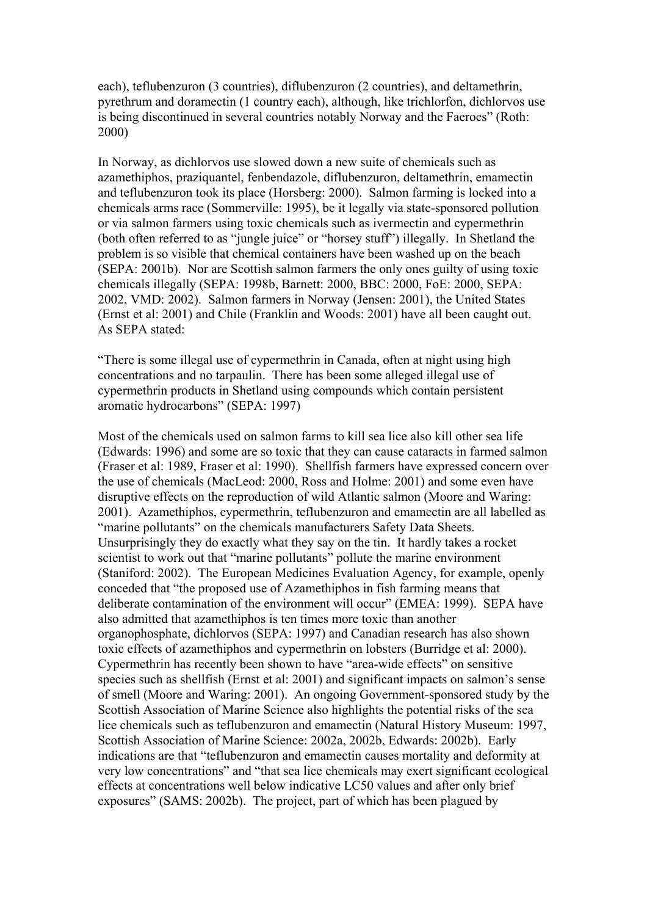each), teflubenzuron (3 countries), diflubenzuron (2 countries), and deltamethrin, pyrethrum and doramectin (1 country each), although, like trichlorfon, dichlorvos use is being discontinued in several countries notably Norway and the Faeroes" (Roth: 2000)

In Norway, as dichlorvos use slowed down a new suite of chemicals such as azamethiphos, praziquantel, fenbendazole, diflubenzuron, deltamethrin, emamectin and teflubenzuron took its place (Horsberg: 2000). Salmon farming is locked into a chemicals arms race (Sommerville: 1995), be it legally via state-sponsored pollution or via salmon farmers using toxic chemicals such as ivermectin and cypermethrin (both often referred to as "jungle juice" or "horsey stuff") illegally. In Shetland the problem is so visible that chemical containers have been washed up on the beach (SEPA: 2001b). Nor are Scottish salmon farmers the only ones guilty of using toxic chemicals illegally (SEPA: 1998b, Barnett: 2000, BBC: 2000, FoE: 2000, SEPA: 2002, VMD: 2002). Salmon farmers in Norway (Jensen: 2001), the United States (Ernst et al: 2001) and Chile (Franklin and Woods: 2001) have all been caught out. As SEPA stated:

"There is some illegal use of cypermethrin in Canada, often at night using high concentrations and no tarpaulin. There has been some alleged illegal use of cypermethrin products in Shetland using compounds which contain persistent aromatic hydrocarbons" (SEPA: 1997)

Most of the chemicals used on salmon farms to kill sea lice also kill other sea life (Edwards: 1996) and some are so toxic that they can cause cataracts in farmed salmon (Fraser et al: 1989, Fraser et al: 1990). Shellfish farmers have expressed concern over the use of chemicals (MacLeod: 2000, Ross and Holme: 2001) and some even have disruptive effects on the reproduction of wild Atlantic salmon (Moore and Waring: 2001). Azamethiphos, cypermethrin, teflubenzuron and emamectin are all labelled as "marine pollutants" on the chemicals manufacturers Safety Data Sheets. Unsurprisingly they do exactly what they say on the tin. It hardly takes a rocket scientist to work out that "marine pollutants" pollute the marine environment (Staniford: 2002). The European Medicines Evaluation Agency, for example, openly conceded that "the proposed use of Azamethiphos in fish farming means that deliberate contamination of the environment will occur" (EMEA: 1999). SEPA have also admitted that azamethiphos is ten times more toxic than another organophosphate, dichlorvos (SEPA: 1997) and Canadian research has also shown toxic effects of azamethiphos and cypermethrin on lobsters (Burridge et al: 2000). Cypermethrin has recently been shown to have "area-wide effects" on sensitive species such as shellfish (Ernst et al: 2001) and significant impacts on salmon's sense of smell (Moore and Waring: 2001). An ongoing Government-sponsored study by the Scottish Association of Marine Science also highlights the potential risks of the sea lice chemicals such as teflubenzuron and emamectin (Natural History Museum: 1997, Scottish Association of Marine Science: 2002a, 2002b, Edwards: 2002b). Early indications are that "teflubenzuron and emamectin causes mortality and deformity at very low concentrations" and "that sea lice chemicals may exert significant ecological effects at concentrations well below indicative LC50 values and after only brief exposures" (SAMS: 2002b). The project, part of which has been plagued by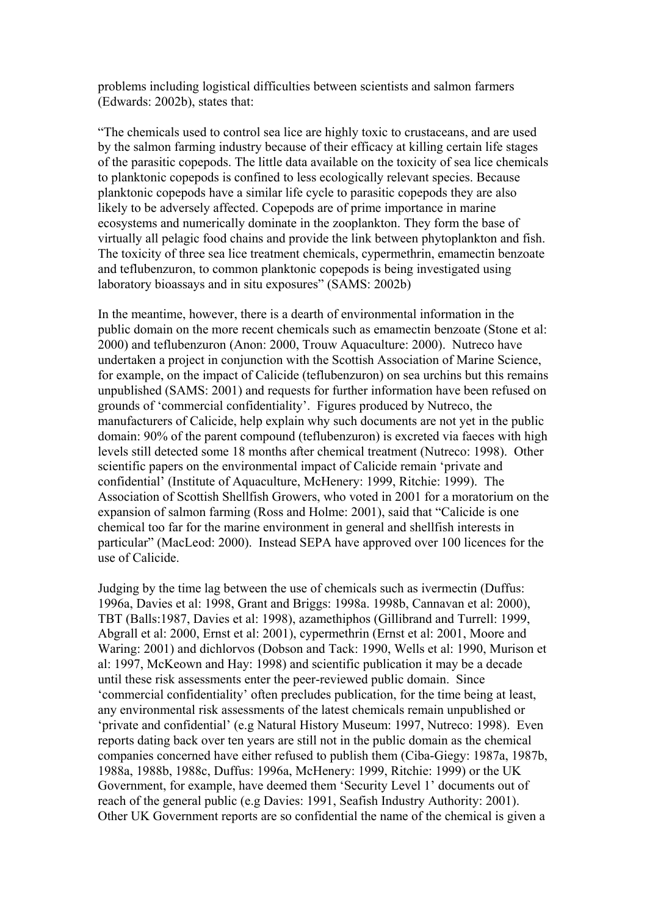problems including logistical difficulties between scientists and salmon farmers (Edwards: 2002b), states that:

"The chemicals used to control sea lice are highly toxic to crustaceans, and are used by the salmon farming industry because of their efficacy at killing certain life stages of the parasitic copepods. The little data available on the toxicity of sea lice chemicals to planktonic copepods is confined to less ecologically relevant species. Because planktonic copepods have a similar life cycle to parasitic copepods they are also likely to be adversely affected. Copepods are of prime importance in marine ecosystems and numerically dominate in the zooplankton. They form the base of virtually all pelagic food chains and provide the link between phytoplankton and fish. The toxicity of three sea lice treatment chemicals, cypermethrin, emamectin benzoate and teflubenzuron, to common planktonic copepods is being investigated using laboratory bioassays and in situ exposures" (SAMS: 2002b)

In the meantime, however, there is a dearth of environmental information in the public domain on the more recent chemicals such as emamectin benzoate (Stone et al: 2000) and teflubenzuron (Anon: 2000, Trouw Aquaculture: 2000). Nutreco have undertaken a project in conjunction with the Scottish Association of Marine Science, for example, on the impact of Calicide (teflubenzuron) on sea urchins but this remains unpublished (SAMS: 2001) and requests for further information have been refused on grounds of 'commercial confidentiality'. Figures produced by Nutreco, the manufacturers of Calicide, help explain why such documents are not yet in the public domain: 90% of the parent compound (teflubenzuron) is excreted via faeces with high levels still detected some 18 months after chemical treatment (Nutreco: 1998). Other scientific papers on the environmental impact of Calicide remain 'private and confidential' (Institute of Aquaculture, McHenery: 1999, Ritchie: 1999). The Association of Scottish Shellfish Growers, who voted in 2001 for a moratorium on the expansion of salmon farming (Ross and Holme: 2001), said that "Calicide is one chemical too far for the marine environment in general and shellfish interests in particular" (MacLeod: 2000). Instead SEPA have approved over 100 licences for the use of Calicide.

Judging by the time lag between the use of chemicals such as ivermectin (Duffus: 1996a, Davies et al: 1998, Grant and Briggs: 1998a. 1998b, Cannavan et al: 2000), TBT (Balls:1987, Davies et al: 1998), azamethiphos (Gillibrand and Turrell: 1999, Abgrall et al: 2000, Ernst et al: 2001), cypermethrin (Ernst et al: 2001, Moore and Waring: 2001) and dichlorvos (Dobson and Tack: 1990, Wells et al: 1990, Murison et al: 1997, McKeown and Hay: 1998) and scientific publication it may be a decade until these risk assessments enter the peer-reviewed public domain. Since 'commercial confidentiality' often precludes publication, for the time being at least, any environmental risk assessments of the latest chemicals remain unpublished or 'private and confidential' (e.g Natural History Museum: 1997, Nutreco: 1998). Even reports dating back over ten years are still not in the public domain as the chemical companies concerned have either refused to publish them (Ciba-Giegy: 1987a, 1987b, 1988a, 1988b, 1988c, Duffus: 1996a, McHenery: 1999, Ritchie: 1999) or the UK Government, for example, have deemed them 'Security Level 1' documents out of reach of the general public (e.g Davies: 1991, Seafish Industry Authority: 2001). Other UK Government reports are so confidential the name of the chemical is given a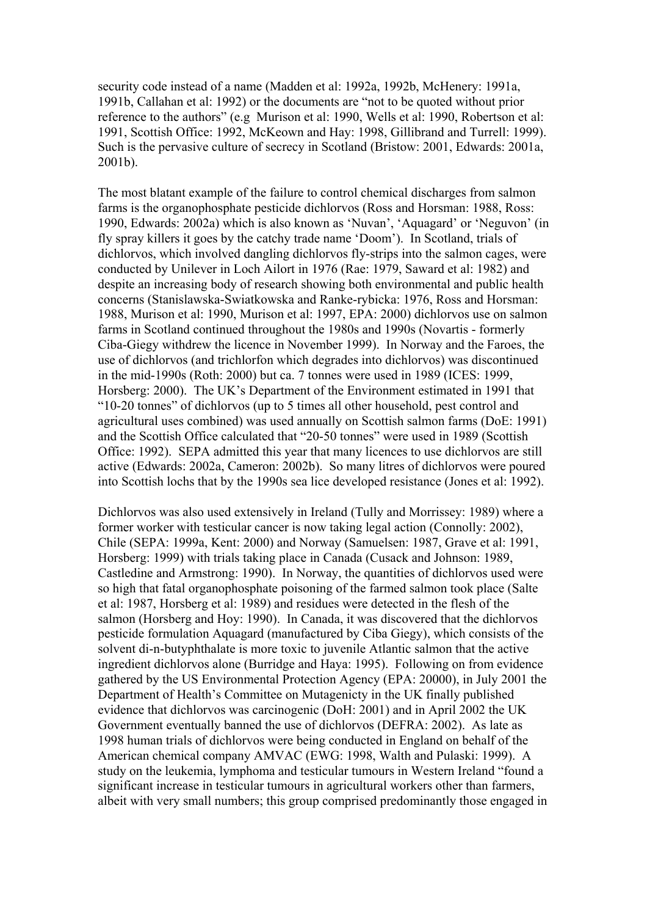security code instead of a name (Madden et al: 1992a, 1992b, McHenery: 1991a, 1991b, Callahan et al: 1992) or the documents are "not to be quoted without prior reference to the authors" (e.g Murison et al: 1990, Wells et al: 1990, Robertson et al: 1991, Scottish Office: 1992, McKeown and Hay: 1998, Gillibrand and Turrell: 1999). Such is the pervasive culture of secrecy in Scotland (Bristow: 2001, Edwards: 2001a, 2001b).

The most blatant example of the failure to control chemical discharges from salmon farms is the organophosphate pesticide dichlorvos (Ross and Horsman: 1988, Ross: 1990, Edwards: 2002a) which is also known as 'Nuvan', 'Aquagard' or 'Neguvon' (in fly spray killers it goes by the catchy trade name 'Doom'). In Scotland, trials of dichlorvos, which involved dangling dichlorvos fly-strips into the salmon cages, were conducted by Unilever in Loch Ailort in 1976 (Rae: 1979, Saward et al: 1982) and despite an increasing body of research showing both environmental and public health concerns (Stanislawska-Swiatkowska and Ranke-rybicka: 1976, Ross and Horsman: 1988, Murison et al: 1990, Murison et al: 1997, EPA: 2000) dichlorvos use on salmon farms in Scotland continued throughout the 1980s and 1990s (Novartis - formerly Ciba-Giegy withdrew the licence in November 1999). In Norway and the Faroes, the use of dichlorvos (and trichlorfon which degrades into dichlorvos) was discontinued in the mid-1990s (Roth: 2000) but ca. 7 tonnes were used in 1989 (ICES: 1999, Horsberg: 2000). The UK's Department of the Environment estimated in 1991 that "10-20 tonnes" of dichlorvos (up to 5 times all other household, pest control and agricultural uses combined) was used annually on Scottish salmon farms (DoE: 1991) and the Scottish Office calculated that "20-50 tonnes" were used in 1989 (Scottish Office: 1992). SEPA admitted this year that many licences to use dichlorvos are still active (Edwards: 2002a, Cameron: 2002b). So many litres of dichlorvos were poured into Scottish lochs that by the 1990s sea lice developed resistance (Jones et al: 1992).

Dichlorvos was also used extensively in Ireland (Tully and Morrissey: 1989) where a former worker with testicular cancer is now taking legal action (Connolly: 2002), Chile (SEPA: 1999a, Kent: 2000) and Norway (Samuelsen: 1987, Grave et al: 1991, Horsberg: 1999) with trials taking place in Canada (Cusack and Johnson: 1989, Castledine and Armstrong: 1990). In Norway, the quantities of dichlorvos used were so high that fatal organophosphate poisoning of the farmed salmon took place (Salte et al: 1987, Horsberg et al: 1989) and residues were detected in the flesh of the salmon (Horsberg and Hoy: 1990). In Canada, it was discovered that the dichlorvos pesticide formulation Aquagard (manufactured by Ciba Giegy), which consists of the solvent di-n-butyphthalate is more toxic to juvenile Atlantic salmon that the active ingredient dichlorvos alone (Burridge and Haya: 1995). Following on from evidence gathered by the US Environmental Protection Agency (EPA: 20000), in July 2001 the Department of Health's Committee on Mutagenicty in the UK finally published evidence that dichlorvos was carcinogenic (DoH: 2001) and in April 2002 the UK Government eventually banned the use of dichlorvos (DEFRA: 2002). As late as 1998 human trials of dichlorvos were being conducted in England on behalf of the American chemical company AMVAC (EWG: 1998, Walth and Pulaski: 1999). A study on the leukemia, lymphoma and testicular tumours in Western Ireland "found a significant increase in testicular tumours in agricultural workers other than farmers, albeit with very small numbers; this group comprised predominantly those engaged in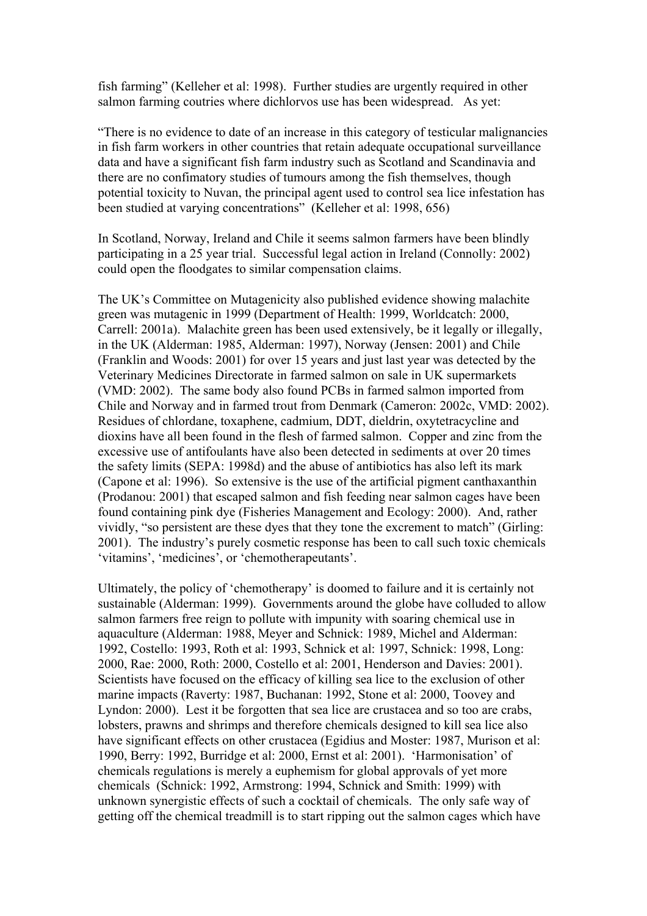fish farming" (Kelleher et al: 1998). Further studies are urgently required in other salmon farming coutries where dichlorvos use has been widespread. As yet:

"There is no evidence to date of an increase in this category of testicular malignancies in fish farm workers in other countries that retain adequate occupational surveillance data and have a significant fish farm industry such as Scotland and Scandinavia and there are no confimatory studies of tumours among the fish themselves, though potential toxicity to Nuvan, the principal agent used to control sea lice infestation has been studied at varying concentrations" (Kelleher et al: 1998, 656)

In Scotland, Norway, Ireland and Chile it seems salmon farmers have been blindly participating in a 25 year trial. Successful legal action in Ireland (Connolly: 2002) could open the floodgates to similar compensation claims.

The UK's Committee on Mutagenicity also published evidence showing malachite green was mutagenic in 1999 (Department of Health: 1999, Worldcatch: 2000, Carrell: 2001a). Malachite green has been used extensively, be it legally or illegally, in the UK (Alderman: 1985, Alderman: 1997), Norway (Jensen: 2001) and Chile (Franklin and Woods: 2001) for over 15 years and just last year was detected by the Veterinary Medicines Directorate in farmed salmon on sale in UK supermarkets (VMD: 2002). The same body also found PCBs in farmed salmon imported from Chile and Norway and in farmed trout from Denmark (Cameron: 2002c, VMD: 2002). Residues of chlordane, toxaphene, cadmium, DDT, dieldrin, oxytetracycline and dioxins have all been found in the flesh of farmed salmon. Copper and zinc from the excessive use of antifoulants have also been detected in sediments at over 20 times the safety limits (SEPA: 1998d) and the abuse of antibiotics has also left its mark (Capone et al: 1996). So extensive is the use of the artificial pigment canthaxanthin (Prodanou: 2001) that escaped salmon and fish feeding near salmon cages have been found containing pink dye (Fisheries Management and Ecology: 2000). And, rather vividly, "so persistent are these dyes that they tone the excrement to match" (Girling: 2001). The industry's purely cosmetic response has been to call such toxic chemicals 'vitamins', 'medicines', or 'chemotherapeutants'.

Ultimately, the policy of 'chemotherapy' is doomed to failure and it is certainly not sustainable (Alderman: 1999). Governments around the globe have colluded to allow salmon farmers free reign to pollute with impunity with soaring chemical use in aquaculture (Alderman: 1988, Meyer and Schnick: 1989, Michel and Alderman: 1992, Costello: 1993, Roth et al: 1993, Schnick et al: 1997, Schnick: 1998, Long: 2000, Rae: 2000, Roth: 2000, Costello et al: 2001, Henderson and Davies: 2001). Scientists have focused on the efficacy of killing sea lice to the exclusion of other marine impacts (Raverty: 1987, Buchanan: 1992, Stone et al: 2000, Toovey and Lyndon: 2000). Lest it be forgotten that sea lice are crustacea and so too are crabs, lobsters, prawns and shrimps and therefore chemicals designed to kill sea lice also have significant effects on other crustacea (Egidius and Moster: 1987, Murison et al: 1990, Berry: 1992, Burridge et al: 2000, Ernst et al: 2001). 'Harmonisation' of chemicals regulations is merely a euphemism for global approvals of yet more chemicals (Schnick: 1992, Armstrong: 1994, Schnick and Smith: 1999) with unknown synergistic effects of such a cocktail of chemicals. The only safe way of getting off the chemical treadmill is to start ripping out the salmon cages which have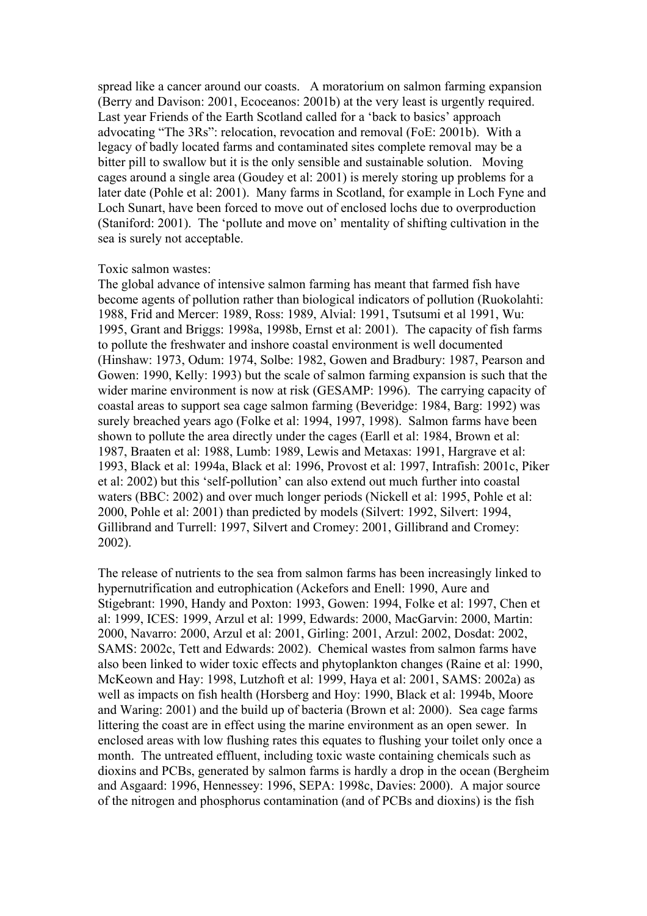spread like a cancer around our coasts. A moratorium on salmon farming expansion (Berry and Davison: 2001, Ecoceanos: 2001b) at the very least is urgently required. Last year Friends of the Earth Scotland called for a 'back to basics' approach advocating "The 3Rs": relocation, revocation and removal (FoE: 2001b). With a legacy of badly located farms and contaminated sites complete removal may be a bitter pill to swallow but it is the only sensible and sustainable solution. Moving cages around a single area (Goudey et al: 2001) is merely storing up problems for a later date (Pohle et al: 2001). Many farms in Scotland, for example in Loch Fyne and Loch Sunart, have been forced to move out of enclosed lochs due to overproduction (Staniford: 2001). The 'pollute and move on' mentality of shifting cultivation in the sea is surely not acceptable.

## Toxic salmon wastes:

The global advance of intensive salmon farming has meant that farmed fish have become agents of pollution rather than biological indicators of pollution (Ruokolahti: 1988, Frid and Mercer: 1989, Ross: 1989, Alvial: 1991, Tsutsumi et al 1991, Wu: 1995, Grant and Briggs: 1998a, 1998b, Ernst et al: 2001). The capacity of fish farms to pollute the freshwater and inshore coastal environment is well documented (Hinshaw: 1973, Odum: 1974, Solbe: 1982, Gowen and Bradbury: 1987, Pearson and Gowen: 1990, Kelly: 1993) but the scale of salmon farming expansion is such that the wider marine environment is now at risk (GESAMP: 1996). The carrying capacity of coastal areas to support sea cage salmon farming (Beveridge: 1984, Barg: 1992) was surely breached years ago (Folke et al: 1994, 1997, 1998). Salmon farms have been shown to pollute the area directly under the cages (Earll et al: 1984, Brown et al: 1987, Braaten et al: 1988, Lumb: 1989, Lewis and Metaxas: 1991, Hargrave et al: 1993, Black et al: 1994a, Black et al: 1996, Provost et al: 1997, Intrafish: 2001c, Piker et al: 2002) but this 'self-pollution' can also extend out much further into coastal waters (BBC: 2002) and over much longer periods (Nickell et al: 1995, Pohle et al: 2000, Pohle et al: 2001) than predicted by models (Silvert: 1992, Silvert: 1994, Gillibrand and Turrell: 1997, Silvert and Cromey: 2001, Gillibrand and Cromey: 2002).

The release of nutrients to the sea from salmon farms has been increasingly linked to hypernutrification and eutrophication (Ackefors and Enell: 1990, Aure and Stigebrant: 1990, Handy and Poxton: 1993, Gowen: 1994, Folke et al: 1997, Chen et al: 1999, ICES: 1999, Arzul et al: 1999, Edwards: 2000, MacGarvin: 2000, Martin: 2000, Navarro: 2000, Arzul et al: 2001, Girling: 2001, Arzul: 2002, Dosdat: 2002, SAMS: 2002c, Tett and Edwards: 2002). Chemical wastes from salmon farms have also been linked to wider toxic effects and phytoplankton changes (Raine et al: 1990, McKeown and Hay: 1998, Lutzhoft et al: 1999, Haya et al: 2001, SAMS: 2002a) as well as impacts on fish health (Horsberg and Hoy: 1990, Black et al: 1994b, Moore and Waring: 2001) and the build up of bacteria (Brown et al: 2000). Sea cage farms littering the coast are in effect using the marine environment as an open sewer. In enclosed areas with low flushing rates this equates to flushing your toilet only once a month. The untreated effluent, including toxic waste containing chemicals such as dioxins and PCBs, generated by salmon farms is hardly a drop in the ocean (Bergheim and Asgaard: 1996, Hennessey: 1996, SEPA: 1998c, Davies: 2000). A major source of the nitrogen and phosphorus contamination (and of PCBs and dioxins) is the fish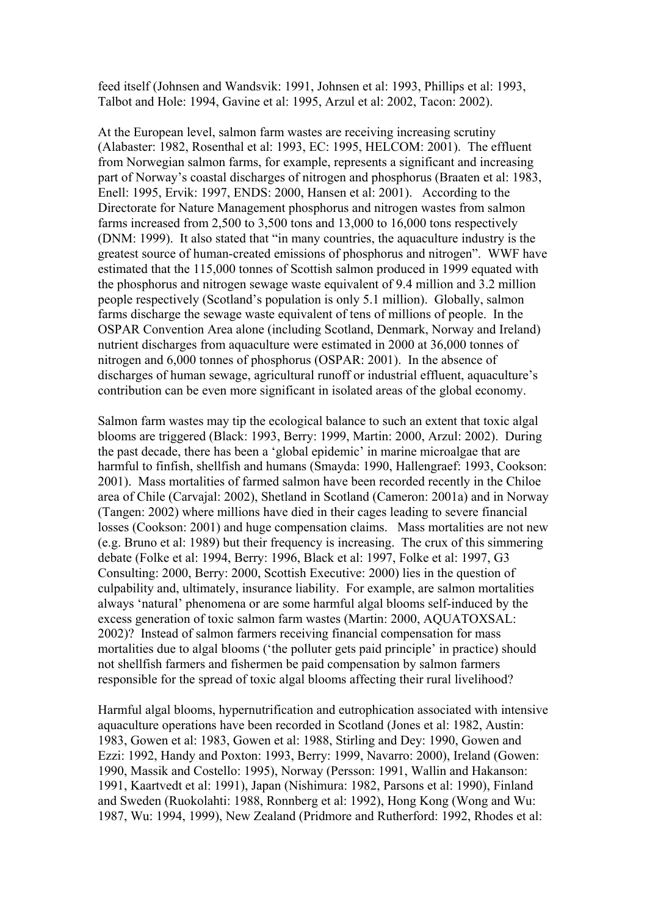feed itself (Johnsen and Wandsvik: 1991, Johnsen et al: 1993, Phillips et al: 1993, Talbot and Hole: 1994, Gavine et al: 1995, Arzul et al: 2002, Tacon: 2002).

At the European level, salmon farm wastes are receiving increasing scrutiny (Alabaster: 1982, Rosenthal et al: 1993, EC: 1995, HELCOM: 2001). The effluent from Norwegian salmon farms, for example, represents a significant and increasing part of Norway's coastal discharges of nitrogen and phosphorus (Braaten et al: 1983, Enell: 1995, Ervik: 1997, ENDS: 2000, Hansen et al: 2001). According to the Directorate for Nature Management phosphorus and nitrogen wastes from salmon farms increased from 2,500 to 3,500 tons and 13,000 to 16,000 tons respectively (DNM: 1999). It also stated that "in many countries, the aquaculture industry is the greatest source of human-created emissions of phosphorus and nitrogen". WWF have estimated that the 115,000 tonnes of Scottish salmon produced in 1999 equated with the phosphorus and nitrogen sewage waste equivalent of 9.4 million and 3.2 million people respectively (Scotland's population is only 5.1 million). Globally, salmon farms discharge the sewage waste equivalent of tens of millions of people. In the OSPAR Convention Area alone (including Scotland, Denmark, Norway and Ireland) nutrient discharges from aquaculture were estimated in 2000 at 36,000 tonnes of nitrogen and 6,000 tonnes of phosphorus (OSPAR: 2001). In the absence of discharges of human sewage, agricultural runoff or industrial effluent, aquaculture's contribution can be even more significant in isolated areas of the global economy.

Salmon farm wastes may tip the ecological balance to such an extent that toxic algal blooms are triggered (Black: 1993, Berry: 1999, Martin: 2000, Arzul: 2002). During the past decade, there has been a 'global epidemic' in marine microalgae that are harmful to finfish, shellfish and humans (Smayda: 1990, Hallengraef: 1993, Cookson: 2001). Mass mortalities of farmed salmon have been recorded recently in the Chiloe area of Chile (Carvajal: 2002), Shetland in Scotland (Cameron: 2001a) and in Norway (Tangen: 2002) where millions have died in their cages leading to severe financial losses (Cookson: 2001) and huge compensation claims. Mass mortalities are not new (e.g. Bruno et al: 1989) but their frequency is increasing. The crux of this simmering debate (Folke et al: 1994, Berry: 1996, Black et al: 1997, Folke et al: 1997, G3 Consulting: 2000, Berry: 2000, Scottish Executive: 2000) lies in the question of culpability and, ultimately, insurance liability. For example, are salmon mortalities always 'natural' phenomena or are some harmful algal blooms self-induced by the excess generation of toxic salmon farm wastes (Martin: 2000, AQUATOXSAL: 2002)? Instead of salmon farmers receiving financial compensation for mass mortalities due to algal blooms ('the polluter gets paid principle' in practice) should not shellfish farmers and fishermen be paid compensation by salmon farmers responsible for the spread of toxic algal blooms affecting their rural livelihood?

Harmful algal blooms, hypernutrification and eutrophication associated with intensive aquaculture operations have been recorded in Scotland (Jones et al: 1982, Austin: 1983, Gowen et al: 1983, Gowen et al: 1988, Stirling and Dey: 1990, Gowen and Ezzi: 1992, Handy and Poxton: 1993, Berry: 1999, Navarro: 2000), Ireland (Gowen: 1990, Massik and Costello: 1995), Norway (Persson: 1991, Wallin and Hakanson: 1991, Kaartvedt et al: 1991), Japan (Nishimura: 1982, Parsons et al: 1990), Finland and Sweden (Ruokolahti: 1988, Ronnberg et al: 1992), Hong Kong (Wong and Wu: 1987, Wu: 1994, 1999), New Zealand (Pridmore and Rutherford: 1992, Rhodes et al: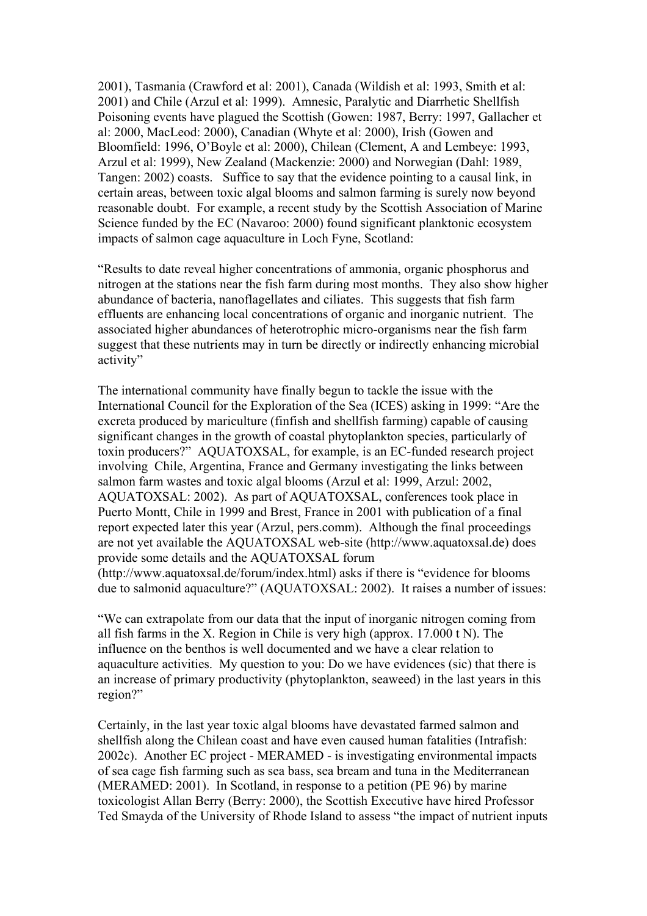2001), Tasmania (Crawford et al: 2001), Canada (Wildish et al: 1993, Smith et al: 2001) and Chile (Arzul et al: 1999). Amnesic, Paralytic and Diarrhetic Shellfish Poisoning events have plagued the Scottish (Gowen: 1987, Berry: 1997, Gallacher et al: 2000, MacLeod: 2000), Canadian (Whyte et al: 2000), Irish (Gowen and Bloomfield: 1996, O'Boyle et al: 2000), Chilean (Clement, A and Lembeye: 1993, Arzul et al: 1999), New Zealand (Mackenzie: 2000) and Norwegian (Dahl: 1989, Tangen: 2002) coasts. Suffice to say that the evidence pointing to a causal link, in certain areas, between toxic algal blooms and salmon farming is surely now beyond reasonable doubt. For example, a recent study by the Scottish Association of Marine Science funded by the EC (Navaroo: 2000) found significant planktonic ecosystem impacts of salmon cage aquaculture in Loch Fyne, Scotland:

"Results to date reveal higher concentrations of ammonia, organic phosphorus and nitrogen at the stations near the fish farm during most months. They also show higher abundance of bacteria, nanoflagellates and ciliates. This suggests that fish farm effluents are enhancing local concentrations of organic and inorganic nutrient. The associated higher abundances of heterotrophic micro-organisms near the fish farm suggest that these nutrients may in turn be directly or indirectly enhancing microbial activity"

The international community have finally begun to tackle the issue with the International Council for the Exploration of the Sea (ICES) asking in 1999: "Are the excreta produced by mariculture (finfish and shellfish farming) capable of causing significant changes in the growth of coastal phytoplankton species, particularly of toxin producers?" AQUATOXSAL, for example, is an EC-funded research project involving Chile, Argentina, France and Germany investigating the links between salmon farm wastes and toxic algal blooms (Arzul et al: 1999, Arzul: 2002, AQUATOXSAL: 2002). As part of AQUATOXSAL, conferences took place in Puerto Montt, Chile in 1999 and Brest, France in 2001 with publication of a final report expected later this year (Arzul, pers.comm). Although the final proceedings are not yet available the AQUATOXSAL web-site (http://www.aquatoxsal.de) does provide some details and the AQUATOXSAL forum (http://www.aquatoxsal.de/forum/index.html) asks if there is "evidence for blooms due to salmonid aquaculture?" (AQUATOXSAL: 2002). It raises a number of issues:

"We can extrapolate from our data that the input of inorganic nitrogen coming from all fish farms in the X. Region in Chile is very high (approx. 17.000 t N). The influence on the benthos is well documented and we have a clear relation to aquaculture activities. My question to you: Do we have evidences (sic) that there is an increase of primary productivity (phytoplankton, seaweed) in the last years in this region?"

Certainly, in the last year toxic algal blooms have devastated farmed salmon and shellfish along the Chilean coast and have even caused human fatalities (Intrafish: 2002c). Another EC project - MERAMED - is investigating environmental impacts of sea cage fish farming such as sea bass, sea bream and tuna in the Mediterranean (MERAMED: 2001). In Scotland, in response to a petition (PE 96) by marine toxicologist Allan Berry (Berry: 2000), the Scottish Executive have hired Professor Ted Smayda of the University of Rhode Island to assess "the impact of nutrient inputs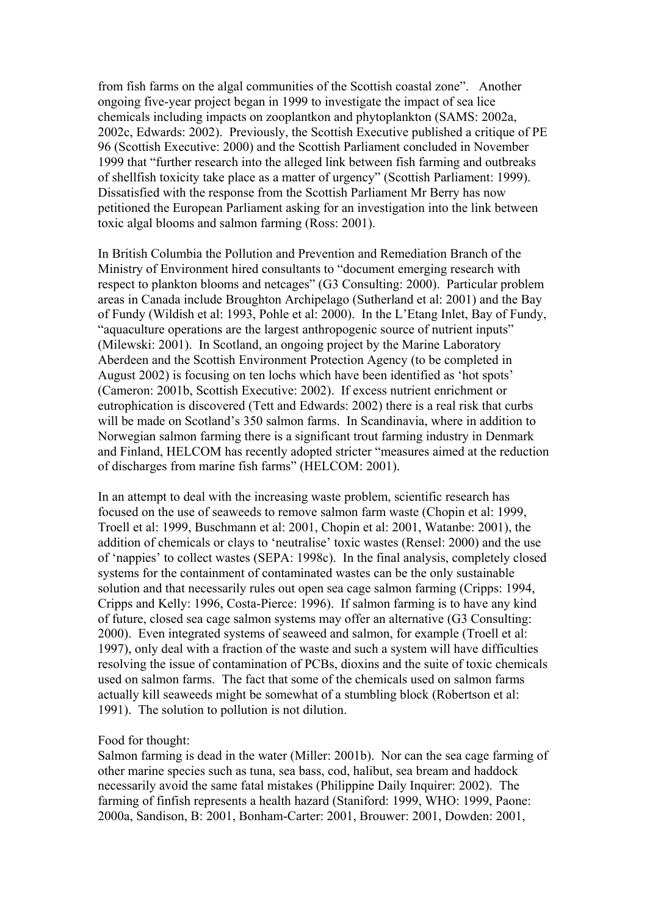from fish farms on the algal communities of the Scottish coastal zone". Another ongoing five-year project began in 1999 to investigate the impact of sea lice chemicals including impacts on zooplantkon and phytoplankton (SAMS: 2002a, 2002c, Edwards: 2002). Previously, the Scottish Executive published a critique of PE 96 (Scottish Executive: 2000) and the Scottish Parliament concluded in November 1999 that "further research into the alleged link between fish farming and outbreaks of shellfish toxicity take place as a matter of urgency" (Scottish Parliament: 1999). Dissatisfied with the response from the Scottish Parliament Mr Berry has now petitioned the European Parliament asking for an investigation into the link between toxic algal blooms and salmon farming (Ross: 2001).

In British Columbia the Pollution and Prevention and Remediation Branch of the Ministry of Environment hired consultants to "document emerging research with respect to plankton blooms and netcages" (G3 Consulting: 2000). Particular problem areas in Canada include Broughton Archipelago (Sutherland et al: 2001) and the Bay of Fundy (Wildish et al: 1993, Pohle et al: 2000). In the L'Etang Inlet, Bay of Fundy, "aquaculture operations are the largest anthropogenic source of nutrient inputs" (Milewski: 2001). In Scotland, an ongoing project by the Marine Laboratory Aberdeen and the Scottish Environment Protection Agency (to be completed in August 2002) is focusing on ten lochs which have been identified as 'hot spots' (Cameron: 2001b, Scottish Executive: 2002). If excess nutrient enrichment or eutrophication is discovered (Tett and Edwards: 2002) there is a real risk that curbs will be made on Scotland's 350 salmon farms. In Scandinavia, where in addition to Norwegian salmon farming there is a significant trout farming industry in Denmark and Finland, HELCOM has recently adopted stricter "measures aimed at the reduction of discharges from marine fish farms" (HELCOM: 2001).

In an attempt to deal with the increasing waste problem, scientific research has focused on the use of seaweeds to remove salmon farm waste (Chopin et al: 1999, Troell et al: 1999, Buschmann et al: 2001, Chopin et al: 2001, Watanbe: 2001), the addition of chemicals or clays to 'neutralise' toxic wastes (Rensel: 2000) and the use of 'nappies' to collect wastes (SEPA: 1998c). In the final analysis, completely closed systems for the containment of contaminated wastes can be the only sustainable solution and that necessarily rules out open sea cage salmon farming (Cripps: 1994, Cripps and Kelly: 1996, Costa-Pierce: 1996). If salmon farming is to have any kind of future, closed sea cage salmon systems may offer an alternative (G3 Consulting: 2000). Even integrated systems of seaweed and salmon, for example (Troell et al: 1997), only deal with a fraction of the waste and such a system will have difficulties resolving the issue of contamination of PCBs, dioxins and the suite of toxic chemicals used on salmon farms. The fact that some of the chemicals used on salmon farms actually kill seaweeds might be somewhat of a stumbling block (Robertson et al: 1991). The solution to pollution is not dilution.

Food for thought:

Salmon farming is dead in the water (Miller: 2001b). Nor can the sea cage farming of other marine species such as tuna, sea bass, cod, halibut, sea bream and haddock necessarily avoid the same fatal mistakes (Philippine Daily Inquirer: 2002). The farming of finfish represents a health hazard (Staniford: 1999, WHO: 1999, Paone: 2000a, Sandison, B: 2001, Bonham-Carter: 2001, Brouwer: 2001, Dowden: 2001,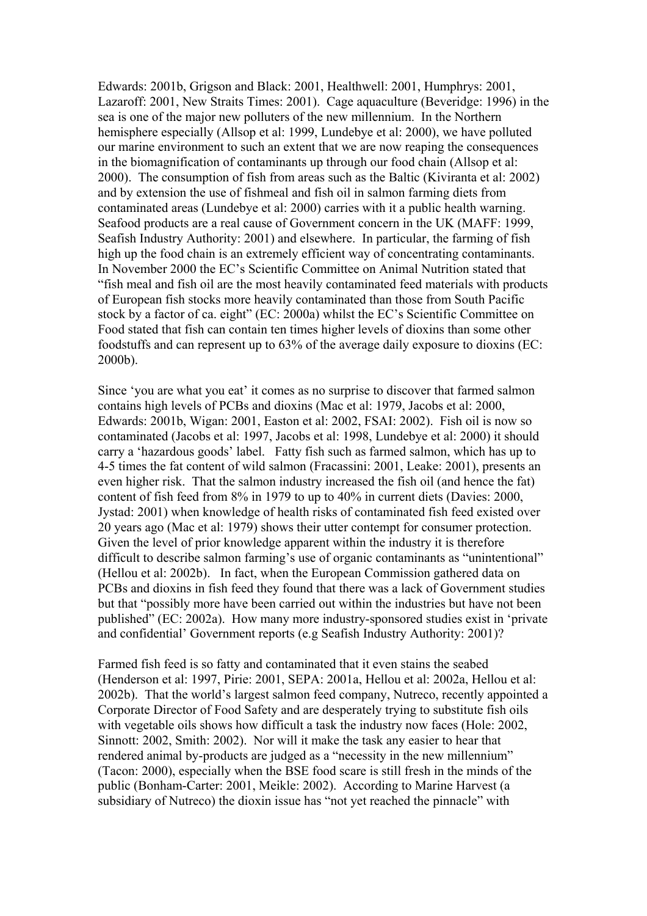Edwards: 2001b, Grigson and Black: 2001, Healthwell: 2001, Humphrys: 2001, Lazaroff: 2001, New Straits Times: 2001). Cage aquaculture (Beveridge: 1996) in the sea is one of the major new polluters of the new millennium. In the Northern hemisphere especially (Allsop et al: 1999, Lundebye et al: 2000), we have polluted our marine environment to such an extent that we are now reaping the consequences in the biomagnification of contaminants up through our food chain (Allsop et al: 2000). The consumption of fish from areas such as the Baltic (Kiviranta et al: 2002) and by extension the use of fishmeal and fish oil in salmon farming diets from contaminated areas (Lundebye et al: 2000) carries with it a public health warning. Seafood products are a real cause of Government concern in the UK (MAFF: 1999, Seafish Industry Authority: 2001) and elsewhere. In particular, the farming of fish high up the food chain is an extremely efficient way of concentrating contaminants. In November 2000 the EC's Scientific Committee on Animal Nutrition stated that "fish meal and fish oil are the most heavily contaminated feed materials with products of European fish stocks more heavily contaminated than those from South Pacific stock by a factor of ca. eight" (EC: 2000a) whilst the EC's Scientific Committee on Food stated that fish can contain ten times higher levels of dioxins than some other foodstuffs and can represent up to 63% of the average daily exposure to dioxins (EC: 2000b).

Since 'you are what you eat' it comes as no surprise to discover that farmed salmon contains high levels of PCBs and dioxins (Mac et al: 1979, Jacobs et al: 2000, Edwards: 2001b, Wigan: 2001, Easton et al: 2002, FSAI: 2002). Fish oil is now so contaminated (Jacobs et al: 1997, Jacobs et al: 1998, Lundebye et al: 2000) it should carry a 'hazardous goods' label. Fatty fish such as farmed salmon, which has up to 4-5 times the fat content of wild salmon (Fracassini: 2001, Leake: 2001), presents an even higher risk. That the salmon industry increased the fish oil (and hence the fat) content of fish feed from 8% in 1979 to up to 40% in current diets (Davies: 2000, Jystad: 2001) when knowledge of health risks of contaminated fish feed existed over 20 years ago (Mac et al: 1979) shows their utter contempt for consumer protection. Given the level of prior knowledge apparent within the industry it is therefore difficult to describe salmon farming's use of organic contaminants as "unintentional" (Hellou et al: 2002b). In fact, when the European Commission gathered data on PCBs and dioxins in fish feed they found that there was a lack of Government studies but that "possibly more have been carried out within the industries but have not been published" (EC: 2002a). How many more industry-sponsored studies exist in 'private and confidential' Government reports (e.g Seafish Industry Authority: 2001)?

Farmed fish feed is so fatty and contaminated that it even stains the seabed (Henderson et al: 1997, Pirie: 2001, SEPA: 2001a, Hellou et al: 2002a, Hellou et al: 2002b). That the world's largest salmon feed company, Nutreco, recently appointed a Corporate Director of Food Safety and are desperately trying to substitute fish oils with vegetable oils shows how difficult a task the industry now faces (Hole: 2002, Sinnott: 2002, Smith: 2002). Nor will it make the task any easier to hear that rendered animal by-products are judged as a "necessity in the new millennium" (Tacon: 2000), especially when the BSE food scare is still fresh in the minds of the public (Bonham-Carter: 2001, Meikle: 2002). According to Marine Harvest (a subsidiary of Nutreco) the dioxin issue has "not yet reached the pinnacle" with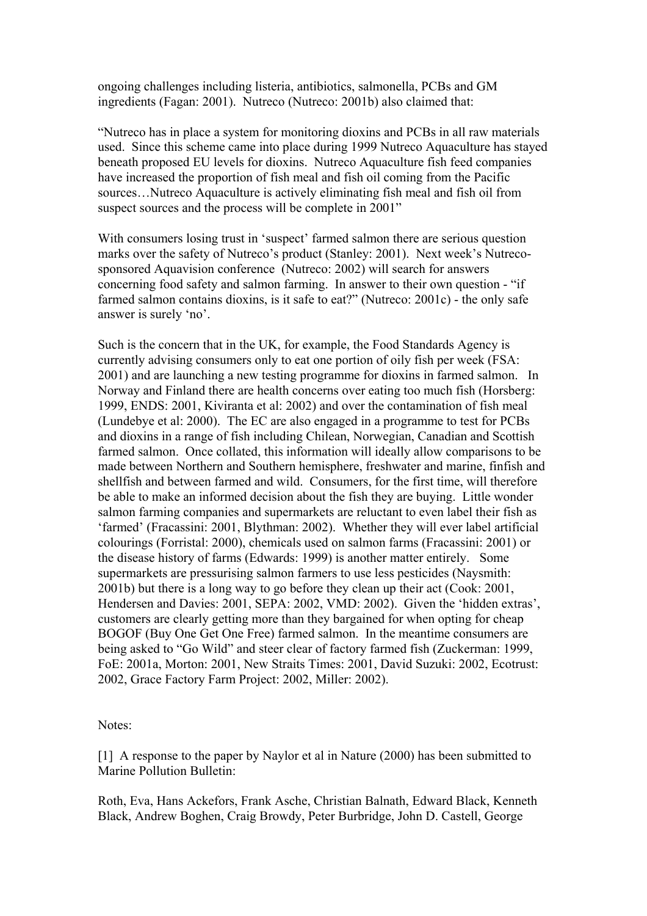ongoing challenges including listeria, antibiotics, salmonella, PCBs and GM ingredients (Fagan: 2001). Nutreco (Nutreco: 2001b) also claimed that:

"Nutreco has in place a system for monitoring dioxins and PCBs in all raw materials used. Since this scheme came into place during 1999 Nutreco Aquaculture has stayed beneath proposed EU levels for dioxins. Nutreco Aquaculture fish feed companies have increased the proportion of fish meal and fish oil coming from the Pacific sources…Nutreco Aquaculture is actively eliminating fish meal and fish oil from suspect sources and the process will be complete in 2001"

With consumers losing trust in 'suspect' farmed salmon there are serious question marks over the safety of Nutreco's product (Stanley: 2001). Next week's Nutrecosponsored Aquavision conference (Nutreco: 2002) will search for answers concerning food safety and salmon farming. In answer to their own question - "if farmed salmon contains dioxins, is it safe to eat?" (Nutreco: 2001c) - the only safe answer is surely 'no'.

Such is the concern that in the UK, for example, the Food Standards Agency is currently advising consumers only to eat one portion of oily fish per week (FSA: 2001) and are launching a new testing programme for dioxins in farmed salmon. In Norway and Finland there are health concerns over eating too much fish (Horsberg: 1999, ENDS: 2001, Kiviranta et al: 2002) and over the contamination of fish meal (Lundebye et al: 2000). The EC are also engaged in a programme to test for PCBs and dioxins in a range of fish including Chilean, Norwegian, Canadian and Scottish farmed salmon. Once collated, this information will ideally allow comparisons to be made between Northern and Southern hemisphere, freshwater and marine, finfish and shellfish and between farmed and wild. Consumers, for the first time, will therefore be able to make an informed decision about the fish they are buying. Little wonder salmon farming companies and supermarkets are reluctant to even label their fish as 'farmed' (Fracassini: 2001, Blythman: 2002). Whether they will ever label artificial colourings (Forristal: 2000), chemicals used on salmon farms (Fracassini: 2001) or the disease history of farms (Edwards: 1999) is another matter entirely. Some supermarkets are pressurising salmon farmers to use less pesticides (Naysmith: 2001b) but there is a long way to go before they clean up their act (Cook: 2001, Hendersen and Davies: 2001, SEPA: 2002, VMD: 2002). Given the 'hidden extras', customers are clearly getting more than they bargained for when opting for cheap BOGOF (Buy One Get One Free) farmed salmon. In the meantime consumers are being asked to "Go Wild" and steer clear of factory farmed fish (Zuckerman: 1999, FoE: 2001a, Morton: 2001, New Straits Times: 2001, David Suzuki: 2002, Ecotrust: 2002, Grace Factory Farm Project: 2002, Miller: 2002).

Notes:

[1] A response to the paper by Naylor et al in Nature (2000) has been submitted to Marine Pollution Bulletin:

Roth, Eva, Hans Ackefors, Frank Asche, Christian Balnath, Edward Black, Kenneth Black, Andrew Boghen, Craig Browdy, Peter Burbridge, John D. Castell, George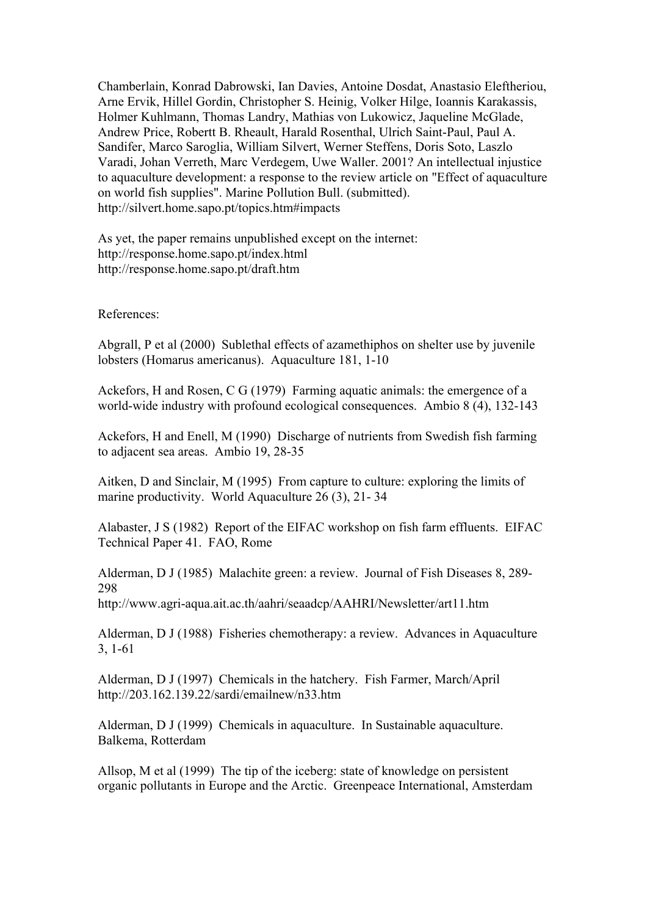Chamberlain, Konrad Dabrowski, Ian Davies, Antoine Dosdat, Anastasio Eleftheriou, Arne Ervik, Hillel Gordin, Christopher S. Heinig, Volker Hilge, Ioannis Karakassis, Holmer Kuhlmann, Thomas Landry, Mathias von Lukowicz, Jaqueline McGlade, Andrew Price, Robertt B. Rheault, Harald Rosenthal, Ulrich Saint-Paul, Paul A. Sandifer, Marco Saroglia, William Silvert, Werner Steffens, Doris Soto, Laszlo Varadi, Johan Verreth, Marc Verdegem, Uwe Waller. 2001? An intellectual injustice to aquaculture development: a response to the review article on "Effect of aquaculture on world fish supplies". Marine Pollution Bull. (submitted). http://silvert.home.sapo.pt/topics.htm#impacts

As yet, the paper remains unpublished except on the internet: http://response.home.sapo.pt/index.html http://response.home.sapo.pt/draft.htm

References:

Abgrall, P et al (2000) Sublethal effects of azamethiphos on shelter use by juvenile lobsters (Homarus americanus). Aquaculture 181, 1-10

Ackefors, H and Rosen, C G (1979) Farming aquatic animals: the emergence of a world-wide industry with profound ecological consequences. Ambio 8 (4), 132-143

Ackefors, H and Enell, M (1990) Discharge of nutrients from Swedish fish farming to adjacent sea areas. Ambio 19, 28-35

Aitken, D and Sinclair, M (1995) From capture to culture: exploring the limits of marine productivity. World Aquaculture 26 (3), 21- 34

Alabaster, J S (1982) Report of the EIFAC workshop on fish farm effluents. EIFAC Technical Paper 41. FAO, Rome

Alderman, D J (1985) Malachite green: a review. Journal of Fish Diseases 8, 289- 298

http://www.agri-aqua.ait.ac.th/aahri/seaadcp/AAHRI/Newsletter/art11.htm

Alderman, D J (1988) Fisheries chemotherapy: a review. Advances in Aquaculture 3, 1-61

Alderman, D J (1997) Chemicals in the hatchery. Fish Farmer, March/April http://203.162.139.22/sardi/emailnew/n33.htm

Alderman, D J (1999) Chemicals in aquaculture. In Sustainable aquaculture. Balkema, Rotterdam

Allsop, M et al (1999) The tip of the iceberg: state of knowledge on persistent organic pollutants in Europe and the Arctic. Greenpeace International, Amsterdam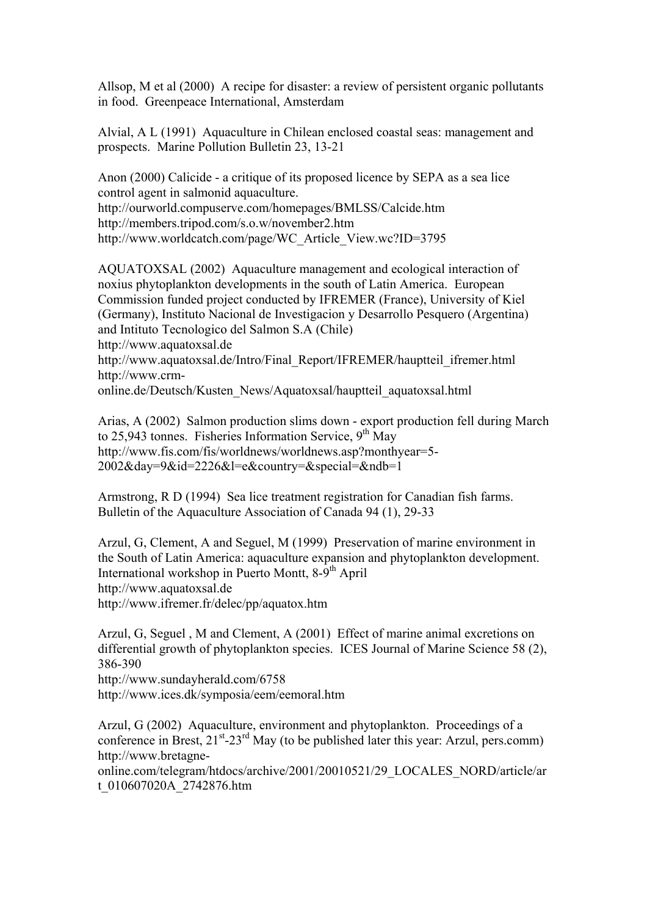Allsop, M et al (2000) A recipe for disaster: a review of persistent organic pollutants in food. Greenpeace International, Amsterdam

Alvial, A L (1991) Aquaculture in Chilean enclosed coastal seas: management and prospects. Marine Pollution Bulletin 23, 13-21

Anon (2000) Calicide - a critique of its proposed licence by SEPA as a sea lice control agent in salmonid aquaculture. http://ourworld.compuserve.com/homepages/BMLSS/Calcide.htm http://members.tripod.com/s.o.w/november2.htm http://www.worldcatch.com/page/WC\_Article\_View.wc?ID=3795

AQUATOXSAL (2002) Aquaculture management and ecological interaction of noxius phytoplankton developments in the south of Latin America. European Commission funded project conducted by IFREMER (France), University of Kiel (Germany), Instituto Nacional de Investigacion y Desarrollo Pesquero (Argentina) and Intituto Tecnologico del Salmon S.A (Chile) http://www.aquatoxsal.de http://www.aquatoxsal.de/Intro/Final\_Report/IFREMER/hauptteil\_ifremer.html http://www.crmonline.de/Deutsch/Kusten\_News/Aquatoxsal/hauptteil\_aquatoxsal.html

Arias, A (2002) Salmon production slims down - export production fell during March to  $25.943$  tonnes. Fisheries Information Service,  $9<sup>th</sup>$  May http://www.fis.com/fis/worldnews/worldnews.asp?monthyear=5- 2002&day=9&id=2226&l=e&country=&special=&ndb=1

Armstrong, R D (1994) Sea lice treatment registration for Canadian fish farms. Bulletin of the Aquaculture Association of Canada 94 (1), 29-33

Arzul, G, Clement, A and Seguel, M (1999) Preservation of marine environment in the South of Latin America: aquaculture expansion and phytoplankton development. International workshop in Puerto Montt, 8-9<sup>th</sup> April http://www.aquatoxsal.de http://www.ifremer.fr/delec/pp/aquatox.htm

Arzul, G, Seguel , M and Clement, A (2001) Effect of marine animal excretions on differential growth of phytoplankton species. ICES Journal of Marine Science 58 (2), 386-390 http://www.sundayherald.com/6758 http://www.ices.dk/symposia/eem/eemoral.htm

Arzul, G (2002) Aquaculture, environment and phytoplankton. Proceedings of a conference in Brest,  $21<sup>st</sup> - 23<sup>rd</sup>$  May (to be published later this year: Arzul, pers.comm) http://www.bretagne-

online.com/telegram/htdocs/archive/2001/20010521/29\_LOCALES\_NORD/article/ar t\_010607020A\_2742876.htm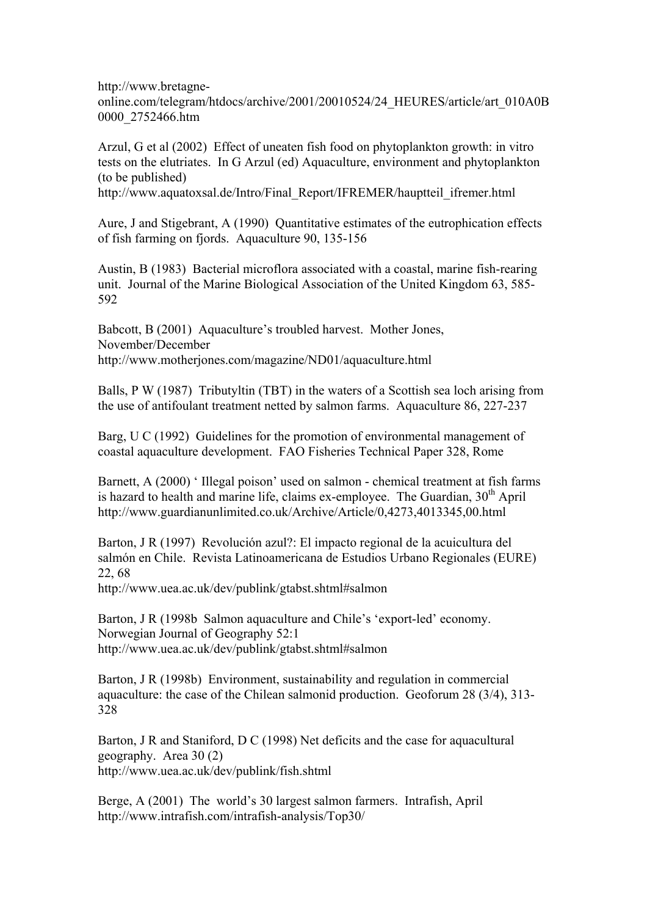http://www.bretagneonline.com/telegram/htdocs/archive/2001/20010524/24\_HEURES/article/art\_010A0B 0000\_2752466.htm

Arzul, G et al (2002) Effect of uneaten fish food on phytoplankton growth: in vitro tests on the elutriates. In G Arzul (ed) Aquaculture, environment and phytoplankton (to be published)

http://www.aquatoxsal.de/Intro/Final\_Report/IFREMER/hauptteil\_ifremer.html

Aure, J and Stigebrant, A (1990) Quantitative estimates of the eutrophication effects of fish farming on fjords. Aquaculture 90, 135-156

Austin, B (1983) Bacterial microflora associated with a coastal, marine fish-rearing unit. Journal of the Marine Biological Association of the United Kingdom 63, 585- 592

Babcott, B (2001) Aquaculture's troubled harvest. Mother Jones, November/December http://www.motherjones.com/magazine/ND01/aquaculture.html

Balls, P W (1987) Tributyltin (TBT) in the waters of a Scottish sea loch arising from the use of antifoulant treatment netted by salmon farms. Aquaculture 86, 227-237

Barg, U C (1992) Guidelines for the promotion of environmental management of coastal aquaculture development. FAO Fisheries Technical Paper 328, Rome

Barnett, A (2000) ' Illegal poison' used on salmon - chemical treatment at fish farms is hazard to health and marine life, claims ex-employee. The Guardian,  $30<sup>th</sup>$  April http://www.guardianunlimited.co.uk/Archive/Article/0,4273,4013345,00.html

Barton, J R (1997) Revolución azul?: El impacto regional de la acuicultura del salmón en Chile. Revista Latinoamericana de Estudios Urbano Regionales (EURE) 22, 68

http://www.uea.ac.uk/dev/publink/gtabst.shtml#salmon

Barton, J R (1998b Salmon aquaculture and Chile's 'export-led' economy. Norwegian Journal of Geography 52:1 http://www.uea.ac.uk/dev/publink/gtabst.shtml#salmon

Barton, J R (1998b) Environment, sustainability and regulation in commercial aquaculture: the case of the Chilean salmonid production. Geoforum 28 (3/4), 313- 328

Barton, J R and Staniford, D C (1998) Net deficits and the case for aquacultural geography. Area 30 (2) http://www.uea.ac.uk/dev/publink/fish.shtml

Berge, A (2001) The world's 30 largest salmon farmers. Intrafish, April http://www.intrafish.com/intrafish-analysis/Top30/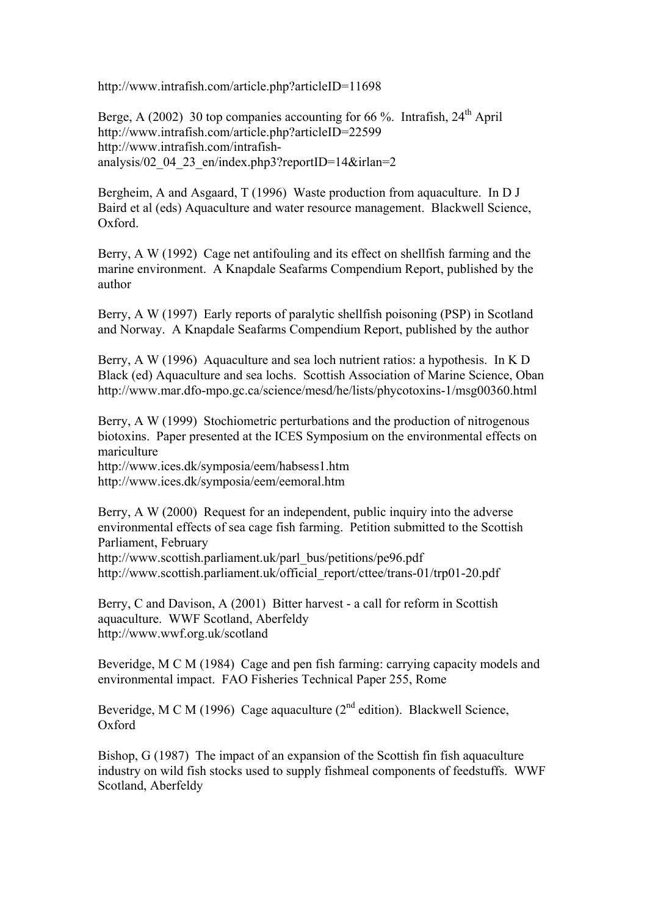http://www.intrafish.com/article.php?articleID=11698

Berge, A (2002) 30 top companies accounting for 66 %. Intrafish,  $24<sup>th</sup>$  April http://www.intrafish.com/article.php?articleID=22599 http://www.intrafish.com/intrafishanalysis/02\_04\_23\_en/index.php3?reportID=14&irlan=2

Bergheim, A and Asgaard, T (1996) Waste production from aquaculture. In D J Baird et al (eds) Aquaculture and water resource management. Blackwell Science, Oxford.

Berry, A W (1992) Cage net antifouling and its effect on shellfish farming and the marine environment. A Knapdale Seafarms Compendium Report, published by the author

Berry, A W (1997) Early reports of paralytic shellfish poisoning (PSP) in Scotland and Norway. A Knapdale Seafarms Compendium Report, published by the author

Berry, A W (1996) Aquaculture and sea loch nutrient ratios: a hypothesis. In K D Black (ed) Aquaculture and sea lochs. Scottish Association of Marine Science, Oban http://www.mar.dfo-mpo.gc.ca/science/mesd/he/lists/phycotoxins-1/msg00360.html

Berry, A W (1999) Stochiometric perturbations and the production of nitrogenous biotoxins. Paper presented at the ICES Symposium on the environmental effects on mariculture

http://www.ices.dk/symposia/eem/habsess1.htm http://www.ices.dk/symposia/eem/eemoral.htm

Berry, A W (2000) Request for an independent, public inquiry into the adverse environmental effects of sea cage fish farming. Petition submitted to the Scottish Parliament, February http://www.scottish.parliament.uk/parl\_bus/petitions/pe96.pdf

http://www.scottish.parliament.uk/official\_report/cttee/trans-01/trp01-20.pdf

Berry, C and Davison, A (2001) Bitter harvest - a call for reform in Scottish aquaculture. WWF Scotland, Aberfeldy http://www.wwf.org.uk/scotland

Beveridge, M C M (1984) Cage and pen fish farming: carrying capacity models and environmental impact. FAO Fisheries Technical Paper 255, Rome

Beveridge, M C M (1996) Cage aquaculture ( $2<sup>nd</sup>$  edition). Blackwell Science, Oxford

Bishop, G (1987) The impact of an expansion of the Scottish fin fish aquaculture industry on wild fish stocks used to supply fishmeal components of feedstuffs. WWF Scotland, Aberfeldy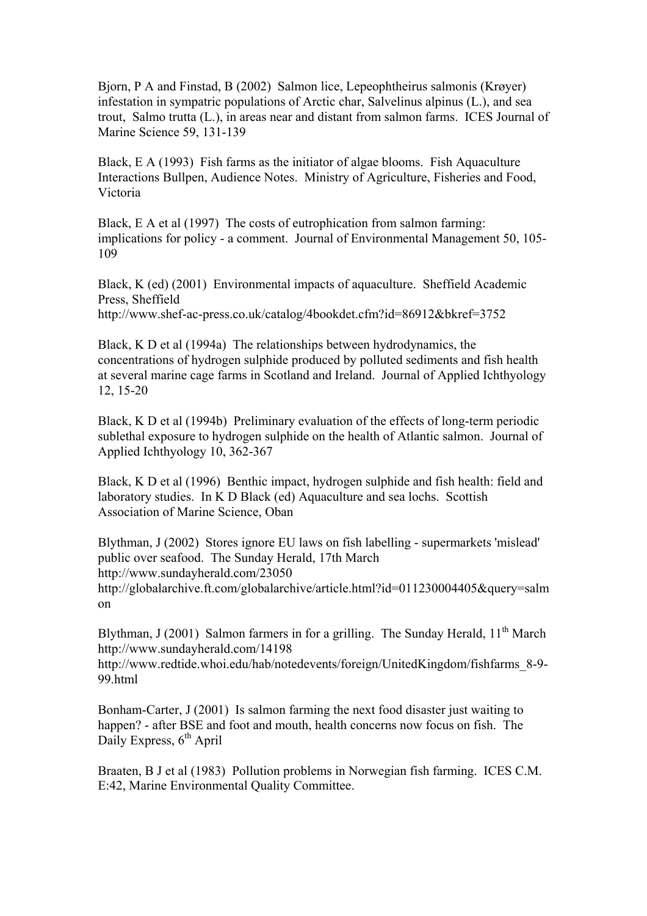Bjorn, P A and Finstad, B (2002) Salmon lice, Lepeophtheirus salmonis (Krøyer) infestation in sympatric populations of Arctic char, Salvelinus alpinus (L.), and sea trout, Salmo trutta (L.), in areas near and distant from salmon farms. ICES Journal of Marine Science 59, 131-139

Black, E A (1993) Fish farms as the initiator of algae blooms. Fish Aquaculture Interactions Bullpen, Audience Notes. Ministry of Agriculture, Fisheries and Food, Victoria

Black, E A et al (1997) The costs of eutrophication from salmon farming: implications for policy - a comment. Journal of Environmental Management 50, 105- 109

Black, K (ed) (2001) Environmental impacts of aquaculture. Sheffield Academic Press, Sheffield http://www.shef-ac-press.co.uk/catalog/4bookdet.cfm?id=86912&bkref=3752

Black, K D et al (1994a) The relationships between hydrodynamics, the concentrations of hydrogen sulphide produced by polluted sediments and fish health at several marine cage farms in Scotland and Ireland. Journal of Applied Ichthyology 12, 15-20

Black, K D et al (1994b) Preliminary evaluation of the effects of long-term periodic sublethal exposure to hydrogen sulphide on the health of Atlantic salmon. Journal of Applied Ichthyology 10, 362-367

Black, K D et al (1996) Benthic impact, hydrogen sulphide and fish health: field and laboratory studies. In K D Black (ed) Aquaculture and sea lochs. Scottish Association of Marine Science, Oban

Blythman, J (2002) Stores ignore EU laws on fish labelling - supermarkets 'mislead' public over seafood. The Sunday Herald, 17th March http://www.sundayherald.com/23050 http://globalarchive.ft.com/globalarchive/article.html?id=011230004405&query=salm on

Blythman, J (2001) Salmon farmers in for a grilling. The Sunday Herald,  $11<sup>th</sup>$  March http://www.sundayherald.com/14198

http://www.redtide.whoi.edu/hab/notedevents/foreign/UnitedKingdom/fishfarms\_8-9- 99.html

Bonham-Carter, J (2001) Is salmon farming the next food disaster just waiting to happen? - after BSE and foot and mouth, health concerns now focus on fish. The Daily Express,  $6<sup>th</sup>$  April

Braaten, B J et al (1983) Pollution problems in Norwegian fish farming. ICES C.M. E:42, Marine Environmental Quality Committee.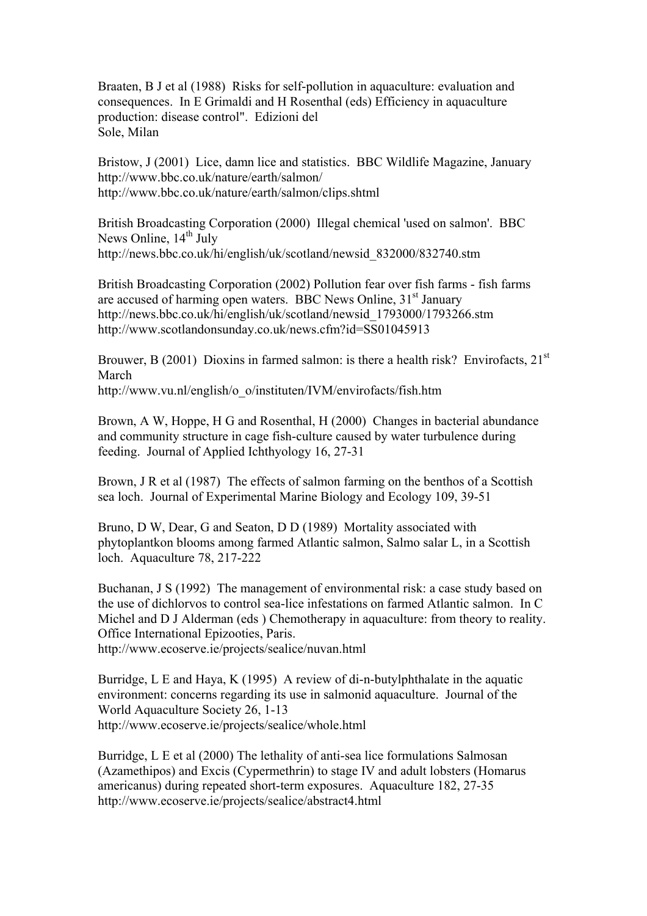Braaten, B J et al (1988) Risks for self-pollution in aquaculture: evaluation and consequences. In E Grimaldi and H Rosenthal (eds) Efficiency in aquaculture production: disease control". Edizioni del Sole, Milan

Bristow, J (2001) Lice, damn lice and statistics. BBC Wildlife Magazine, January http://www.bbc.co.uk/nature/earth/salmon/ http://www.bbc.co.uk/nature/earth/salmon/clips.shtml

British Broadcasting Corporation (2000) Illegal chemical 'used on salmon'. BBC News Online,  $14<sup>th</sup>$  July http://news.bbc.co.uk/hi/english/uk/scotland/newsid\_832000/832740.stm

British Broadcasting Corporation (2002) Pollution fear over fish farms - fish farms are accused of harming open waters. BBC News Online, 31<sup>st</sup> January http://news.bbc.co.uk/hi/english/uk/scotland/newsid\_1793000/1793266.stm http://www.scotlandonsunday.co.uk/news.cfm?id=SS01045913

Brouwer, B (2001) Dioxins in farmed salmon: is there a health risk? Envirofacts,  $21^{st}$ March

http://www.vu.nl/english/o\_o/instituten/IVM/envirofacts/fish.htm

Brown, A W, Hoppe, H G and Rosenthal, H (2000) Changes in bacterial abundance and community structure in cage fish-culture caused by water turbulence during feeding. Journal of Applied Ichthyology 16, 27-31

Brown, J R et al (1987) The effects of salmon farming on the benthos of a Scottish sea loch. Journal of Experimental Marine Biology and Ecology 109, 39-51

Bruno, D W, Dear, G and Seaton, D D (1989) Mortality associated with phytoplantkon blooms among farmed Atlantic salmon, Salmo salar L, in a Scottish loch. Aquaculture 78, 217-222

Buchanan, J S (1992) The management of environmental risk: a case study based on the use of dichlorvos to control sea-lice infestations on farmed Atlantic salmon. In C Michel and D J Alderman (eds ) Chemotherapy in aquaculture: from theory to reality. Office International Epizooties, Paris.

http://www.ecoserve.ie/projects/sealice/nuvan.html

Burridge, L E and Haya, K (1995) A review of di-n-butylphthalate in the aquatic environment: concerns regarding its use in salmonid aquaculture. Journal of the World Aquaculture Society 26, 1-13 http://www.ecoserve.ie/projects/sealice/whole.html

Burridge, L E et al (2000) The lethality of anti-sea lice formulations Salmosan (Azamethipos) and Excis (Cypermethrin) to stage IV and adult lobsters (Homarus americanus) during repeated short-term exposures. Aquaculture 182, 27-35 http://www.ecoserve.ie/projects/sealice/abstract4.html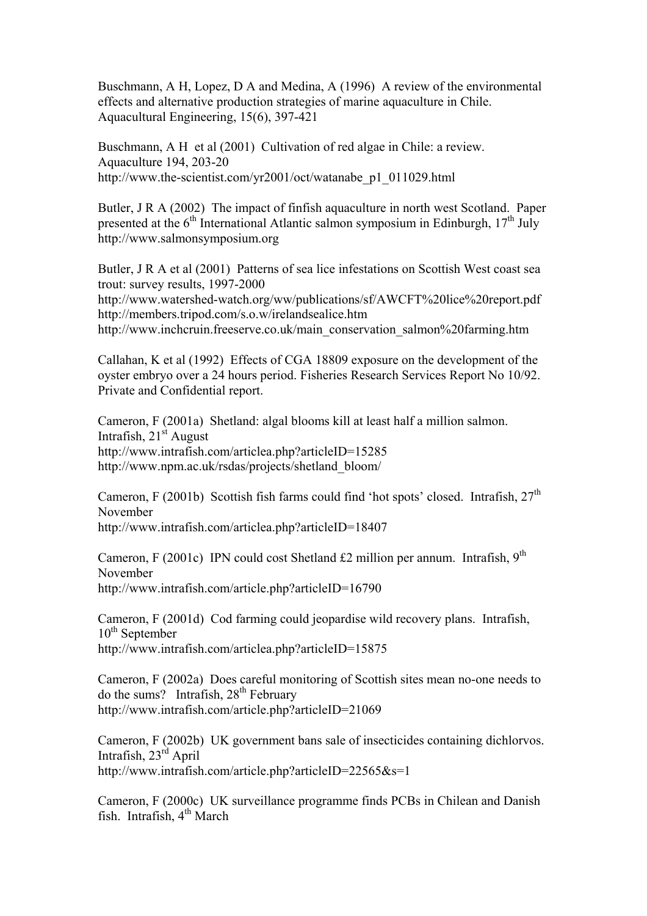Buschmann, A H, Lopez, D A and Medina, A (1996) A review of the environmental effects and alternative production strategies of marine aquaculture in Chile. Aquacultural Engineering, 15(6), 397-421

Buschmann, A H et al (2001) Cultivation of red algae in Chile: a review. Aquaculture 194, 203-20 http://www.the-scientist.com/yr2001/oct/watanabe\_p1\_011029.html

Butler, J R A (2002) The impact of finfish aquaculture in north west Scotland. Paper presented at the  $6<sup>th</sup>$  International Atlantic salmon symposium in Edinburgh,  $17<sup>th</sup>$  July http://www.salmonsymposium.org

Butler, J R A et al (2001) Patterns of sea lice infestations on Scottish West coast sea trout: survey results, 1997-2000

http://www.watershed-watch.org/ww/publications/sf/AWCFT%20lice%20report.pdf http://members.tripod.com/s.o.w/irelandsealice.htm

http://www.inchcruin.freeserve.co.uk/main\_conservation\_salmon%20farming.htm

Callahan, K et al (1992) Effects of CGA 18809 exposure on the development of the oyster embryo over a 24 hours period. Fisheries Research Services Report No 10/92. Private and Confidential report.

Cameron, F (2001a) Shetland: algal blooms kill at least half a million salmon. Intrafish,  $21<sup>st</sup>$  August http://www.intrafish.com/articlea.php?articleID=15285 http://www.npm.ac.uk/rsdas/projects/shetland\_bloom/

Cameron, F (2001b) Scottish fish farms could find 'hot spots' closed. Intrafish,  $27<sup>th</sup>$ November

http://www.intrafish.com/articlea.php?articleID=18407

Cameron, F (2001c) IPN could cost Shetland £2 million per annum. Intrafish,  $9<sup>th</sup>$ November http://www.intrafish.com/article.php?articleID=16790

Cameron, F (2001d) Cod farming could jeopardise wild recovery plans. Intrafish,  $10^{th}$  September http://www.intrafish.com/articlea.php?articleID=15875

Cameron, F (2002a) Does careful monitoring of Scottish sites mean no-one needs to do the sums? Intrafish,  $28<sup>th</sup>$  February http://www.intrafish.com/article.php?articleID=21069

Cameron, F (2002b) UK government bans sale of insecticides containing dichlorvos. Intrafish, 23<sup>rd</sup> April http://www.intrafish.com/article.php?articleID=22565&s=1

Cameron, F (2000c) UK surveillance programme finds PCBs in Chilean and Danish fish. Intrafish,  $4<sup>th</sup>$  March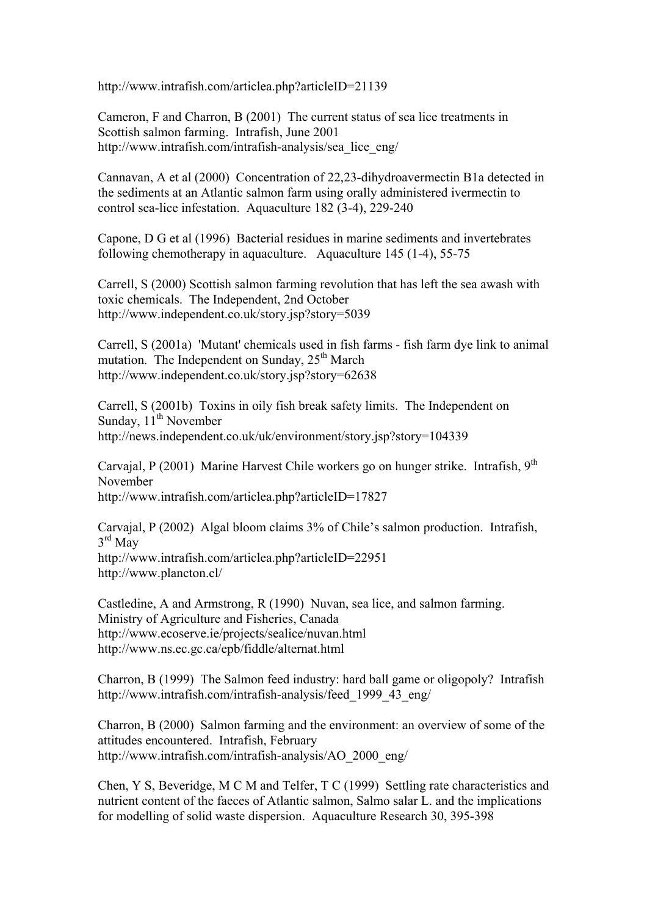http://www.intrafish.com/articlea.php?articleID=21139

Cameron, F and Charron, B (2001) The current status of sea lice treatments in Scottish salmon farming. Intrafish, June 2001 http://www.intrafish.com/intrafish-analysis/sea\_lice\_eng/

Cannavan, A et al (2000) Concentration of 22,23-dihydroavermectin B1a detected in the sediments at an Atlantic salmon farm using orally administered ivermectin to control sea-lice infestation. Aquaculture 182 (3-4), 229-240

Capone, D G et al (1996) Bacterial residues in marine sediments and invertebrates following chemotherapy in aquaculture. Aquaculture 145 (1-4), 55-75

Carrell, S (2000) Scottish salmon farming revolution that has left the sea awash with toxic chemicals. The Independent, 2nd October http://www.independent.co.uk/story.jsp?story=5039

Carrell, S (2001a) 'Mutant' chemicals used in fish farms - fish farm dye link to animal mutation. The Independent on Sunday,  $25<sup>th</sup> March$ http://www.independent.co.uk/story.jsp?story=62638

Carrell, S (2001b) Toxins in oily fish break safety limits. The Independent on Sunday,  $11^{th}$  November http://news.independent.co.uk/uk/environment/story.jsp?story=104339

Carvajal, P (2001) Marine Harvest Chile workers go on hunger strike. Intrafish, 9<sup>th</sup> November http://www.intrafish.com/articlea.php?articleID=17827

Carvajal, P (2002) Algal bloom claims 3% of Chile's salmon production. Intrafish,  $3<sup>rd</sup>$  May http://www.intrafish.com/articlea.php?articleID=22951 http://www.plancton.cl/

Castledine, A and Armstrong, R (1990) Nuvan, sea lice, and salmon farming. Ministry of Agriculture and Fisheries, Canada http://www.ecoserve.ie/projects/sealice/nuvan.html http://www.ns.ec.gc.ca/epb/fiddle/alternat.html

Charron, B (1999) The Salmon feed industry: hard ball game or oligopoly? Intrafish http://www.intrafish.com/intrafish-analysis/feed\_1999\_43\_eng/

Charron, B (2000) Salmon farming and the environment: an overview of some of the attitudes encountered. Intrafish, February http://www.intrafish.com/intrafish-analysis/AO\_2000\_eng/

Chen, Y S, Beveridge, M C M and Telfer, T C (1999) Settling rate characteristics and nutrient content of the faeces of Atlantic salmon, Salmo salar L. and the implications for modelling of solid waste dispersion. Aquaculture Research 30, 395-398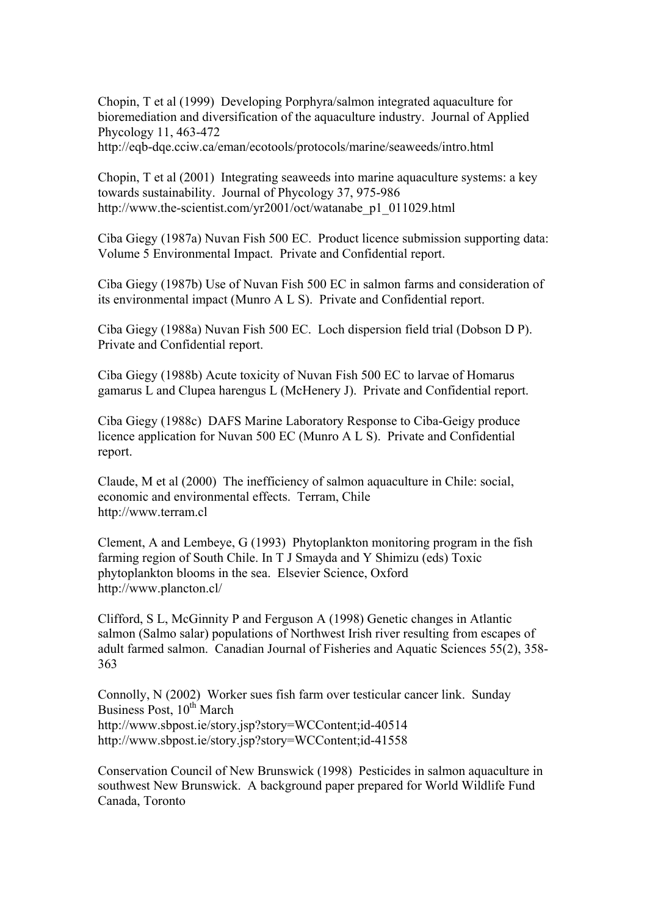Chopin, T et al (1999) Developing Porphyra/salmon integrated aquaculture for bioremediation and diversification of the aquaculture industry. Journal of Applied Phycology 11, 463-472

http://eqb-dqe.cciw.ca/eman/ecotools/protocols/marine/seaweeds/intro.html

Chopin, T et al (2001) Integrating seaweeds into marine aquaculture systems: a key towards sustainability. Journal of Phycology 37, 975-986 http://www.the-scientist.com/yr2001/oct/watanabe\_p1\_011029.html

Ciba Giegy (1987a) Nuvan Fish 500 EC. Product licence submission supporting data: Volume 5 Environmental Impact. Private and Confidential report.

Ciba Giegy (1987b) Use of Nuvan Fish 500 EC in salmon farms and consideration of its environmental impact (Munro A L S). Private and Confidential report.

Ciba Giegy (1988a) Nuvan Fish 500 EC. Loch dispersion field trial (Dobson D P). Private and Confidential report.

Ciba Giegy (1988b) Acute toxicity of Nuvan Fish 500 EC to larvae of Homarus gamarus L and Clupea harengus L (McHenery J). Private and Confidential report.

Ciba Giegy (1988c) DAFS Marine Laboratory Response to Ciba-Geigy produce licence application for Nuvan 500 EC (Munro A L S). Private and Confidential report.

Claude, M et al (2000) The inefficiency of salmon aquaculture in Chile: social, economic and environmental effects. Terram, Chile http://www.terram.cl

Clement, A and Lembeye, G (1993) Phytoplankton monitoring program in the fish farming region of South Chile. In T J Smayda and Y Shimizu (eds) Toxic phytoplankton blooms in the sea. Elsevier Science, Oxford http://www.plancton.cl/

Clifford, S L, McGinnity P and Ferguson A (1998) Genetic changes in Atlantic salmon (Salmo salar) populations of Northwest Irish river resulting from escapes of adult farmed salmon. Canadian Journal of Fisheries and Aquatic Sciences 55(2), 358- 363

Connolly, N (2002) Worker sues fish farm over testicular cancer link. Sunday Business Post,  $10^{th}$  March http://www.sbpost.ie/story.jsp?story=WCContent;id-40514 http://www.sbpost.ie/story.jsp?story=WCContent;id-41558

Conservation Council of New Brunswick (1998) Pesticides in salmon aquaculture in southwest New Brunswick. A background paper prepared for World Wildlife Fund Canada, Toronto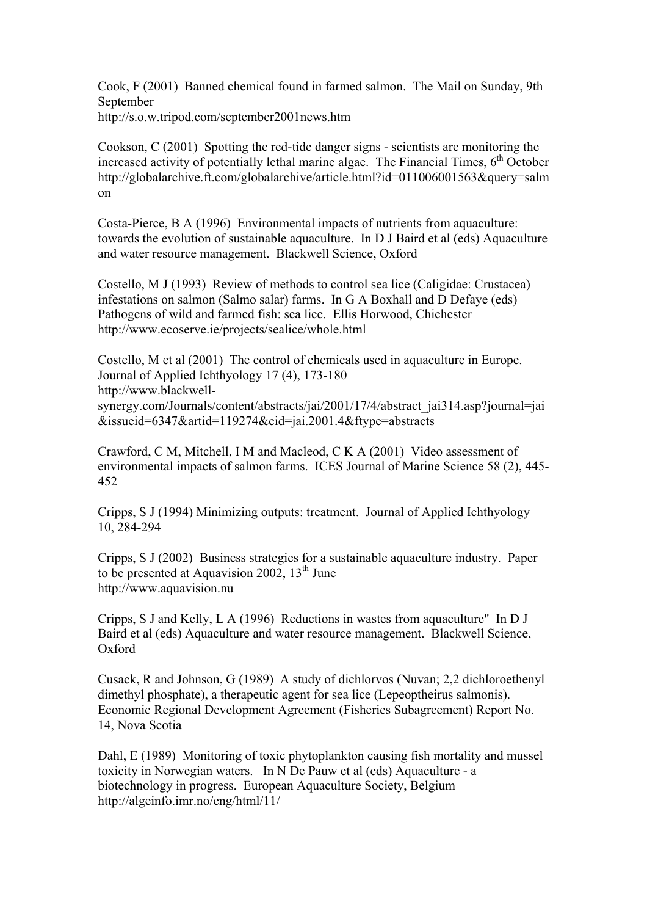Cook, F (2001) Banned chemical found in farmed salmon. The Mail on Sunday, 9th September http://s.o.w.tripod.com/september2001news.htm

Cookson, C (2001) Spotting the red-tide danger signs - scientists are monitoring the increased activity of potentially lethal marine algae. The Financial Times,  $6<sup>th</sup>$  October http://globalarchive.ft.com/globalarchive/article.html?id=011006001563&query=salm on

Costa-Pierce, B A (1996) Environmental impacts of nutrients from aquaculture: towards the evolution of sustainable aquaculture. In D J Baird et al (eds) Aquaculture and water resource management. Blackwell Science, Oxford

Costello, M J (1993) Review of methods to control sea lice (Caligidae: Crustacea) infestations on salmon (Salmo salar) farms. In G A Boxhall and D Defaye (eds) Pathogens of wild and farmed fish: sea lice. Ellis Horwood, Chichester http://www.ecoserve.ie/projects/sealice/whole.html

Costello, M et al (2001) The control of chemicals used in aquaculture in Europe. Journal of Applied Ichthyology 17 (4), 173-180 http://www.blackwellsynergy.com/Journals/content/abstracts/jai/2001/17/4/abstract\_jai314.asp?journal=jai &issueid=6347&artid=119274&cid=jai.2001.4&ftype=abstracts

Crawford, C M, Mitchell, I M and Macleod, C K A (2001) Video assessment of environmental impacts of salmon farms. ICES Journal of Marine Science 58 (2), 445- 452

Cripps, S J (1994) Minimizing outputs: treatment. Journal of Applied Ichthyology 10, 284-294

Cripps, S J (2002) Business strategies for a sustainable aquaculture industry. Paper to be presented at Aquavision 2002,  $13<sup>th</sup>$  June http://www.aquavision.nu

Cripps, S J and Kelly, L A (1996) Reductions in wastes from aquaculture" In D J Baird et al (eds) Aquaculture and water resource management. Blackwell Science, Oxford

Cusack, R and Johnson, G (1989) A study of dichlorvos (Nuvan; 2,2 dichloroethenyl dimethyl phosphate), a therapeutic agent for sea lice (Lepeoptheirus salmonis). Economic Regional Development Agreement (Fisheries Subagreement) Report No. 14, Nova Scotia

Dahl, E (1989) Monitoring of toxic phytoplankton causing fish mortality and mussel toxicity in Norwegian waters. In N De Pauw et al (eds) Aquaculture - a biotechnology in progress. European Aquaculture Society, Belgium http://algeinfo.imr.no/eng/html/11/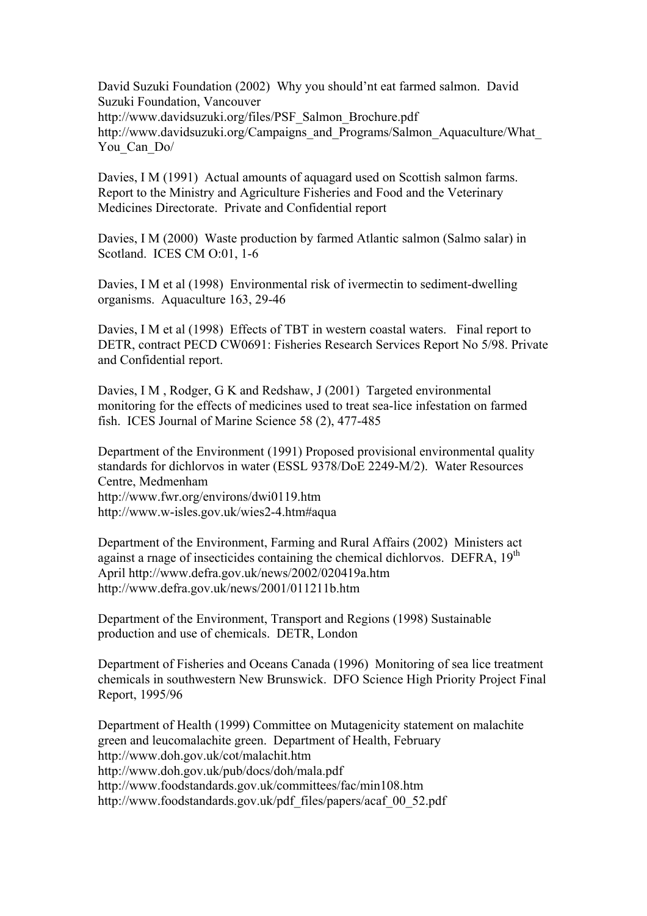David Suzuki Foundation (2002) Why you should'nt eat farmed salmon. David Suzuki Foundation, Vancouver http://www.davidsuzuki.org/files/PSF\_Salmon\_Brochure.pdf http://www.davidsuzuki.org/Campaigns\_and\_Programs/Salmon\_Aquaculture/What You Can Do/

Davies, I M (1991) Actual amounts of aquagard used on Scottish salmon farms. Report to the Ministry and Agriculture Fisheries and Food and the Veterinary Medicines Directorate. Private and Confidential report

Davies, I M (2000) Waste production by farmed Atlantic salmon (Salmo salar) in Scotland. ICES CM O:01, 1-6

Davies, I M et al (1998) Environmental risk of ivermectin to sediment-dwelling organisms. Aquaculture 163, 29-46

Davies, I M et al (1998) Effects of TBT in western coastal waters. Final report to DETR, contract PECD CW0691: Fisheries Research Services Report No 5/98. Private and Confidential report.

Davies, I M , Rodger, G K and Redshaw, J (2001) Targeted environmental monitoring for the effects of medicines used to treat sea-lice infestation on farmed fish. ICES Journal of Marine Science 58 (2), 477-485

Department of the Environment (1991) Proposed provisional environmental quality standards for dichlorvos in water (ESSL 9378/DoE 2249-M/2). Water Resources Centre, Medmenham http://www.fwr.org/environs/dwi0119.htm http://www.w-isles.gov.uk/wies2-4.htm#aqua

Department of the Environment, Farming and Rural Affairs (2002) Ministers act against a rnage of insecticides containing the chemical dichlorvos. DEFRA, 19<sup>th</sup> April http://www.defra.gov.uk/news/2002/020419a.htm http://www.defra.gov.uk/news/2001/011211b.htm

Department of the Environment, Transport and Regions (1998) Sustainable production and use of chemicals. DETR, London

Department of Fisheries and Oceans Canada (1996) Monitoring of sea lice treatment chemicals in southwestern New Brunswick. DFO Science High Priority Project Final Report, 1995/96

Department of Health (1999) Committee on Mutagenicity statement on malachite green and leucomalachite green. Department of Health, February http://www.doh.gov.uk/cot/malachit.htm http://www.doh.gov.uk/pub/docs/doh/mala.pdf http://www.foodstandards.gov.uk/committees/fac/min108.htm http://www.foodstandards.gov.uk/pdf\_files/papers/acaf\_00\_52.pdf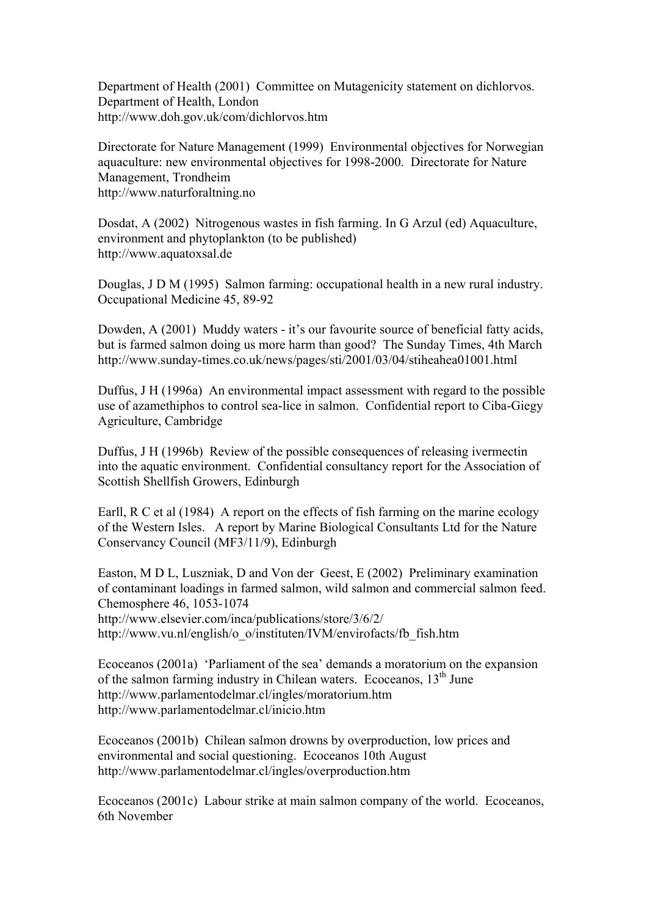Department of Health (2001) Committee on Mutagenicity statement on dichlorvos. Department of Health, London http://www.doh.gov.uk/com/dichlorvos.htm

Directorate for Nature Management (1999) Environmental objectives for Norwegian aquaculture: new environmental objectives for 1998-2000. Directorate for Nature Management, Trondheim http://www.naturforaltning.no

Dosdat, A (2002) Nitrogenous wastes in fish farming. In G Arzul (ed) Aquaculture, environment and phytoplankton (to be published) http://www.aquatoxsal.de

Douglas, J D M (1995) Salmon farming: occupational health in a new rural industry. Occupational Medicine 45, 89-92

Dowden, A (2001) Muddy waters - it's our favourite source of beneficial fatty acids, but is farmed salmon doing us more harm than good? The Sunday Times, 4th March http://www.sunday-times.co.uk/news/pages/sti/2001/03/04/stiheahea01001.html

Duffus, J H (1996a) An environmental impact assessment with regard to the possible use of azamethiphos to control sea-lice in salmon. Confidential report to Ciba-Giegy Agriculture, Cambridge

Duffus, J H (1996b) Review of the possible consequences of releasing ivermectin into the aquatic environment. Confidential consultancy report for the Association of Scottish Shellfish Growers, Edinburgh

Earll, R C et al (1984) A report on the effects of fish farming on the marine ecology of the Western Isles. A report by Marine Biological Consultants Ltd for the Nature Conservancy Council (MF3/11/9), Edinburgh

Easton, M D L, Luszniak, D and Von der Geest, E (2002) Preliminary examination of contaminant loadings in farmed salmon, wild salmon and commercial salmon feed. Chemosphere 46, 1053-1074 http://www.elsevier.com/inca/publications/store/3/6/2/ http://www.vu.nl/english/o\_o/instituten/IVM/envirofacts/fb\_fish.htm

Ecoceanos (2001a) 'Parliament of the sea' demands a moratorium on the expansion of the salmon farming industry in Chilean waters. Ecoceanos,  $13<sup>th</sup>$  June http://www.parlamentodelmar.cl/ingles/moratorium.htm http://www.parlamentodelmar.cl/inicio.htm

Ecoceanos (2001b) Chilean salmon drowns by overproduction, low prices and environmental and social questioning. Ecoceanos 10th August http://www.parlamentodelmar.cl/ingles/overproduction.htm

Ecoceanos (2001c) Labour strike at main salmon company of the world. Ecoceanos, 6th November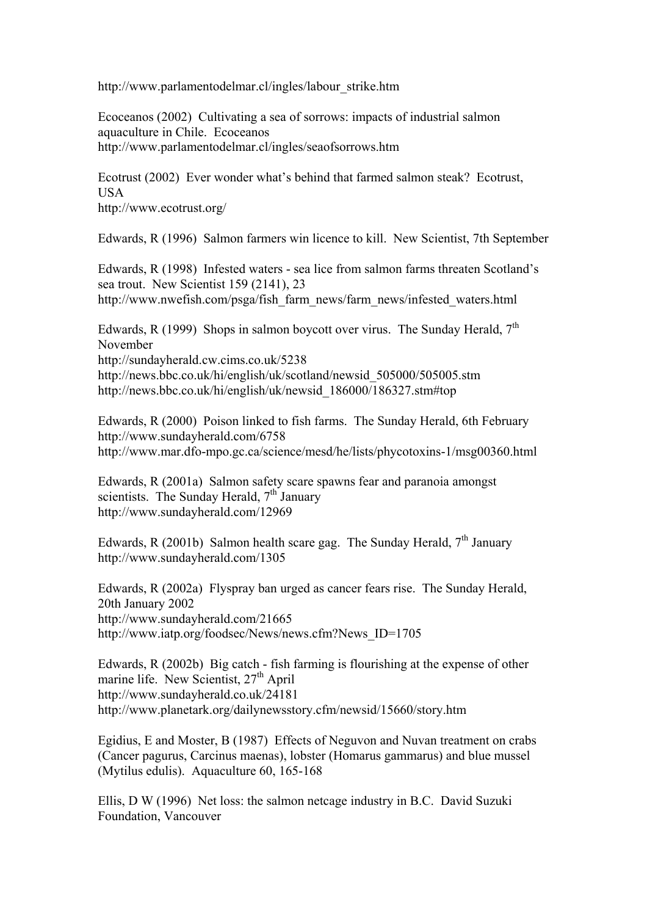http://www.parlamentodelmar.cl/ingles/labour\_strike.htm

Ecoceanos (2002) Cultivating a sea of sorrows: impacts of industrial salmon aquaculture in Chile. Ecoceanos http://www.parlamentodelmar.cl/ingles/seaofsorrows.htm

Ecotrust (2002) Ever wonder what's behind that farmed salmon steak? Ecotrust, **USA** http://www.ecotrust.org/

Edwards, R (1996) Salmon farmers win licence to kill. New Scientist, 7th September

Edwards, R (1998) Infested waters - sea lice from salmon farms threaten Scotland's sea trout. New Scientist 159 (2141), 23 http://www.nwefish.com/psga/fish\_farm\_news/farm\_news/infested\_waters.html

Edwards, R (1999) Shops in salmon boycott over virus. The Sunday Herald,  $7<sup>th</sup>$ November

http://sundayherald.cw.cims.co.uk/5238

http://news.bbc.co.uk/hi/english/uk/scotland/newsid\_505000/505005.stm http://news.bbc.co.uk/hi/english/uk/newsid\_186000/186327.stm#top

Edwards, R (2000) Poison linked to fish farms. The Sunday Herald, 6th February http://www.sundayherald.com/6758 http://www.mar.dfo-mpo.gc.ca/science/mesd/he/lists/phycotoxins-1/msg00360.html

Edwards, R (2001a) Salmon safety scare spawns fear and paranoia amongst scientists. The Sunday Herald,  $7<sup>th</sup>$  January http://www.sundayherald.com/12969

Edwards, R (2001b) Salmon health scare gag. The Sunday Herald,  $7<sup>th</sup>$  January http://www.sundayherald.com/1305

Edwards, R (2002a) Flyspray ban urged as cancer fears rise. The Sunday Herald, 20th January 2002 http://www.sundayherald.com/21665 http://www.iatp.org/foodsec/News/news.cfm?News\_ID=1705

Edwards, R (2002b) Big catch - fish farming is flourishing at the expense of other marine life. New Scientist,  $27<sup>th</sup>$  April http://www.sundayherald.co.uk/24181 http://www.planetark.org/dailynewsstory.cfm/newsid/15660/story.htm

Egidius, E and Moster, B (1987) Effects of Neguvon and Nuvan treatment on crabs (Cancer pagurus, Carcinus maenas), lobster (Homarus gammarus) and blue mussel (Mytilus edulis). Aquaculture 60, 165-168

Ellis, D W (1996) Net loss: the salmon netcage industry in B.C. David Suzuki Foundation, Vancouver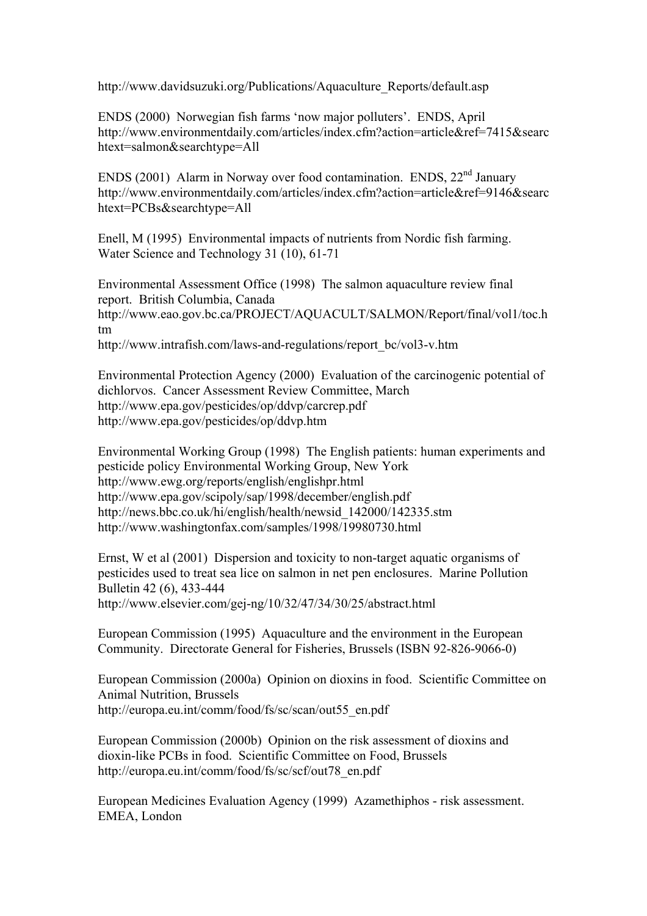http://www.davidsuzuki.org/Publications/Aquaculture\_Reports/default.asp

ENDS (2000) Norwegian fish farms 'now major polluters'. ENDS, April http://www.environmentdaily.com/articles/index.cfm?action=article&ref=7415&searc htext=salmon&searchtype=All

ENDS (2001) Alarm in Norway over food contamination. ENDS,  $22<sup>nd</sup>$  January http://www.environmentdaily.com/articles/index.cfm?action=article&ref=9146&searc htext=PCBs&searchtype=All

Enell, M (1995) Environmental impacts of nutrients from Nordic fish farming. Water Science and Technology 31 (10), 61-71

Environmental Assessment Office (1998) The salmon aquaculture review final report. British Columbia, Canada http://www.eao.gov.bc.ca/PROJECT/AQUACULT/SALMON/Report/final/vol1/toc.h tm http://www.intrafish.com/laws-and-regulations/report\_bc/vol3-v.htm

Environmental Protection Agency (2000) Evaluation of the carcinogenic potential of dichlorvos. Cancer Assessment Review Committee, March http://www.epa.gov/pesticides/op/ddvp/carcrep.pdf http://www.epa.gov/pesticides/op/ddvp.htm

Environmental Working Group (1998) The English patients: human experiments and pesticide policy Environmental Working Group, New York http://www.ewg.org/reports/english/englishpr.html http://www.epa.gov/scipoly/sap/1998/december/english.pdf http://news.bbc.co.uk/hi/english/health/newsid\_142000/142335.stm http://www.washingtonfax.com/samples/1998/19980730.html

Ernst, W et al (2001) Dispersion and toxicity to non-target aquatic organisms of pesticides used to treat sea lice on salmon in net pen enclosures. Marine Pollution Bulletin 42 (6), 433-444

http://www.elsevier.com/gej-ng/10/32/47/34/30/25/abstract.html

European Commission (1995) Aquaculture and the environment in the European Community. Directorate General for Fisheries, Brussels (ISBN 92-826-9066-0)

European Commission (2000a) Opinion on dioxins in food. Scientific Committee on Animal Nutrition, Brussels http://europa.eu.int/comm/food/fs/sc/scan/out55\_en.pdf

European Commission (2000b) Opinion on the risk assessment of dioxins and dioxin-like PCBs in food. Scientific Committee on Food, Brussels http://europa.eu.int/comm/food/fs/sc/scf/out78\_en.pdf

European Medicines Evaluation Agency (1999) Azamethiphos - risk assessment. EMEA, London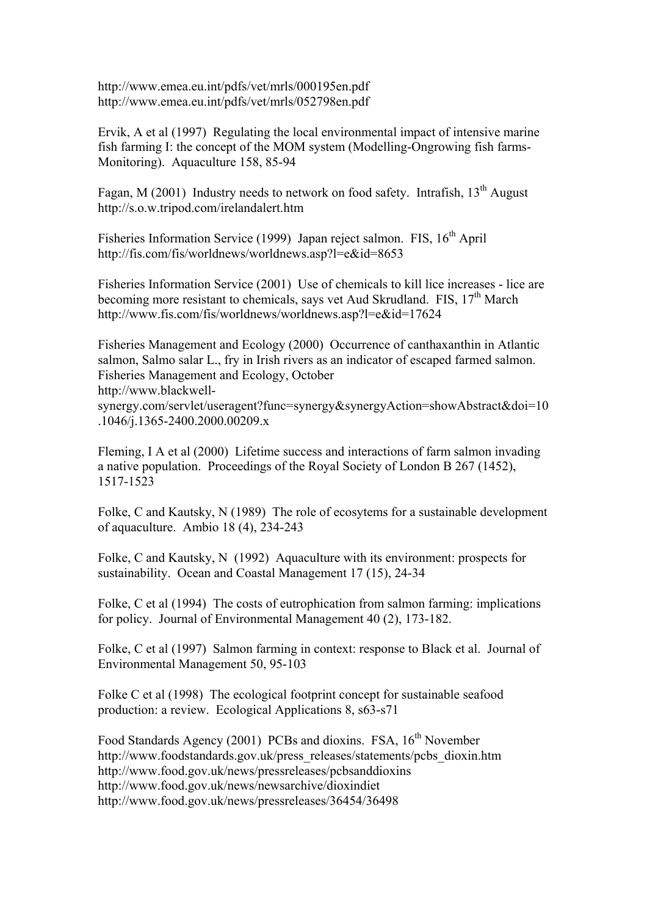http://www.emea.eu.int/pdfs/vet/mrls/000195en.pdf http://www.emea.eu.int/pdfs/vet/mrls/052798en.pdf

Ervik, A et al (1997) Regulating the local environmental impact of intensive marine fish farming I: the concept of the MOM system (Modelling-Ongrowing fish farms-Monitoring). Aquaculture 158, 85-94

Fagan, M (2001) Industry needs to network on food safety. Intrafish,  $13<sup>th</sup>$  August http://s.o.w.tripod.com/irelandalert.htm

Fisheries Information Service (1999) Japan reject salmon. FIS, 16<sup>th</sup> April http://fis.com/fis/worldnews/worldnews.asp?l=e&id=8653

Fisheries Information Service (2001) Use of chemicals to kill lice increases - lice are becoming more resistant to chemicals, says vet Aud Skrudland. FIS,  $17<sup>th</sup>$  March http://www.fis.com/fis/worldnews/worldnews.asp?l=e&id=17624

Fisheries Management and Ecology (2000) Occurrence of canthaxanthin in Atlantic salmon, Salmo salar L., fry in Irish rivers as an indicator of escaped farmed salmon. Fisheries Management and Ecology, October http://www.blackwell-

synergy.com/servlet/useragent?func=synergy&synergyAction=showAbstract&doi=10 .1046/j.1365-2400.2000.00209.x

Fleming, I A et al (2000) Lifetime success and interactions of farm salmon invading a native population. Proceedings of the Royal Society of London B 267 (1452), 1517-1523

Folke, C and Kautsky, N (1989) The role of ecosytems for a sustainable development of aquaculture. Ambio 18 (4), 234-243

Folke, C and Kautsky, N (1992) Aquaculture with its environment: prospects for sustainability. Ocean and Coastal Management 17 (15), 24-34

Folke, C et al (1994) The costs of eutrophication from salmon farming: implications for policy. Journal of Environmental Management 40 (2), 173-182.

Folke, C et al (1997) Salmon farming in context: response to Black et al. Journal of Environmental Management 50, 95-103

Folke C et al (1998) The ecological footprint concept for sustainable seafood production: a review. Ecological Applications 8, s63-s71

Food Standards Agency (2001) PCBs and dioxins. FSA, 16<sup>th</sup> November http://www.foodstandards.gov.uk/press\_releases/statements/pcbs\_dioxin.htm http://www.food.gov.uk/news/pressreleases/pcbsanddioxins http://www.food.gov.uk/news/newsarchive/dioxindiet http://www.food.gov.uk/news/pressreleases/36454/36498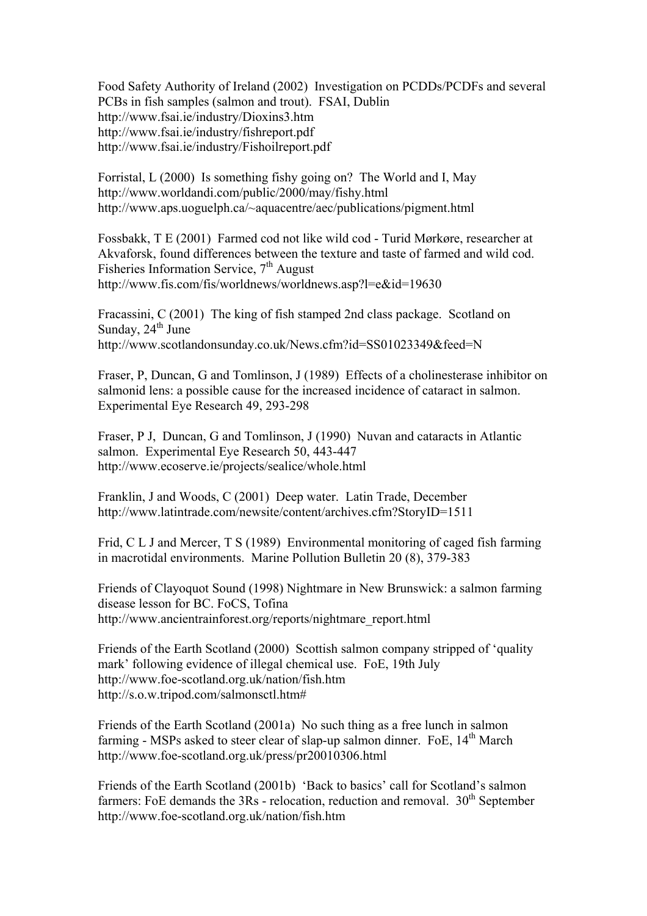Food Safety Authority of Ireland (2002) Investigation on PCDDs/PCDFs and several PCBs in fish samples (salmon and trout). FSAI, Dublin http://www.fsai.ie/industry/Dioxins3.htm http://www.fsai.ie/industry/fishreport.pdf http://www.fsai.ie/industry/Fishoilreport.pdf

Forristal, L (2000) Is something fishy going on? The World and I, May http://www.worldandi.com/public/2000/may/fishy.html http://www.aps.uoguelph.ca/~aquacentre/aec/publications/pigment.html

Fossbakk, T E (2001) Farmed cod not like wild cod - Turid Mørkøre, researcher at Akvaforsk, found differences between the texture and taste of farmed and wild cod. Fisheries Information Service, 7<sup>th</sup> August http://www.fis.com/fis/worldnews/worldnews.asp?l=e&id=19630

Fracassini, C (2001) The king of fish stamped 2nd class package. Scotland on Sunday,  $24^{th}$  June http://www.scotlandonsunday.co.uk/News.cfm?id=SS01023349&feed=N

Fraser, P, Duncan, G and Tomlinson, J (1989) Effects of a cholinesterase inhibitor on salmonid lens: a possible cause for the increased incidence of cataract in salmon. Experimental Eye Research 49, 293-298

Fraser, P J, Duncan, G and Tomlinson, J (1990) Nuvan and cataracts in Atlantic salmon. Experimental Eye Research 50, 443-447 http://www.ecoserve.ie/projects/sealice/whole.html

Franklin, J and Woods, C (2001) Deep water. Latin Trade, December http://www.latintrade.com/newsite/content/archives.cfm?StoryID=1511

Frid, C L J and Mercer, T S (1989) Environmental monitoring of caged fish farming in macrotidal environments. Marine Pollution Bulletin 20 (8), 379-383

Friends of Clayoquot Sound (1998) Nightmare in New Brunswick: a salmon farming disease lesson for BC. FoCS, Tofina http://www.ancientrainforest.org/reports/nightmare\_report.html

Friends of the Earth Scotland (2000) Scottish salmon company stripped of 'quality mark' following evidence of illegal chemical use. FoE, 19th July http://www.foe-scotland.org.uk/nation/fish.htm http://s.o.w.tripod.com/salmonsctl.htm#

Friends of the Earth Scotland (2001a) No such thing as a free lunch in salmon farming - MSPs asked to steer clear of slap-up salmon dinner. FoE,  $14<sup>th</sup>$  March http://www.foe-scotland.org.uk/press/pr20010306.html

Friends of the Earth Scotland (2001b) 'Back to basics' call for Scotland's salmon farmers: FoE demands the  $3Rs$  - relocation, reduction and removal.  $30<sup>th</sup>$  September http://www.foe-scotland.org.uk/nation/fish.htm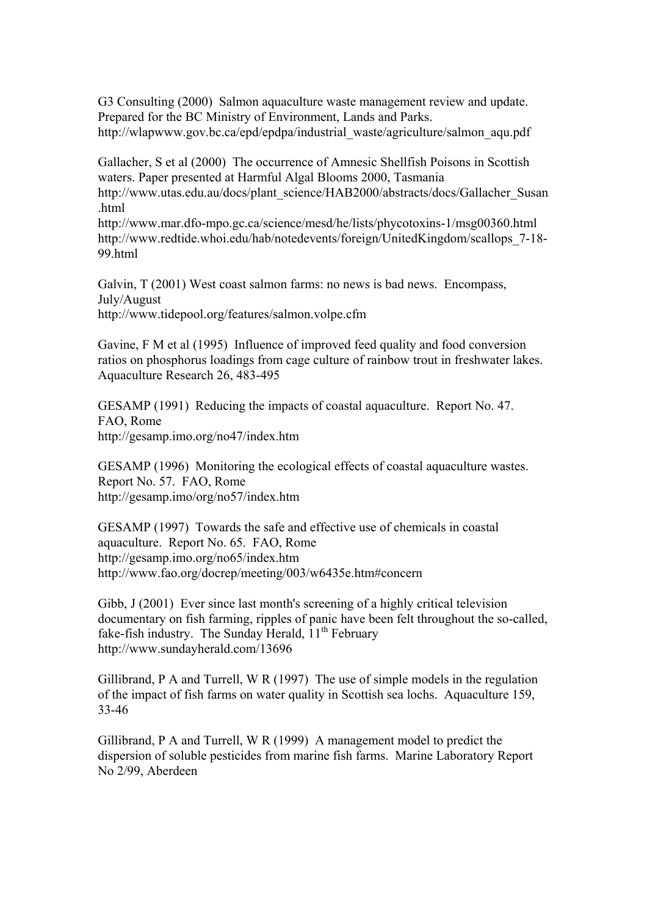G3 Consulting (2000) Salmon aquaculture waste management review and update. Prepared for the BC Ministry of Environment, Lands and Parks. http://wlapwww.gov.bc.ca/epd/epdpa/industrial\_waste/agriculture/salmon\_aqu.pdf

Gallacher, S et al (2000) The occurrence of Amnesic Shellfish Poisons in Scottish waters. Paper presented at Harmful Algal Blooms 2000, Tasmania http://www.utas.edu.au/docs/plant\_science/HAB2000/abstracts/docs/Gallacher\_Susan .html

http://www.mar.dfo-mpo.gc.ca/science/mesd/he/lists/phycotoxins-1/msg00360.html http://www.redtide.whoi.edu/hab/notedevents/foreign/UnitedKingdom/scallops 7-18-99.html

Galvin, T (2001) West coast salmon farms: no news is bad news. Encompass, July/August http://www.tidepool.org/features/salmon.volpe.cfm

Gavine, F M et al (1995) Influence of improved feed quality and food conversion ratios on phosphorus loadings from cage culture of rainbow trout in freshwater lakes. Aquaculture Research 26, 483-495

GESAMP (1991) Reducing the impacts of coastal aquaculture. Report No. 47. FAO, Rome http://gesamp.imo.org/no47/index.htm

GESAMP (1996) Monitoring the ecological effects of coastal aquaculture wastes. Report No. 57. FAO, Rome http://gesamp.imo/org/no57/index.htm

GESAMP (1997) Towards the safe and effective use of chemicals in coastal aquaculture. Report No. 65. FAO, Rome http://gesamp.imo.org/no65/index.htm http://www.fao.org/docrep/meeting/003/w6435e.htm#concern

Gibb, J (2001) Ever since last month's screening of a highly critical television documentary on fish farming, ripples of panic have been felt throughout the so-called, fake-fish industry. The Sunday Herald,  $11<sup>th</sup>$  February http://www.sundayherald.com/13696

Gillibrand, P A and Turrell, W R (1997) The use of simple models in the regulation of the impact of fish farms on water quality in Scottish sea lochs. Aquaculture 159, 33-46

Gillibrand, P A and Turrell, W R (1999) A management model to predict the dispersion of soluble pesticides from marine fish farms. Marine Laboratory Report No 2/99, Aberdeen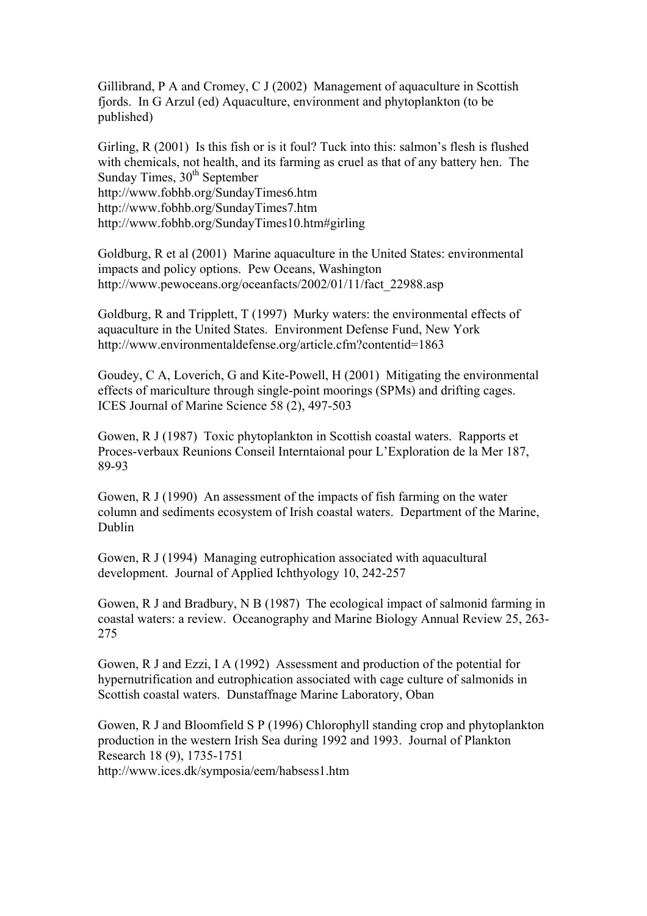Gillibrand, P A and Cromey, C J (2002) Management of aquaculture in Scottish fjords. In G Arzul (ed) Aquaculture, environment and phytoplankton (to be published)

Girling, R (2001) Is this fish or is it foul? Tuck into this: salmon's flesh is flushed with chemicals, not health, and its farming as cruel as that of any battery hen. The Sunday Times,  $30<sup>th</sup>$  September http://www.fobhb.org/SundayTimes6.htm http://www.fobhb.org/SundayTimes7.htm http://www.fobhb.org/SundayTimes10.htm#girling

Goldburg, R et al (2001) Marine aquaculture in the United States: environmental impacts and policy options. Pew Oceans, Washington http://www.pewoceans.org/oceanfacts/2002/01/11/fact\_22988.asp

Goldburg, R and Tripplett, T (1997) Murky waters: the environmental effects of aquaculture in the United States. Environment Defense Fund, New York http://www.environmentaldefense.org/article.cfm?contentid=1863

Goudey, C A, Loverich, G and Kite-Powell, H (2001) Mitigating the environmental effects of mariculture through single-point moorings (SPMs) and drifting cages. ICES Journal of Marine Science 58 (2), 497-503

Gowen, R J (1987) Toxic phytoplankton in Scottish coastal waters. Rapports et Proces-verbaux Reunions Conseil Interntaional pour L'Exploration de la Mer 187, 89-93

Gowen, R J (1990) An assessment of the impacts of fish farming on the water column and sediments ecosystem of Irish coastal waters. Department of the Marine, Dublin

Gowen, R J (1994) Managing eutrophication associated with aquacultural development. Journal of Applied Ichthyology 10, 242-257

Gowen, R J and Bradbury, N B (1987) The ecological impact of salmonid farming in coastal waters: a review. Oceanography and Marine Biology Annual Review 25, 263- 275

Gowen, R J and Ezzi, I A (1992) Assessment and production of the potential for hypernutrification and eutrophication associated with cage culture of salmonids in Scottish coastal waters. Dunstaffnage Marine Laboratory, Oban

Gowen, R J and Bloomfield S P (1996) Chlorophyll standing crop and phytoplankton production in the western Irish Sea during 1992 and 1993. Journal of Plankton Research 18 (9), 1735-1751 http://www.ices.dk/symposia/eem/habsess1.htm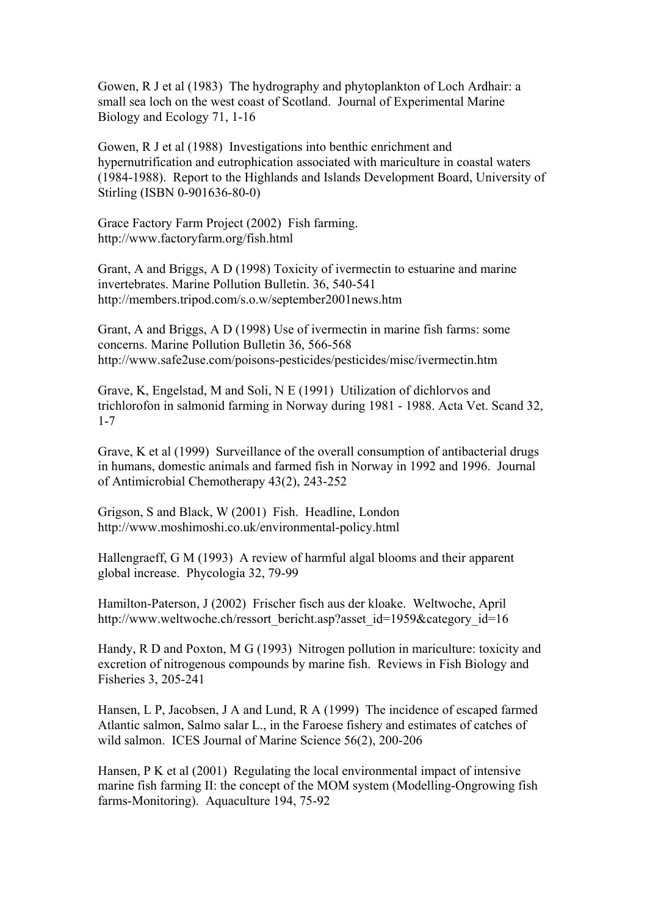Gowen, R J et al (1983) The hydrography and phytoplankton of Loch Ardhair: a small sea loch on the west coast of Scotland. Journal of Experimental Marine Biology and Ecology 71, 1-16

Gowen, R J et al (1988) Investigations into benthic enrichment and hypernutrification and eutrophication associated with mariculture in coastal waters (1984-1988). Report to the Highlands and Islands Development Board, University of Stirling (ISBN 0-901636-80-0)

Grace Factory Farm Project (2002) Fish farming. http://www.factoryfarm.org/fish.html

Grant, A and Briggs, A D (1998) Toxicity of ivermectin to estuarine and marine invertebrates. Marine Pollution Bulletin. 36, 540-541 http://members.tripod.com/s.o.w/september2001news.htm

Grant, A and Briggs, A D (1998) Use of ivermectin in marine fish farms: some concerns. Marine Pollution Bulletin 36, 566-568 http://www.safe2use.com/poisons-pesticides/pesticides/misc/ivermectin.htm

Grave, K, Engelstad, M and Soli, N E (1991) Utilization of dichlorvos and trichlorofon in salmonid farming in Norway during 1981 - 1988. Acta Vet. Scand 32, 1-7

Grave, K et al (1999) Surveillance of the overall consumption of antibacterial drugs in humans, domestic animals and farmed fish in Norway in 1992 and 1996. Journal of Antimicrobial Chemotherapy 43(2), 243-252

Grigson, S and Black, W (2001) Fish. Headline, London http://www.moshimoshi.co.uk/environmental-policy.html

Hallengraeff, G M (1993) A review of harmful algal blooms and their apparent global increase. Phycologia 32, 79-99

Hamilton-Paterson, J (2002) Frischer fisch aus der kloake. Weltwoche, April http://www.weltwoche.ch/ressort\_bericht.asp?asset\_id=1959&category\_id=16

Handy, R D and Poxton, M G (1993) Nitrogen pollution in mariculture: toxicity and excretion of nitrogenous compounds by marine fish. Reviews in Fish Biology and Fisheries 3, 205-241

Hansen, L P, Jacobsen, J A and Lund, R A (1999) The incidence of escaped farmed Atlantic salmon, Salmo salar L., in the Faroese fishery and estimates of catches of wild salmon. ICES Journal of Marine Science 56(2), 200-206

Hansen, P K et al (2001) Regulating the local environmental impact of intensive marine fish farming II: the concept of the MOM system (Modelling-Ongrowing fish farms-Monitoring). Aquaculture 194, 75-92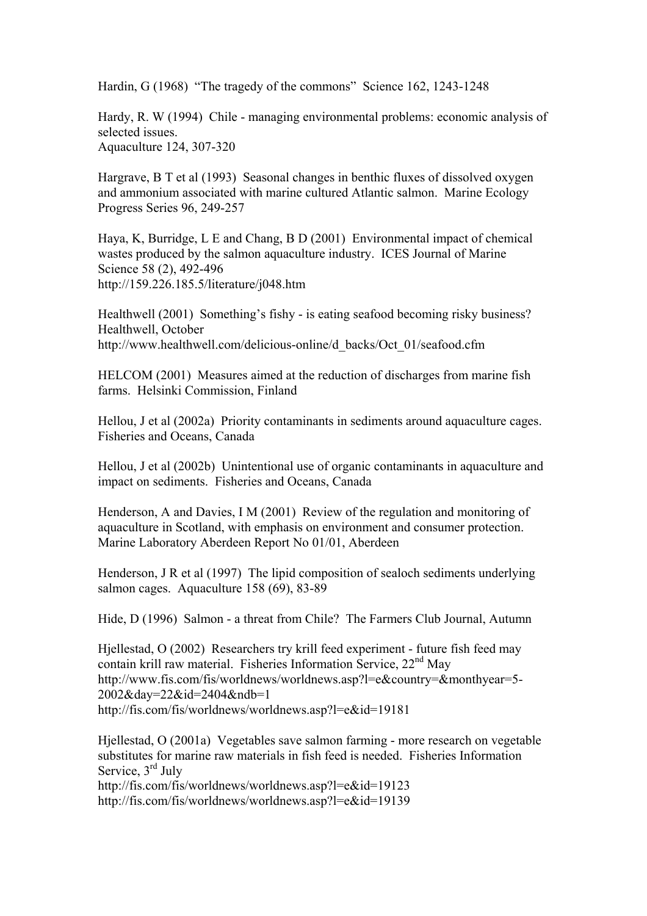Hardin, G (1968) "The tragedy of the commons" Science 162, 1243-1248

Hardy, R. W (1994) Chile - managing environmental problems: economic analysis of selected issues. Aquaculture 124, 307-320

Hargrave, B T et al (1993) Seasonal changes in benthic fluxes of dissolved oxygen and ammonium associated with marine cultured Atlantic salmon. Marine Ecology Progress Series 96, 249-257

Haya, K, Burridge, L E and Chang, B D (2001) Environmental impact of chemical wastes produced by the salmon aquaculture industry. ICES Journal of Marine Science 58 (2), 492-496 http://159.226.185.5/literature/j048.htm

Healthwell (2001) Something's fishy - is eating seafood becoming risky business? Healthwell, October http://www.healthwell.com/delicious-online/d\_backs/Oct\_01/seafood.cfm

HELCOM (2001) Measures aimed at the reduction of discharges from marine fish farms. Helsinki Commission, Finland

Hellou, J et al (2002a) Priority contaminants in sediments around aquaculture cages. Fisheries and Oceans, Canada

Hellou, J et al (2002b) Unintentional use of organic contaminants in aquaculture and impact on sediments. Fisheries and Oceans, Canada

Henderson, A and Davies, I M (2001) Review of the regulation and monitoring of aquaculture in Scotland, with emphasis on environment and consumer protection. Marine Laboratory Aberdeen Report No 01/01, Aberdeen

Henderson, J R et al (1997) The lipid composition of sealoch sediments underlying salmon cages. Aquaculture 158 (69), 83-89

Hide, D (1996) Salmon - a threat from Chile? The Farmers Club Journal, Autumn

Hjellestad, O (2002) Researchers try krill feed experiment - future fish feed may contain krill raw material. Fisheries Information Service, 22<sup>nd</sup> May http://www.fis.com/fis/worldnews/worldnews.asp?l=e&country=&monthyear=5- 2002&day=22&id=2404&ndb=1 http://fis.com/fis/worldnews/worldnews.asp?l=e&id=19181

Hjellestad, O (2001a) Vegetables save salmon farming - more research on vegetable substitutes for marine raw materials in fish feed is needed. Fisheries Information Service, 3<sup>rd</sup> July http://fis.com/fis/worldnews/worldnews.asp?l=e&id=19123

http://fis.com/fis/worldnews/worldnews.asp?l=e&id=19139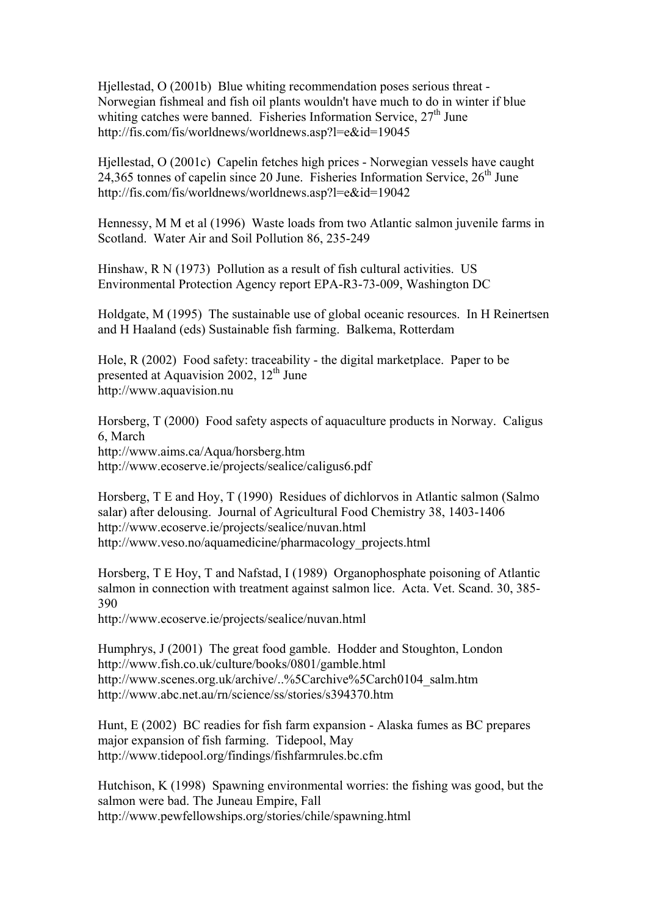Hjellestad, O (2001b) Blue whiting recommendation poses serious threat - Norwegian fishmeal and fish oil plants wouldn't have much to do in winter if blue whiting catches were banned. Fisheries Information Service,  $27<sup>th</sup>$  June http://fis.com/fis/worldnews/worldnews.asp?l=e&id=19045

Hjellestad, O (2001c) Capelin fetches high prices - Norwegian vessels have caught 24,365 tonnes of capelin since 20 June. Fisheries Information Service,  $26<sup>th</sup>$  June http://fis.com/fis/worldnews/worldnews.asp?l=e&id=19042

Hennessy, M M et al (1996) Waste loads from two Atlantic salmon juvenile farms in Scotland. Water Air and Soil Pollution 86, 235-249

Hinshaw, R N (1973) Pollution as a result of fish cultural activities. US Environmental Protection Agency report EPA-R3-73-009, Washington DC

Holdgate, M (1995) The sustainable use of global oceanic resources. In H Reinertsen and H Haaland (eds) Sustainable fish farming. Balkema, Rotterdam

Hole, R (2002) Food safety: traceability - the digital marketplace. Paper to be presented at Aquavision 2002,  $12^{th}$  June http://www.aquavision.nu

Horsberg, T (2000) Food safety aspects of aquaculture products in Norway. Caligus 6, March http://www.aims.ca/Aqua/horsberg.htm http://www.ecoserve.ie/projects/sealice/caligus6.pdf

Horsberg, T E and Hoy, T (1990) Residues of dichlorvos in Atlantic salmon (Salmo salar) after delousing. Journal of Agricultural Food Chemistry 38, 1403-1406 http://www.ecoserve.ie/projects/sealice/nuvan.html http://www.veso.no/aquamedicine/pharmacology\_projects.html

Horsberg, T E Hoy, T and Nafstad, I (1989) Organophosphate poisoning of Atlantic salmon in connection with treatment against salmon lice. Acta. Vet. Scand. 30, 385- 390

http://www.ecoserve.ie/projects/sealice/nuvan.html

Humphrys, J (2001) The great food gamble. Hodder and Stoughton, London http://www.fish.co.uk/culture/books/0801/gamble.html http://www.scenes.org.uk/archive/..%5Carchive%5Carch0104\_salm.htm http://www.abc.net.au/rn/science/ss/stories/s394370.htm

Hunt, E (2002) BC readies for fish farm expansion - Alaska fumes as BC prepares major expansion of fish farming. Tidepool, May http://www.tidepool.org/findings/fishfarmrules.bc.cfm

Hutchison, K (1998) Spawning environmental worries: the fishing was good, but the salmon were bad. The Juneau Empire, Fall http://www.pewfellowships.org/stories/chile/spawning.html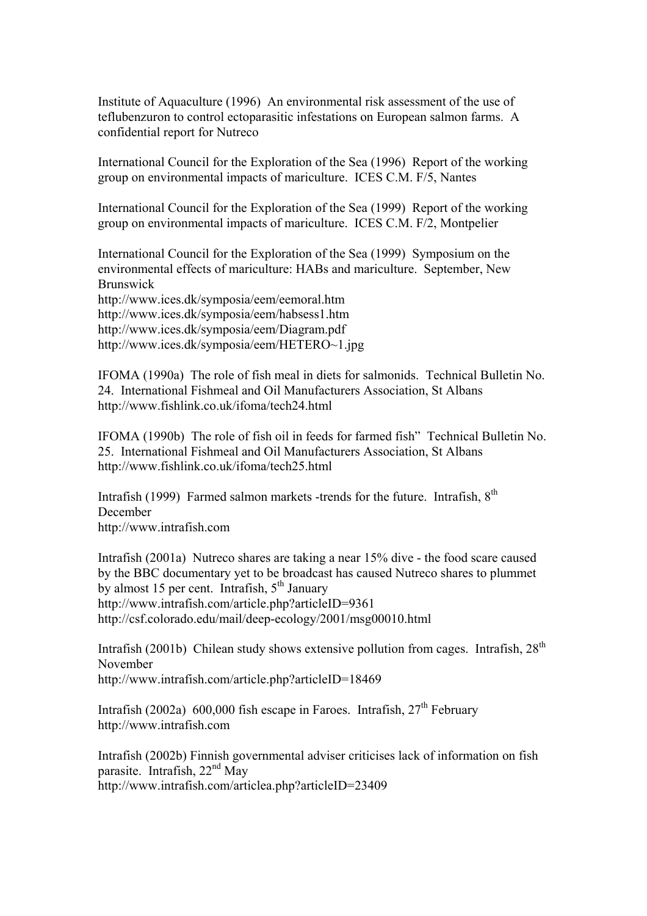Institute of Aquaculture (1996) An environmental risk assessment of the use of teflubenzuron to control ectoparasitic infestations on European salmon farms. A confidential report for Nutreco

International Council for the Exploration of the Sea (1996) Report of the working group on environmental impacts of mariculture. ICES C.M. F/5, Nantes

International Council for the Exploration of the Sea (1999) Report of the working group on environmental impacts of mariculture. ICES C.M. F/2, Montpelier

International Council for the Exploration of the Sea (1999) Symposium on the environmental effects of mariculture: HABs and mariculture. September, New Brunswick

http://www.ices.dk/symposia/eem/eemoral.htm http://www.ices.dk/symposia/eem/habsess1.htm http://www.ices.dk/symposia/eem/Diagram.pdf http://www.ices.dk/symposia/eem/HETERO~1.jpg

IFOMA (1990a) The role of fish meal in diets for salmonids. Technical Bulletin No. 24. International Fishmeal and Oil Manufacturers Association, St Albans http://www.fishlink.co.uk/ifoma/tech24.html

IFOMA (1990b) The role of fish oil in feeds for farmed fish" Technical Bulletin No. 25. International Fishmeal and Oil Manufacturers Association, St Albans http://www.fishlink.co.uk/ifoma/tech25.html

Intrafish (1999) Farmed salmon markets -trends for the future. Intrafish,  $8<sup>th</sup>$ December http://www.intrafish.com

Intrafish (2001a) Nutreco shares are taking a near 15% dive - the food scare caused by the BBC documentary yet to be broadcast has caused Nutreco shares to plummet by almost 15 per cent. Intrafish,  $5<sup>th</sup>$  January http://www.intrafish.com/article.php?articleID=9361 http://csf.colorado.edu/mail/deep-ecology/2001/msg00010.html

Intrafish (2001b) Chilean study shows extensive pollution from cages. Intrafish,  $28<sup>th</sup>$ November http://www.intrafish.com/article.php?articleID=18469

Intrafish (2002a) 600,000 fish escape in Faroes. Intrafish,  $27<sup>th</sup>$  February http://www.intrafish.com

Intrafish (2002b) Finnish governmental adviser criticises lack of information on fish parasite. Intrafish, 22<sup>nd</sup> May http://www.intrafish.com/articlea.php?articleID=23409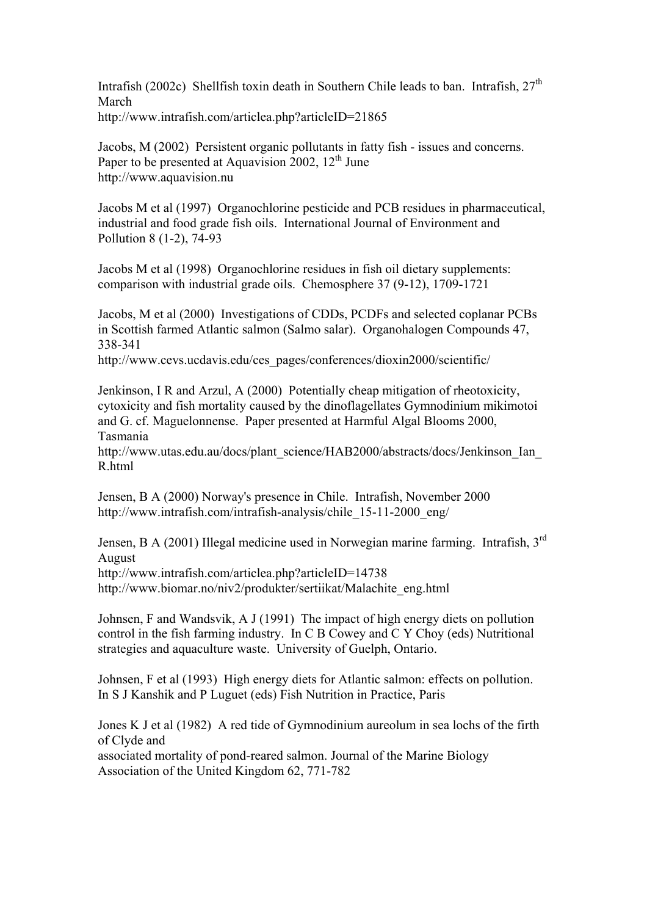Intrafish (2002c) Shellfish toxin death in Southern Chile leads to ban. Intrafish,  $27<sup>th</sup>$ March http://www.intrafish.com/articlea.php?articleID=21865

Jacobs, M (2002) Persistent organic pollutants in fatty fish - issues and concerns. Paper to be presented at Aquavision  $2002$ ,  $12<sup>th</sup>$  June http://www.aquavision.nu

Jacobs M et al (1997) Organochlorine pesticide and PCB residues in pharmaceutical, industrial and food grade fish oils. International Journal of Environment and Pollution 8 (1-2), 74-93

Jacobs M et al (1998) Organochlorine residues in fish oil dietary supplements: comparison with industrial grade oils. Chemosphere 37 (9-12), 1709-1721

Jacobs, M et al (2000) Investigations of CDDs, PCDFs and selected coplanar PCBs in Scottish farmed Atlantic salmon (Salmo salar). Organohalogen Compounds 47, 338-341

http://www.cevs.ucdavis.edu/ces\_pages/conferences/dioxin2000/scientific/

Jenkinson, I R and Arzul, A (2000) Potentially cheap mitigation of rheotoxicity, cytoxicity and fish mortality caused by the dinoflagellates Gymnodinium mikimotoi and G. cf. Maguelonnense. Paper presented at Harmful Algal Blooms 2000, Tasmania

http://www.utas.edu.au/docs/plant\_science/HAB2000/abstracts/docs/Jenkinson\_Ian R.html

Jensen, B A (2000) Norway's presence in Chile. Intrafish, November 2000 http://www.intrafish.com/intrafish-analysis/chile\_15-11-2000\_eng/

Jensen, B A (2001) Illegal medicine used in Norwegian marine farming. Intrafish, 3rd August

http://www.intrafish.com/articlea.php?articleID=14738

http://www.biomar.no/niv2/produkter/sertiikat/Malachite\_eng.html

Johnsen, F and Wandsvik, A J (1991) The impact of high energy diets on pollution control in the fish farming industry. In C B Cowey and C Y Choy (eds) Nutritional strategies and aquaculture waste. University of Guelph, Ontario.

Johnsen, F et al (1993) High energy diets for Atlantic salmon: effects on pollution. In S J Kanshik and P Luguet (eds) Fish Nutrition in Practice, Paris

Jones K J et al (1982) A red tide of Gymnodinium aureolum in sea lochs of the firth of Clyde and associated mortality of pond-reared salmon. Journal of the Marine Biology

Association of the United Kingdom 62, 771-782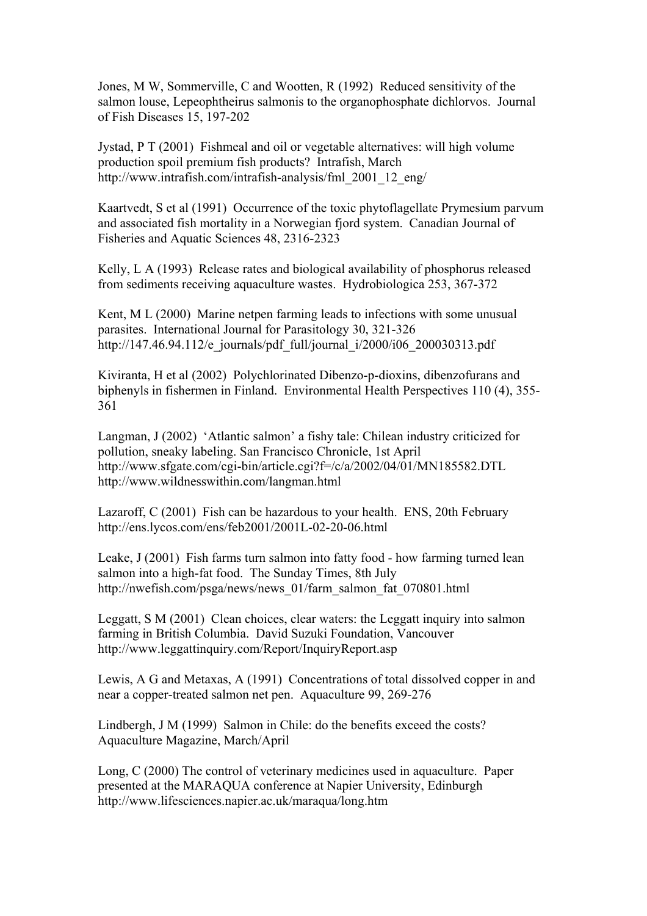Jones, M W, Sommerville, C and Wootten, R (1992) Reduced sensitivity of the salmon louse, Lepeophtheirus salmonis to the organophosphate dichlorvos. Journal of Fish Diseases 15, 197-202

Jystad, P T (2001) Fishmeal and oil or vegetable alternatives: will high volume production spoil premium fish products? Intrafish, March http://www.intrafish.com/intrafish-analysis/fml\_2001\_12\_eng/

Kaartvedt, S et al (1991) Occurrence of the toxic phytoflagellate Prymesium parvum and associated fish mortality in a Norwegian fjord system. Canadian Journal of Fisheries and Aquatic Sciences 48, 2316-2323

Kelly, L A (1993) Release rates and biological availability of phosphorus released from sediments receiving aquaculture wastes. Hydrobiologica 253, 367-372

Kent, M L (2000) Marine netpen farming leads to infections with some unusual parasites. International Journal for Parasitology 30, 321-326 http://147.46.94.112/e\_journals/pdf\_full/journal\_i/2000/i06\_200030313.pdf

Kiviranta, H et al (2002) Polychlorinated Dibenzo-p-dioxins, dibenzofurans and biphenyls in fishermen in Finland. Environmental Health Perspectives 110 (4), 355- 361

Langman, J (2002) 'Atlantic salmon' a fishy tale: Chilean industry criticized for pollution, sneaky labeling. San Francisco Chronicle, 1st April http://www.sfgate.com/cgi-bin/article.cgi?f=/c/a/2002/04/01/MN185582.DTL http://www.wildnesswithin.com/langman.html

Lazaroff, C (2001) Fish can be hazardous to your health. ENS, 20th February http://ens.lycos.com/ens/feb2001/2001L-02-20-06.html

Leake, J (2001) Fish farms turn salmon into fatty food - how farming turned lean salmon into a high-fat food. The Sunday Times, 8th July http://nwefish.com/psga/news/news\_01/farm\_salmon\_fat\_070801.html

Leggatt, S M (2001) Clean choices, clear waters: the Leggatt inquiry into salmon farming in British Columbia. David Suzuki Foundation, Vancouver http://www.leggattinquiry.com/Report/InquiryReport.asp

Lewis, A G and Metaxas, A (1991) Concentrations of total dissolved copper in and near a copper-treated salmon net pen. Aquaculture 99, 269-276

Lindbergh, J M (1999) Salmon in Chile: do the benefits exceed the costs? Aquaculture Magazine, March/April

Long, C (2000) The control of veterinary medicines used in aquaculture. Paper presented at the MARAQUA conference at Napier University, Edinburgh http://www.lifesciences.napier.ac.uk/maraqua/long.htm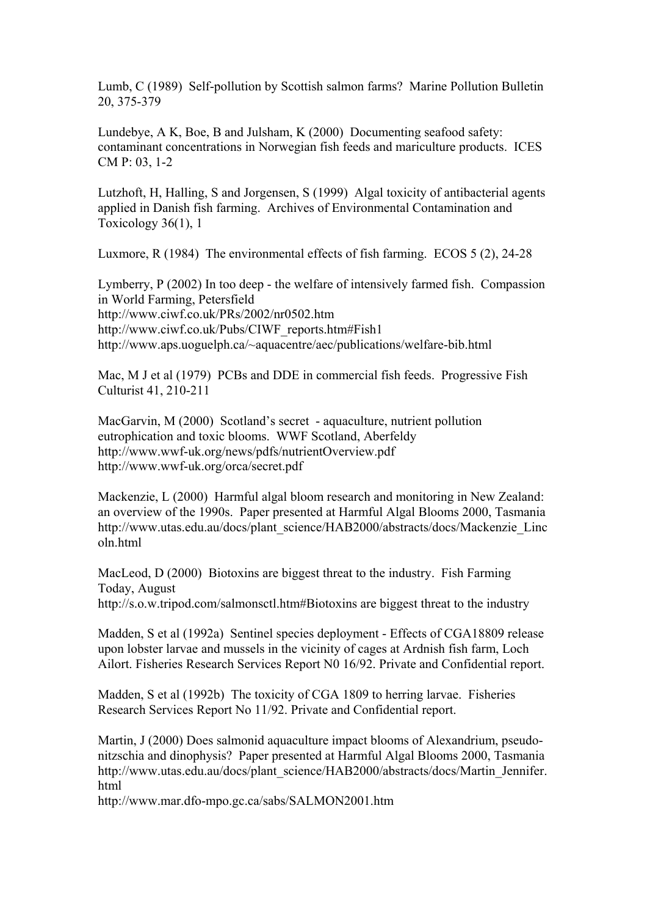Lumb, C (1989) Self-pollution by Scottish salmon farms? Marine Pollution Bulletin 20, 375-379

Lundebye, A K, Boe, B and Julsham, K (2000) Documenting seafood safety: contaminant concentrations in Norwegian fish feeds and mariculture products. ICES CM P: 03, 1-2

Lutzhoft, H, Halling, S and Jorgensen, S (1999) Algal toxicity of antibacterial agents applied in Danish fish farming. Archives of Environmental Contamination and Toxicology 36(1), 1

Luxmore, R (1984) The environmental effects of fish farming. ECOS 5 (2), 24-28

Lymberry, P (2002) In too deep - the welfare of intensively farmed fish. Compassion in World Farming, Petersfield http://www.ciwf.co.uk/PRs/2002/nr0502.htm http://www.ciwf.co.uk/Pubs/CIWF\_reports.htm#Fish1 http://www.aps.uoguelph.ca/~aquacentre/aec/publications/welfare-bib.html

Mac, M J et al (1979) PCBs and DDE in commercial fish feeds. Progressive Fish Culturist 41, 210-211

MacGarvin, M (2000) Scotland's secret - aquaculture, nutrient pollution eutrophication and toxic blooms. WWF Scotland, Aberfeldy http://www.wwf-uk.org/news/pdfs/nutrientOverview.pdf http://www.wwf-uk.org/orca/secret.pdf

Mackenzie, L (2000) Harmful algal bloom research and monitoring in New Zealand: an overview of the 1990s. Paper presented at Harmful Algal Blooms 2000, Tasmania http://www.utas.edu.au/docs/plant\_science/HAB2000/abstracts/docs/Mackenzie\_Linc oln.html

MacLeod, D (2000) Biotoxins are biggest threat to the industry. Fish Farming Today, August http://s.o.w.tripod.com/salmonsctl.htm#Biotoxins are biggest threat to the industry

Madden, S et al (1992a) Sentinel species deployment - Effects of CGA18809 release upon lobster larvae and mussels in the vicinity of cages at Ardnish fish farm, Loch Ailort. Fisheries Research Services Report N0 16/92. Private and Confidential report.

Madden, S et al (1992b) The toxicity of CGA 1809 to herring larvae. Fisheries Research Services Report No 11/92. Private and Confidential report.

Martin, J (2000) Does salmonid aquaculture impact blooms of Alexandrium, pseudonitzschia and dinophysis? Paper presented at Harmful Algal Blooms 2000, Tasmania http://www.utas.edu.au/docs/plant\_science/HAB2000/abstracts/docs/Martin\_Jennifer. html

http://www.mar.dfo-mpo.gc.ca/sabs/SALMON2001.htm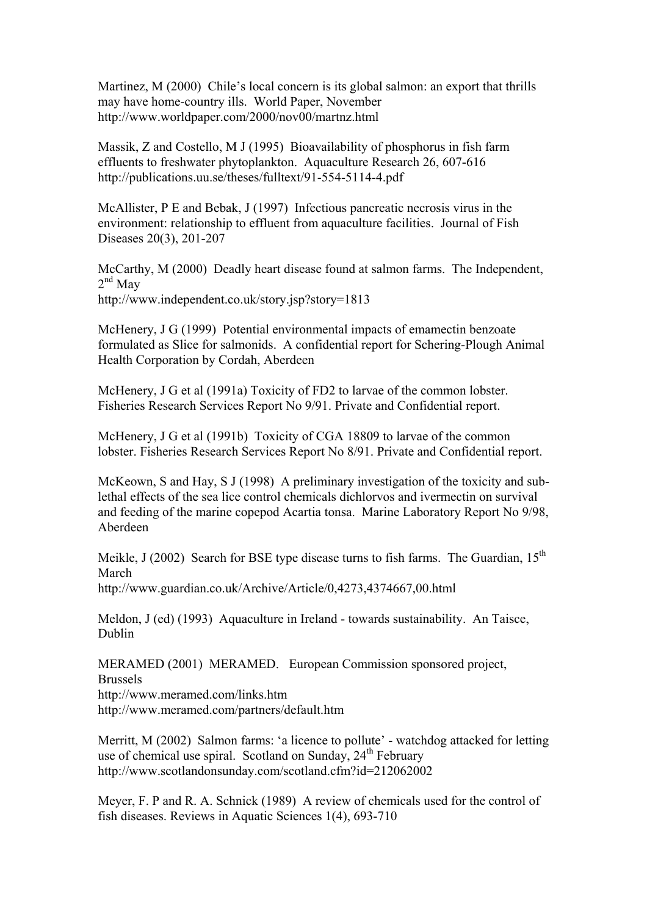Martinez, M (2000) Chile's local concern is its global salmon: an export that thrills may have home-country ills. World Paper, November http://www.worldpaper.com/2000/nov00/martnz.html

Massik, Z and Costello, M J (1995) Bioavailability of phosphorus in fish farm effluents to freshwater phytoplankton. Aquaculture Research 26, 607-616 http://publications.uu.se/theses/fulltext/91-554-5114-4.pdf

McAllister, P E and Bebak, J (1997) Infectious pancreatic necrosis virus in the environment: relationship to effluent from aquaculture facilities. Journal of Fish Diseases 20(3), 201-207

McCarthy, M (2000) Deadly heart disease found at salmon farms. The Independent,  $2<sup>nd</sup>$  May http://www.independent.co.uk/story.jsp?story=1813

McHenery, J G (1999) Potential environmental impacts of emamectin benzoate formulated as Slice for salmonids. A confidential report for Schering-Plough Animal Health Corporation by Cordah, Aberdeen

McHenery, J G et al (1991a) Toxicity of FD2 to larvae of the common lobster. Fisheries Research Services Report No 9/91. Private and Confidential report.

McHenery, J G et al (1991b) Toxicity of CGA 18809 to larvae of the common lobster. Fisheries Research Services Report No 8/91. Private and Confidential report.

McKeown, S and Hay, S J (1998) A preliminary investigation of the toxicity and sublethal effects of the sea lice control chemicals dichlorvos and ivermectin on survival and feeding of the marine copepod Acartia tonsa. Marine Laboratory Report No 9/98, Aberdeen

Meikle, J (2002) Search for BSE type disease turns to fish farms. The Guardian,  $15<sup>th</sup>$ March http://www.guardian.co.uk/Archive/Article/0,4273,4374667,00.html

Meldon, J (ed) (1993) Aquaculture in Ireland - towards sustainability. An Taisce, Dublin

MERAMED (2001) MERAMED. European Commission sponsored project, Brussels http://www.meramed.com/links.htm http://www.meramed.com/partners/default.htm

Merritt, M (2002) Salmon farms: 'a licence to pollute' - watchdog attacked for letting use of chemical use spiral. Scotland on Sunday, 24<sup>th</sup> February http://www.scotlandonsunday.com/scotland.cfm?id=212062002

Meyer, F. P and R. A. Schnick (1989) A review of chemicals used for the control of fish diseases. Reviews in Aquatic Sciences 1(4), 693-710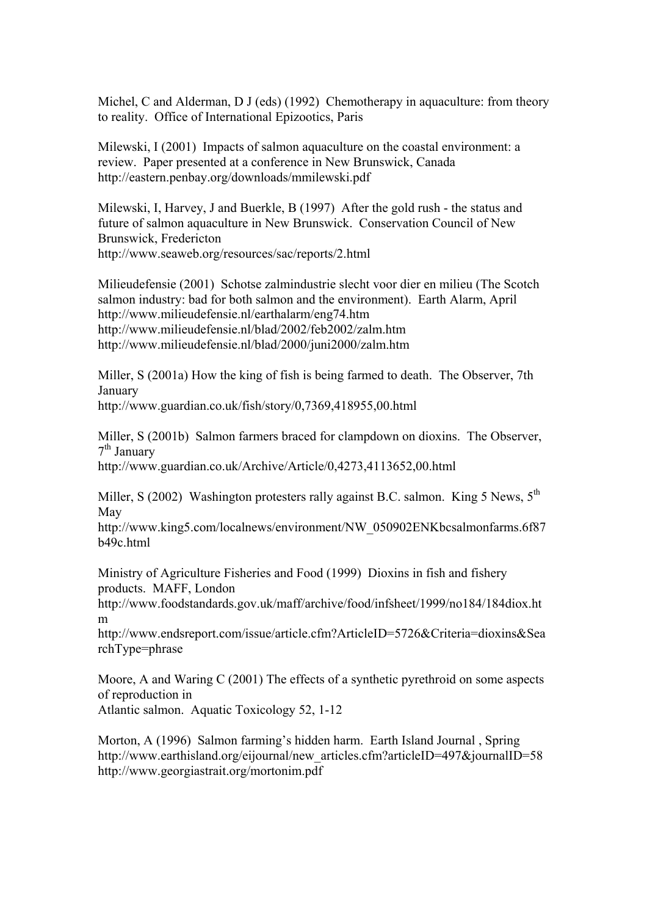Michel, C and Alderman, D J (eds) (1992) Chemotherapy in aquaculture: from theory to reality. Office of International Epizootics, Paris

Milewski, I (2001) Impacts of salmon aquaculture on the coastal environment: a review. Paper presented at a conference in New Brunswick, Canada http://eastern.penbay.org/downloads/mmilewski.pdf

Milewski, I, Harvey, J and Buerkle, B (1997) After the gold rush - the status and future of salmon aquaculture in New Brunswick. Conservation Council of New Brunswick, Fredericton http://www.seaweb.org/resources/sac/reports/2.html

Milieudefensie (2001) Schotse zalmindustrie slecht voor dier en milieu (The Scotch salmon industry: bad for both salmon and the environment). Earth Alarm, April http://www.milieudefensie.nl/earthalarm/eng74.htm http://www.milieudefensie.nl/blad/2002/feb2002/zalm.htm http://www.milieudefensie.nl/blad/2000/juni2000/zalm.htm

Miller, S (2001a) How the king of fish is being farmed to death. The Observer, 7th January

http://www.guardian.co.uk/fish/story/0,7369,418955,00.html

Miller, S (2001b) Salmon farmers braced for clampdown on dioxins. The Observer,  $7<sup>th</sup>$  January

http://www.guardian.co.uk/Archive/Article/0,4273,4113652,00.html

Miller, S (2002) Washington protesters rally against B.C. salmon. King 5 News, 5<sup>th</sup> May

http://www.king5.com/localnews/environment/NW\_050902ENKbcsalmonfarms.6f87 b49c.html

Ministry of Agriculture Fisheries and Food (1999) Dioxins in fish and fishery products. MAFF, London

http://www.foodstandards.gov.uk/maff/archive/food/infsheet/1999/no184/184diox.ht m

http://www.endsreport.com/issue/article.cfm?ArticleID=5726&Criteria=dioxins&Sea rchType=phrase

Moore, A and Waring C (2001) The effects of a synthetic pyrethroid on some aspects of reproduction in

Atlantic salmon. Aquatic Toxicology 52, 1-12

Morton, A (1996) Salmon farming's hidden harm. Earth Island Journal , Spring http://www.earthisland.org/eijournal/new\_articles.cfm?articleID=497&journalID=58 http://www.georgiastrait.org/mortonim.pdf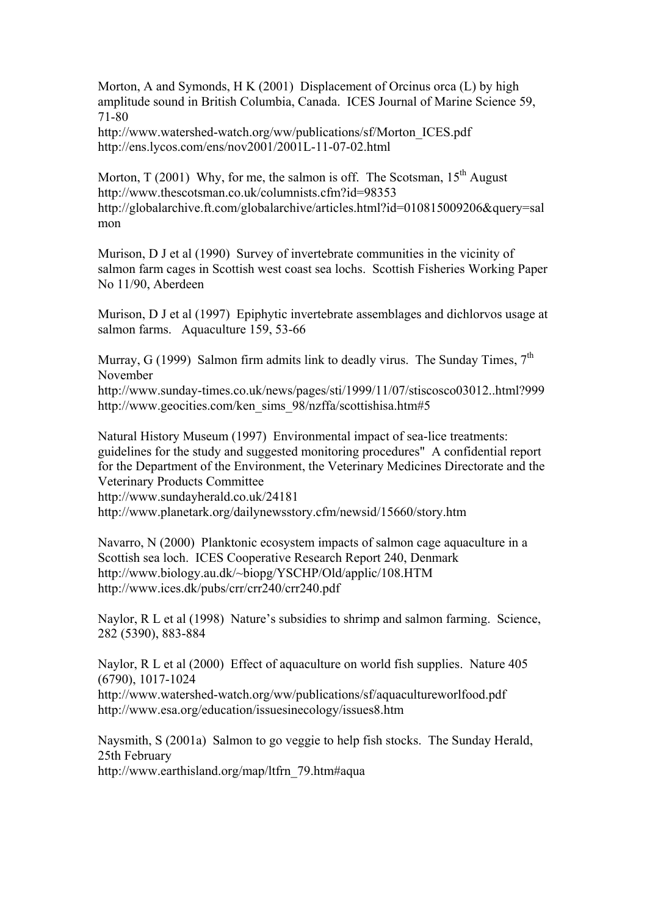Morton, A and Symonds, H K (2001) Displacement of Orcinus orca (L) by high amplitude sound in British Columbia, Canada. ICES Journal of Marine Science 59, 71-80

http://www.watershed-watch.org/ww/publications/sf/Morton\_ICES.pdf http://ens.lycos.com/ens/nov2001/2001L-11-07-02.html

Morton, T (2001) Why, for me, the salmon is off. The Scotsman,  $15<sup>th</sup>$  August http://www.thescotsman.co.uk/columnists.cfm?id=98353 http://globalarchive.ft.com/globalarchive/articles.html?id=010815009206&query=sal mon

Murison, D J et al (1990) Survey of invertebrate communities in the vicinity of salmon farm cages in Scottish west coast sea lochs. Scottish Fisheries Working Paper No 11/90, Aberdeen

Murison, D J et al (1997) Epiphytic invertebrate assemblages and dichlorvos usage at salmon farms. Aquaculture 159, 53-66

Murray, G (1999) Salmon firm admits link to deadly virus. The Sunday Times,  $7<sup>th</sup>$ November

http://www.sunday-times.co.uk/news/pages/sti/1999/11/07/stiscosco03012..html?999 http://www.geocities.com/ken\_sims\_98/nzffa/scottishisa.htm#5

Natural History Museum (1997) Environmental impact of sea-lice treatments: guidelines for the study and suggested monitoring procedures" A confidential report for the Department of the Environment, the Veterinary Medicines Directorate and the Veterinary Products Committee http://www.sundayherald.co.uk/24181

http://www.planetark.org/dailynewsstory.cfm/newsid/15660/story.htm

Navarro, N (2000) Planktonic ecosystem impacts of salmon cage aquaculture in a Scottish sea loch. ICES Cooperative Research Report 240, Denmark http://www.biology.au.dk/~biopg/YSCHP/Old/applic/108.HTM http://www.ices.dk/pubs/crr/crr240/crr240.pdf

Naylor, R L et al (1998) Nature's subsidies to shrimp and salmon farming. Science, 282 (5390), 883-884

Naylor, R L et al (2000) Effect of aquaculture on world fish supplies. Nature 405 (6790), 1017-1024

http://www.watershed-watch.org/ww/publications/sf/aquacultureworlfood.pdf http://www.esa.org/education/issuesinecology/issues8.htm

Naysmith, S (2001a) Salmon to go veggie to help fish stocks. The Sunday Herald, 25th February

http://www.earthisland.org/map/ltfrn\_79.htm#aqua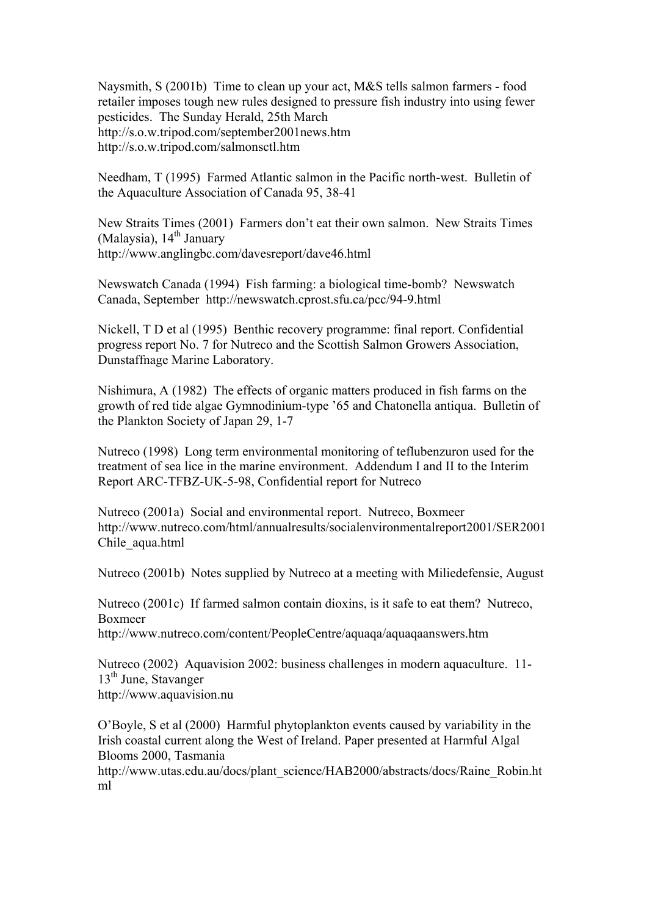Naysmith, S (2001b) Time to clean up your act, M&S tells salmon farmers - food retailer imposes tough new rules designed to pressure fish industry into using fewer pesticides. The Sunday Herald, 25th March http://s.o.w.tripod.com/september2001news.htm http://s.o.w.tripod.com/salmonsctl.htm

Needham, T (1995) Farmed Atlantic salmon in the Pacific north-west. Bulletin of the Aquaculture Association of Canada 95, 38-41

New Straits Times (2001) Farmers don't eat their own salmon. New Straits Times (Malaysia),  $14<sup>th</sup>$  January http://www.anglingbc.com/davesreport/dave46.html

Newswatch Canada (1994) Fish farming: a biological time-bomb? Newswatch Canada, September http://newswatch.cprost.sfu.ca/pcc/94-9.html

Nickell, T D et al (1995) Benthic recovery programme: final report. Confidential progress report No. 7 for Nutreco and the Scottish Salmon Growers Association, Dunstaffnage Marine Laboratory.

Nishimura, A (1982) The effects of organic matters produced in fish farms on the growth of red tide algae Gymnodinium-type '65 and Chatonella antiqua. Bulletin of the Plankton Society of Japan 29, 1-7

Nutreco (1998) Long term environmental monitoring of teflubenzuron used for the treatment of sea lice in the marine environment. Addendum I and II to the Interim Report ARC-TFBZ-UK-5-98, Confidential report for Nutreco

Nutreco (2001a) Social and environmental report. Nutreco, Boxmeer http://www.nutreco.com/html/annualresults/socialenvironmentalreport2001/SER2001 Chile\_aqua.html

Nutreco (2001b) Notes supplied by Nutreco at a meeting with Miliedefensie, August

Nutreco (2001c) If farmed salmon contain dioxins, is it safe to eat them? Nutreco, Boxmeer http://www.nutreco.com/content/PeopleCentre/aquaqa/aquaqaanswers.htm

Nutreco (2002) Aquavision 2002: business challenges in modern aquaculture. 11-  $13<sup>th</sup>$  June, Stavanger http://www.aquavision.nu

O'Boyle, S et al (2000) Harmful phytoplankton events caused by variability in the Irish coastal current along the West of Ireland. Paper presented at Harmful Algal Blooms 2000, Tasmania

http://www.utas.edu.au/docs/plant\_science/HAB2000/abstracts/docs/Raine\_Robin.ht ml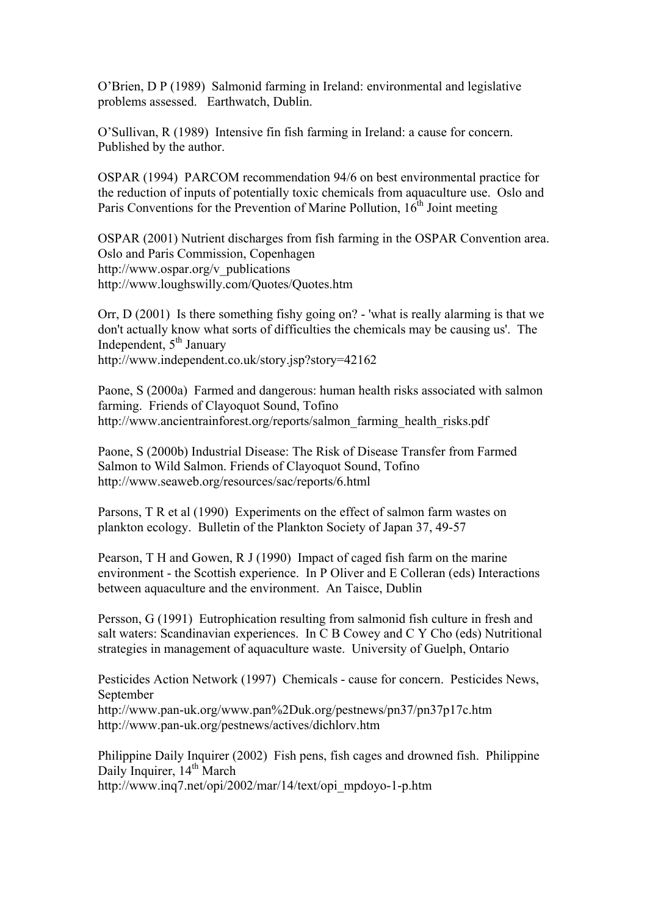O'Brien, D P (1989) Salmonid farming in Ireland: environmental and legislative problems assessed. Earthwatch, Dublin.

O'Sullivan, R (1989) Intensive fin fish farming in Ireland: a cause for concern. Published by the author.

OSPAR (1994) PARCOM recommendation 94/6 on best environmental practice for the reduction of inputs of potentially toxic chemicals from aquaculture use. Oslo and Paris Conventions for the Prevention of Marine Pollution,  $16<sup>th</sup>$  Joint meeting

OSPAR (2001) Nutrient discharges from fish farming in the OSPAR Convention area. Oslo and Paris Commission, Copenhagen http://www.ospar.org/v\_publications http://www.loughswilly.com/Quotes/Quotes.htm

Orr, D (2001) Is there something fishy going on? - 'what is really alarming is that we don't actually know what sorts of difficulties the chemicals may be causing us'. The Independent,  $5<sup>th</sup>$  January http://www.independent.co.uk/story.jsp?story=42162

Paone, S (2000a) Farmed and dangerous: human health risks associated with salmon farming. Friends of Clayoquot Sound, Tofino http://www.ancientrainforest.org/reports/salmon\_farming\_health\_risks.pdf

Paone, S (2000b) Industrial Disease: The Risk of Disease Transfer from Farmed Salmon to Wild Salmon. Friends of Clayoquot Sound, Tofino http://www.seaweb.org/resources/sac/reports/6.html

Parsons, T R et al (1990) Experiments on the effect of salmon farm wastes on plankton ecology. Bulletin of the Plankton Society of Japan 37, 49-57

Pearson, T H and Gowen, R J (1990) Impact of caged fish farm on the marine environment - the Scottish experience. In P Oliver and E Colleran (eds) Interactions between aquaculture and the environment. An Taisce, Dublin

Persson, G (1991) Eutrophication resulting from salmonid fish culture in fresh and salt waters: Scandinavian experiences. In C B Cowey and C Y Cho (eds) Nutritional strategies in management of aquaculture waste. University of Guelph, Ontario

Pesticides Action Network (1997) Chemicals - cause for concern. Pesticides News, September

http://www.pan-uk.org/www.pan%2Duk.org/pestnews/pn37/pn37p17c.htm http://www.pan-uk.org/pestnews/actives/dichlorv.htm

Philippine Daily Inquirer (2002) Fish pens, fish cages and drowned fish. Philippine Daily Inquirer, 14<sup>th</sup> March http://www.inq7.net/opi/2002/mar/14/text/opi\_mpdoyo-1-p.htm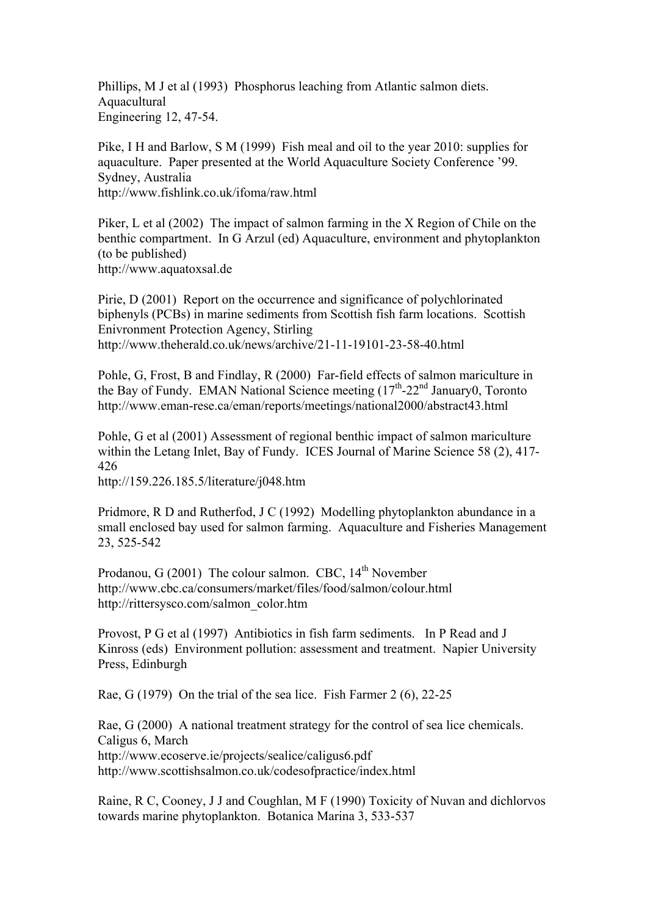Phillips, M J et al (1993) Phosphorus leaching from Atlantic salmon diets. Aquacultural Engineering 12, 47-54.

Pike, I H and Barlow, S M (1999) Fish meal and oil to the year 2010: supplies for aquaculture. Paper presented at the World Aquaculture Society Conference '99. Sydney, Australia http://www.fishlink.co.uk/ifoma/raw.html

Piker, L et al (2002) The impact of salmon farming in the X Region of Chile on the benthic compartment. In G Arzul (ed) Aquaculture, environment and phytoplankton (to be published) http://www.aquatoxsal.de

Pirie, D (2001) Report on the occurrence and significance of polychlorinated biphenyls (PCBs) in marine sediments from Scottish fish farm locations. Scottish Enivronment Protection Agency, Stirling http://www.theherald.co.uk/news/archive/21-11-19101-23-58-40.html

Pohle, G, Frost, B and Findlay, R (2000) Far-field effects of salmon mariculture in the Bay of Fundy. EMAN National Science meeting  $(17<sup>th</sup>-22<sup>nd</sup> January0$ , Toronto http://www.eman-rese.ca/eman/reports/meetings/national2000/abstract43.html

Pohle, G et al (2001) Assessment of regional benthic impact of salmon mariculture within the Letang Inlet, Bay of Fundy. ICES Journal of Marine Science 58 (2), 417- 426

http://159.226.185.5/literature/j048.htm

Pridmore, R D and Rutherfod, J C (1992) Modelling phytoplankton abundance in a small enclosed bay used for salmon farming. Aquaculture and Fisheries Management 23, 525-542

Prodanou,  $G(2001)$  The colour salmon. CBC,  $14<sup>th</sup>$  November http://www.cbc.ca/consumers/market/files/food/salmon/colour.html http://rittersysco.com/salmon\_color.htm

Provost, P G et al (1997) Antibiotics in fish farm sediments. In P Read and J Kinross (eds) Environment pollution: assessment and treatment. Napier University Press, Edinburgh

Rae, G (1979) On the trial of the sea lice. Fish Farmer 2 (6), 22-25

Rae, G (2000) A national treatment strategy for the control of sea lice chemicals. Caligus 6, March http://www.ecoserve.ie/projects/sealice/caligus6.pdf http://www.scottishsalmon.co.uk/codesofpractice/index.html

Raine, R C, Cooney, J J and Coughlan, M F (1990) Toxicity of Nuvan and dichlorvos towards marine phytoplankton. Botanica Marina 3, 533-537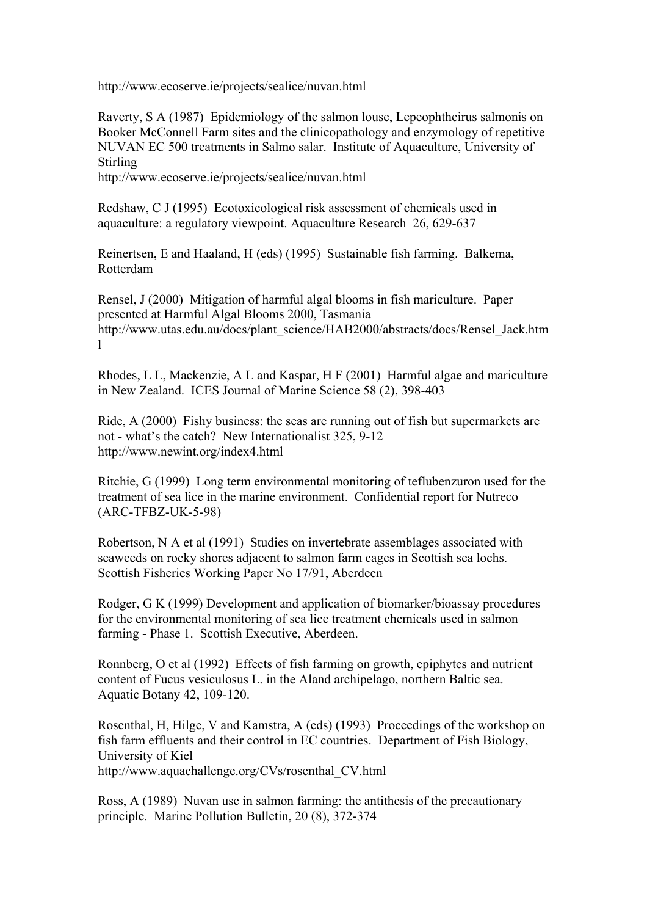http://www.ecoserve.ie/projects/sealice/nuvan.html

Raverty, S A (1987) Epidemiology of the salmon louse, Lepeophtheirus salmonis on Booker McConnell Farm sites and the clinicopathology and enzymology of repetitive NUVAN EC 500 treatments in Salmo salar. Institute of Aquaculture, University of **Stirling** 

http://www.ecoserve.ie/projects/sealice/nuvan.html

Redshaw, C J (1995) Ecotoxicological risk assessment of chemicals used in aquaculture: a regulatory viewpoint. Aquaculture Research 26, 629-637

Reinertsen, E and Haaland, H (eds) (1995) Sustainable fish farming. Balkema, Rotterdam

Rensel, J (2000) Mitigation of harmful algal blooms in fish mariculture. Paper presented at Harmful Algal Blooms 2000, Tasmania http://www.utas.edu.au/docs/plant\_science/HAB2000/abstracts/docs/Rensel\_Jack.htm l

Rhodes, L L, Mackenzie, A L and Kaspar, H F (2001) Harmful algae and mariculture in New Zealand. ICES Journal of Marine Science 58 (2), 398-403

Ride, A (2000) Fishy business: the seas are running out of fish but supermarkets are not - what's the catch? New Internationalist 325, 9-12 http://www.newint.org/index4.html

Ritchie, G (1999) Long term environmental monitoring of teflubenzuron used for the treatment of sea lice in the marine environment. Confidential report for Nutreco (ARC-TFBZ-UK-5-98)

Robertson, N A et al (1991) Studies on invertebrate assemblages associated with seaweeds on rocky shores adjacent to salmon farm cages in Scottish sea lochs. Scottish Fisheries Working Paper No 17/91, Aberdeen

Rodger, G K (1999) Development and application of biomarker/bioassay procedures for the environmental monitoring of sea lice treatment chemicals used in salmon farming - Phase 1. Scottish Executive, Aberdeen.

Ronnberg, O et al (1992) Effects of fish farming on growth, epiphytes and nutrient content of Fucus vesiculosus L. in the Aland archipelago, northern Baltic sea. Aquatic Botany 42, 109-120.

Rosenthal, H, Hilge, V and Kamstra, A (eds) (1993) Proceedings of the workshop on fish farm effluents and their control in EC countries. Department of Fish Biology, University of Kiel http://www.aquachallenge.org/CVs/rosenthal\_CV.html

Ross, A (1989) Nuvan use in salmon farming: the antithesis of the precautionary principle. Marine Pollution Bulletin, 20 (8), 372-374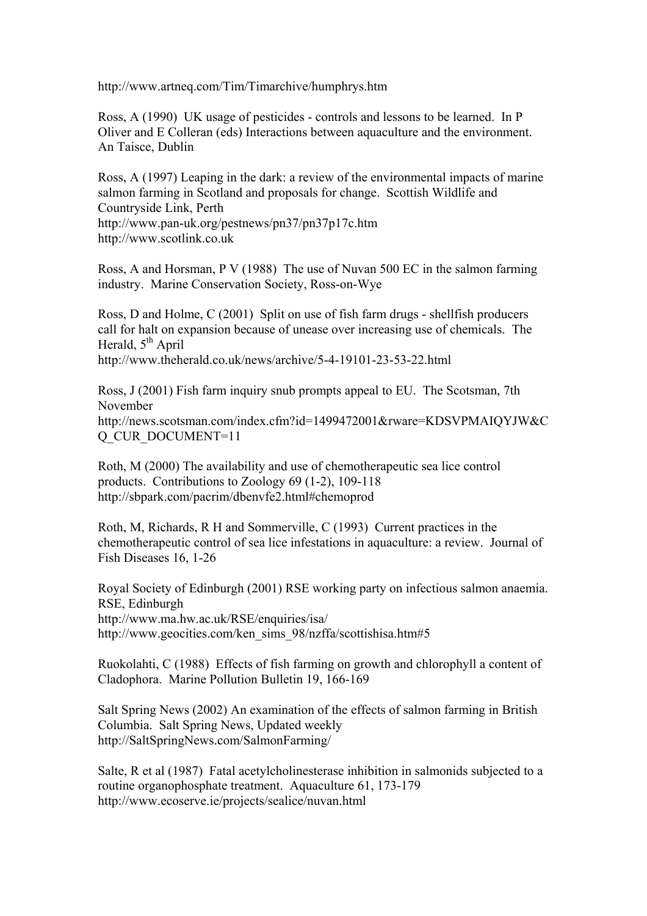http://www.artneq.com/Tim/Timarchive/humphrys.htm

Ross, A (1990) UK usage of pesticides - controls and lessons to be learned. In P Oliver and E Colleran (eds) Interactions between aquaculture and the environment. An Taisce, Dublin

Ross, A (1997) Leaping in the dark: a review of the environmental impacts of marine salmon farming in Scotland and proposals for change. Scottish Wildlife and Countryside Link, Perth http://www.pan-uk.org/pestnews/pn37/pn37p17c.htm http://www.scotlink.co.uk

Ross, A and Horsman, P V (1988) The use of Nuvan 500 EC in the salmon farming industry. Marine Conservation Society, Ross-on-Wye

Ross, D and Holme, C (2001) Split on use of fish farm drugs - shellfish producers call for halt on expansion because of unease over increasing use of chemicals. The Herald,  $5^{th}$  April http://www.theherald.co.uk/news/archive/5-4-19101-23-53-22.html

Ross, J (2001) Fish farm inquiry snub prompts appeal to EU. The Scotsman, 7th November http://news.scotsman.com/index.cfm?id=1499472001&rware=KDSVPMAIQYJW&C Q\_CUR\_DOCUMENT=11

Roth, M (2000) The availability and use of chemotherapeutic sea lice control products. Contributions to Zoology 69 (1-2), 109-118 http://sbpark.com/pacrim/dbenvfe2.html#chemoprod

Roth, M, Richards, R H and Sommerville, C (1993) Current practices in the chemotherapeutic control of sea lice infestations in aquaculture: a review. Journal of Fish Diseases 16, 1-26

Royal Society of Edinburgh (2001) RSE working party on infectious salmon anaemia. RSE, Edinburgh http://www.ma.hw.ac.uk/RSE/enquiries/isa/ http://www.geocities.com/ken\_sims\_98/nzffa/scottishisa.htm#5

Ruokolahti, C (1988) Effects of fish farming on growth and chlorophyll a content of Cladophora. Marine Pollution Bulletin 19, 166-169

Salt Spring News (2002) An examination of the effects of salmon farming in British Columbia. Salt Spring News, Updated weekly http://SaltSpringNews.com/SalmonFarming/

Salte, R et al (1987) Fatal acetylcholinesterase inhibition in salmonids subjected to a routine organophosphate treatment. Aquaculture 61, 173-179 http://www.ecoserve.ie/projects/sealice/nuvan.html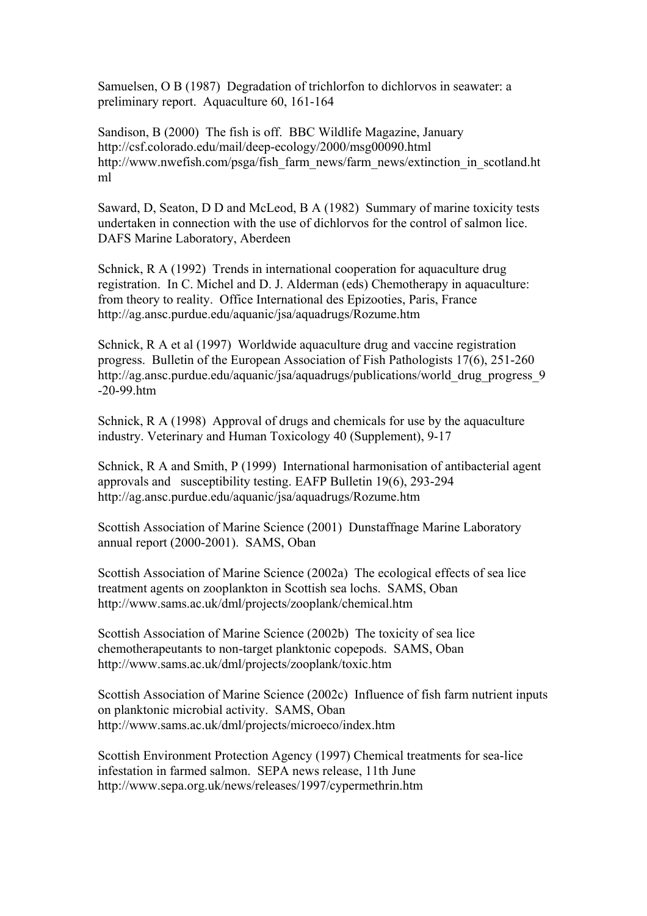Samuelsen, O B (1987) Degradation of trichlorfon to dichlorvos in seawater: a preliminary report. Aquaculture 60, 161-164

Sandison, B (2000) The fish is off. BBC Wildlife Magazine, January http://csf.colorado.edu/mail/deep-ecology/2000/msg00090.html http://www.nwefish.com/psga/fish\_farm\_news/farm\_news/extinction\_in\_scotland.ht ml

Saward, D, Seaton, D D and McLeod, B A (1982) Summary of marine toxicity tests undertaken in connection with the use of dichlorvos for the control of salmon lice. DAFS Marine Laboratory, Aberdeen

Schnick, R A (1992) Trends in international cooperation for aquaculture drug registration. In C. Michel and D. J. Alderman (eds) Chemotherapy in aquaculture: from theory to reality. Office International des Epizooties, Paris, France http://ag.ansc.purdue.edu/aquanic/jsa/aquadrugs/Rozume.htm

Schnick, R A et al (1997) Worldwide aquaculture drug and vaccine registration progress. Bulletin of the European Association of Fish Pathologists 17(6), 251-260 http://ag.ansc.purdue.edu/aquanic/jsa/aquadrugs/publications/world\_drug\_progress\_9 -20-99.htm

Schnick, R A (1998) Approval of drugs and chemicals for use by the aquaculture industry. Veterinary and Human Toxicology 40 (Supplement), 9-17

Schnick, R A and Smith, P (1999) International harmonisation of antibacterial agent approvals and susceptibility testing. EAFP Bulletin 19(6), 293-294 http://ag.ansc.purdue.edu/aquanic/jsa/aquadrugs/Rozume.htm

Scottish Association of Marine Science (2001) Dunstaffnage Marine Laboratory annual report (2000-2001). SAMS, Oban

Scottish Association of Marine Science (2002a) The ecological effects of sea lice treatment agents on zooplankton in Scottish sea lochs. SAMS, Oban http://www.sams.ac.uk/dml/projects/zooplank/chemical.htm

Scottish Association of Marine Science (2002b) The toxicity of sea lice chemotherapeutants to non-target planktonic copepods. SAMS, Oban http://www.sams.ac.uk/dml/projects/zooplank/toxic.htm

Scottish Association of Marine Science (2002c) Influence of fish farm nutrient inputs on planktonic microbial activity. SAMS, Oban http://www.sams.ac.uk/dml/projects/microeco/index.htm

Scottish Environment Protection Agency (1997) Chemical treatments for sea-lice infestation in farmed salmon. SEPA news release, 11th June http://www.sepa.org.uk/news/releases/1997/cypermethrin.htm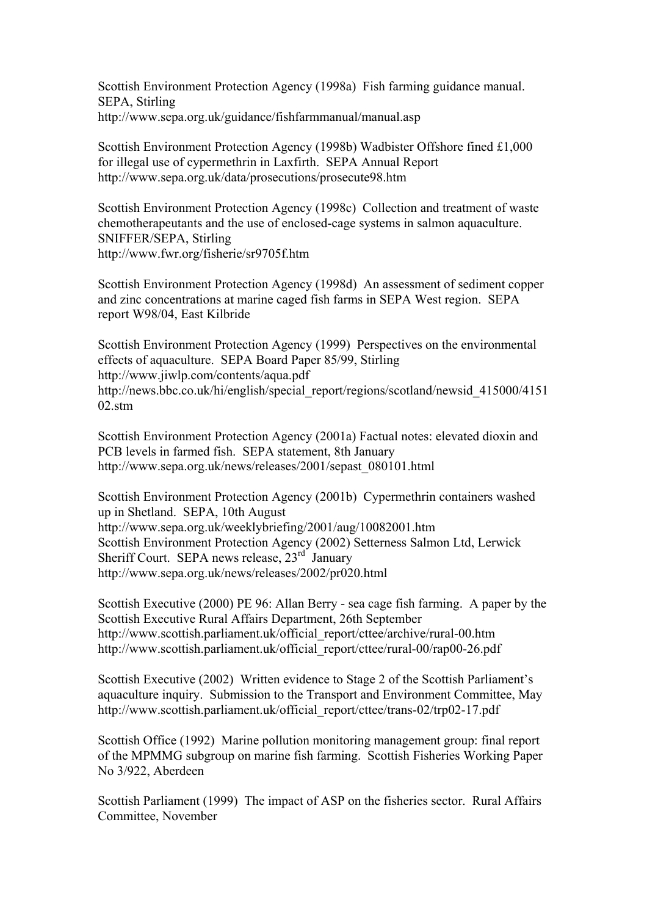Scottish Environment Protection Agency (1998a) Fish farming guidance manual. SEPA, Stirling http://www.sepa.org.uk/guidance/fishfarmmanual/manual.asp

Scottish Environment Protection Agency (1998b) Wadbister Offshore fined £1,000 for illegal use of cypermethrin in Laxfirth. SEPA Annual Report http://www.sepa.org.uk/data/prosecutions/prosecute98.htm

Scottish Environment Protection Agency (1998c) Collection and treatment of waste chemotherapeutants and the use of enclosed-cage systems in salmon aquaculture. SNIFFER/SEPA, Stirling http://www.fwr.org/fisherie/sr9705f.htm

Scottish Environment Protection Agency (1998d) An assessment of sediment copper and zinc concentrations at marine caged fish farms in SEPA West region. SEPA report W98/04, East Kilbride

Scottish Environment Protection Agency (1999) Perspectives on the environmental effects of aquaculture. SEPA Board Paper 85/99, Stirling http://www.jiwlp.com/contents/aqua.pdf http://news.bbc.co.uk/hi/english/special\_report/regions/scotland/newsid\_415000/4151  $02 \text{ atm}$ 

Scottish Environment Protection Agency (2001a) Factual notes: elevated dioxin and PCB levels in farmed fish. SEPA statement, 8th January http://www.sepa.org.uk/news/releases/2001/sepast\_080101.html

Scottish Environment Protection Agency (2001b) Cypermethrin containers washed up in Shetland. SEPA, 10th August http://www.sepa.org.uk/weeklybriefing/2001/aug/10082001.htm Scottish Environment Protection Agency (2002) Setterness Salmon Ltd, Lerwick Sheriff Court. SEPA news release, 23<sup>rd</sup> January http://www.sepa.org.uk/news/releases/2002/pr020.html

Scottish Executive (2000) PE 96: Allan Berry - sea cage fish farming. A paper by the Scottish Executive Rural Affairs Department, 26th September http://www.scottish.parliament.uk/official\_report/cttee/archive/rural-00.htm http://www.scottish.parliament.uk/official\_report/cttee/rural-00/rap00-26.pdf

Scottish Executive (2002) Written evidence to Stage 2 of the Scottish Parliament's aquaculture inquiry. Submission to the Transport and Environment Committee, May http://www.scottish.parliament.uk/official\_report/cttee/trans-02/trp02-17.pdf

Scottish Office (1992) Marine pollution monitoring management group: final report of the MPMMG subgroup on marine fish farming. Scottish Fisheries Working Paper No 3/922, Aberdeen

Scottish Parliament (1999) The impact of ASP on the fisheries sector. Rural Affairs Committee, November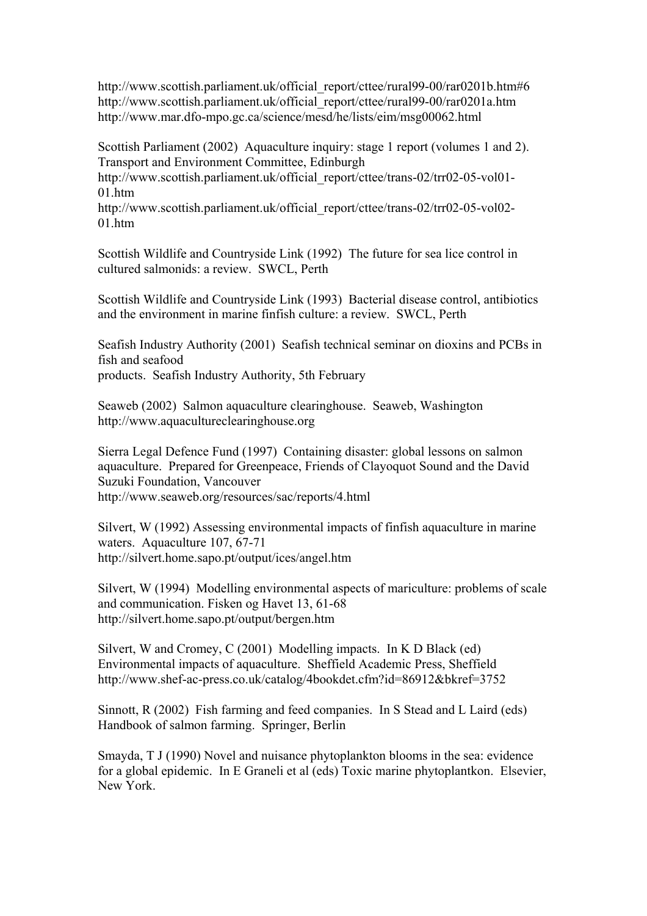http://www.scottish.parliament.uk/official\_report/cttee/rural99-00/rar0201b.htm#6 http://www.scottish.parliament.uk/official\_report/cttee/rural99-00/rar0201a.htm http://www.mar.dfo-mpo.gc.ca/science/mesd/he/lists/eim/msg00062.html

Scottish Parliament (2002) Aquaculture inquiry: stage 1 report (volumes 1 and 2). Transport and Environment Committee, Edinburgh

http://www.scottish.parliament.uk/official\_report/cttee/trans-02/trr02-05-vol01-01.htm

http://www.scottish.parliament.uk/official\_report/cttee/trans-02/trr02-05-vol02-  $01$  htm

Scottish Wildlife and Countryside Link (1992) The future for sea lice control in cultured salmonids: a review. SWCL, Perth

Scottish Wildlife and Countryside Link (1993) Bacterial disease control, antibiotics and the environment in marine finfish culture: a review. SWCL, Perth

Seafish Industry Authority (2001) Seafish technical seminar on dioxins and PCBs in fish and seafood

products. Seafish Industry Authority, 5th February

Seaweb (2002) Salmon aquaculture clearinghouse. Seaweb, Washington http://www.aquacultureclearinghouse.org

Sierra Legal Defence Fund (1997) Containing disaster: global lessons on salmon aquaculture. Prepared for Greenpeace, Friends of Clayoquot Sound and the David Suzuki Foundation, Vancouver http://www.seaweb.org/resources/sac/reports/4.html

Silvert, W (1992) Assessing environmental impacts of finfish aquaculture in marine waters. Aquaculture 107, 67-71 http://silvert.home.sapo.pt/output/ices/angel.htm

Silvert, W (1994) Modelling environmental aspects of mariculture: problems of scale and communication. Fisken og Havet 13, 61-68 http://silvert.home.sapo.pt/output/bergen.htm

Silvert, W and Cromey, C (2001) Modelling impacts. In K D Black (ed) Environmental impacts of aquaculture. Sheffield Academic Press, Sheffield http://www.shef-ac-press.co.uk/catalog/4bookdet.cfm?id=86912&bkref=3752

Sinnott, R (2002) Fish farming and feed companies. In S Stead and L Laird (eds) Handbook of salmon farming. Springer, Berlin

Smayda, T J (1990) Novel and nuisance phytoplankton blooms in the sea: evidence for a global epidemic. In E Graneli et al (eds) Toxic marine phytoplantkon. Elsevier, New York.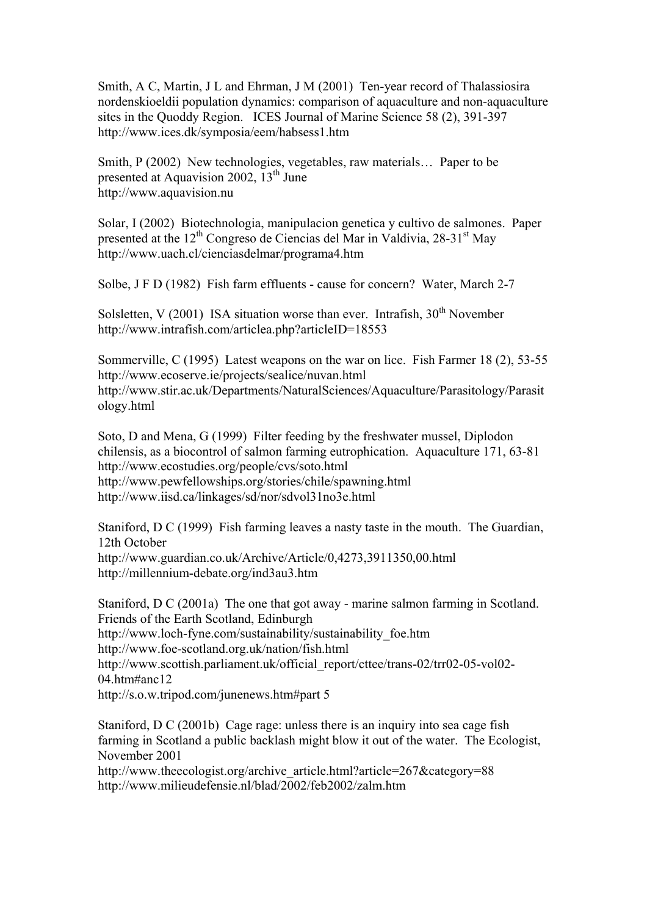Smith, A C, Martin, J L and Ehrman, J M (2001) Ten-year record of Thalassiosira nordenskioeldii population dynamics: comparison of aquaculture and non-aquaculture sites in the Quoddy Region. ICES Journal of Marine Science 58 (2), 391-397 http://www.ices.dk/symposia/eem/habsess1.htm

Smith, P (2002) New technologies, vegetables, raw materials… Paper to be presented at Aquavision 2002,  $13^{th}$  June http://www.aquavision.nu

Solar, I (2002) Biotechnologia, manipulacion genetica y cultivo de salmones. Paper presented at the  $12<sup>th</sup>$  Congreso de Ciencias del Mar in Valdivia, 28-31<sup>st</sup> May http://www.uach.cl/cienciasdelmar/programa4.htm

Solbe, J F D (1982) Fish farm effluents - cause for concern? Water, March 2-7

Solsletten, V (2001) ISA situation worse than ever. Intrafish,  $30<sup>th</sup>$  November http://www.intrafish.com/articlea.php?articleID=18553

Sommerville, C (1995) Latest weapons on the war on lice. Fish Farmer 18 (2), 53-55 http://www.ecoserve.ie/projects/sealice/nuvan.html http://www.stir.ac.uk/Departments/NaturalSciences/Aquaculture/Parasitology/Parasit ology.html

Soto, D and Mena, G (1999) Filter feeding by the freshwater mussel, Diplodon chilensis, as a biocontrol of salmon farming eutrophication. Aquaculture 171, 63-81 http://www.ecostudies.org/people/cvs/soto.html http://www.pewfellowships.org/stories/chile/spawning.html http://www.iisd.ca/linkages/sd/nor/sdvol31no3e.html

Staniford, D C (1999) Fish farming leaves a nasty taste in the mouth. The Guardian, 12th October http://www.guardian.co.uk/Archive/Article/0,4273,3911350,00.html http://millennium-debate.org/ind3au3.htm

Staniford, D C (2001a) The one that got away - marine salmon farming in Scotland. Friends of the Earth Scotland, Edinburgh http://www.loch-fyne.com/sustainability/sustainability\_foe.htm http://www.foe-scotland.org.uk/nation/fish.html http://www.scottish.parliament.uk/official\_report/cttee/trans-02/trr02-05-vol02-04.htm#anc12 http://s.o.w.tripod.com/junenews.htm#part 5

Staniford, D C (2001b) Cage rage: unless there is an inquiry into sea cage fish farming in Scotland a public backlash might blow it out of the water. The Ecologist, November 2001

http://www.theecologist.org/archive\_article.html?article=267&category=88 http://www.milieudefensie.nl/blad/2002/feb2002/zalm.htm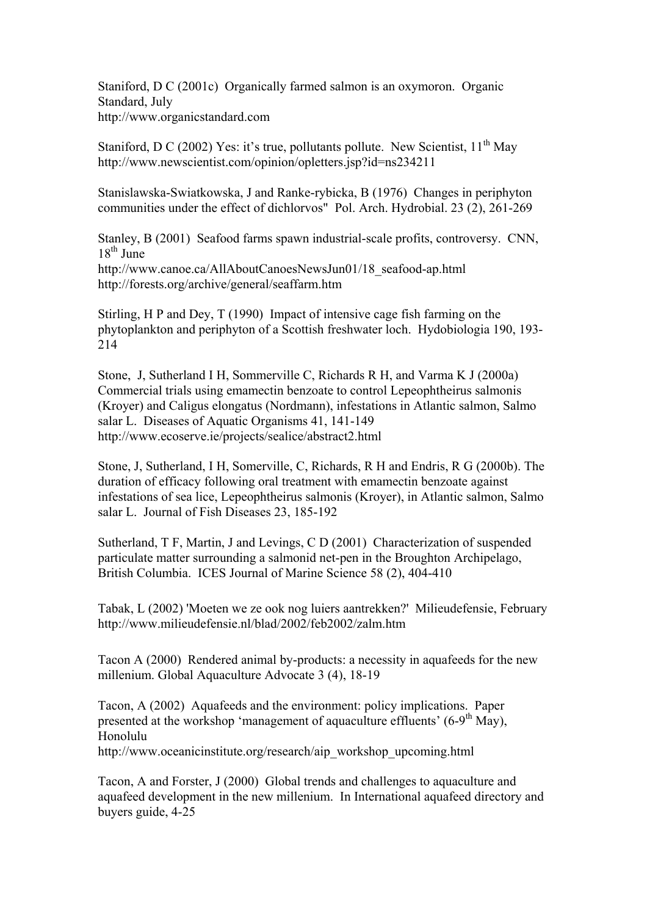Staniford, D C (2001c) Organically farmed salmon is an oxymoron. Organic Standard, July http://www.organicstandard.com

Staniford, D C (2002) Yes: it's true, pollutants pollute. New Scientist,  $11<sup>th</sup>$  Mav http://www.newscientist.com/opinion/opletters.jsp?id=ns234211

Stanislawska-Swiatkowska, J and Ranke-rybicka, B (1976) Changes in periphyton communities under the effect of dichlorvos" Pol. Arch. Hydrobial. 23 (2), 261-269

Stanley, B (2001) Seafood farms spawn industrial-scale profits, controversy. CNN,  $18<sup>th</sup>$  June http://www.canoe.ca/AllAboutCanoesNewsJun01/18\_seafood-ap.html

http://forests.org/archive/general/seaffarm.htm

Stirling, H P and Dey, T (1990) Impact of intensive cage fish farming on the phytoplankton and periphyton of a Scottish freshwater loch. Hydobiologia 190, 193- 214

Stone, J, Sutherland I H, Sommerville C, Richards R H, and Varma K J (2000a) Commercial trials using emamectin benzoate to control Lepeophtheirus salmonis (Kroyer) and Caligus elongatus (Nordmann), infestations in Atlantic salmon, Salmo salar L. Diseases of Aquatic Organisms 41, 141-149 http://www.ecoserve.ie/projects/sealice/abstract2.html

Stone, J, Sutherland, I H, Somerville, C, Richards, R H and Endris, R G (2000b). The duration of efficacy following oral treatment with emamectin benzoate against infestations of sea lice, Lepeophtheirus salmonis (Kroyer), in Atlantic salmon, Salmo salar L. Journal of Fish Diseases 23, 185-192

Sutherland, T F, Martin, J and Levings, C D (2001) Characterization of suspended particulate matter surrounding a salmonid net-pen in the Broughton Archipelago, British Columbia. ICES Journal of Marine Science 58 (2), 404-410

Tabak, L (2002) 'Moeten we ze ook nog luiers aantrekken?' Milieudefensie, February http://www.milieudefensie.nl/blad/2002/feb2002/zalm.htm

Tacon A (2000) Rendered animal by-products: a necessity in aquafeeds for the new millenium. Global Aquaculture Advocate 3 (4), 18-19

Tacon, A (2002) Aquafeeds and the environment: policy implications. Paper presented at the workshop 'management of aquaculture effluents'  $(6-9<sup>th</sup>$  May). Honolulu

http://www.oceanicinstitute.org/research/aip\_workshop\_upcoming.html

Tacon, A and Forster, J (2000) Global trends and challenges to aquaculture and aquafeed development in the new millenium. In International aquafeed directory and buyers guide, 4-25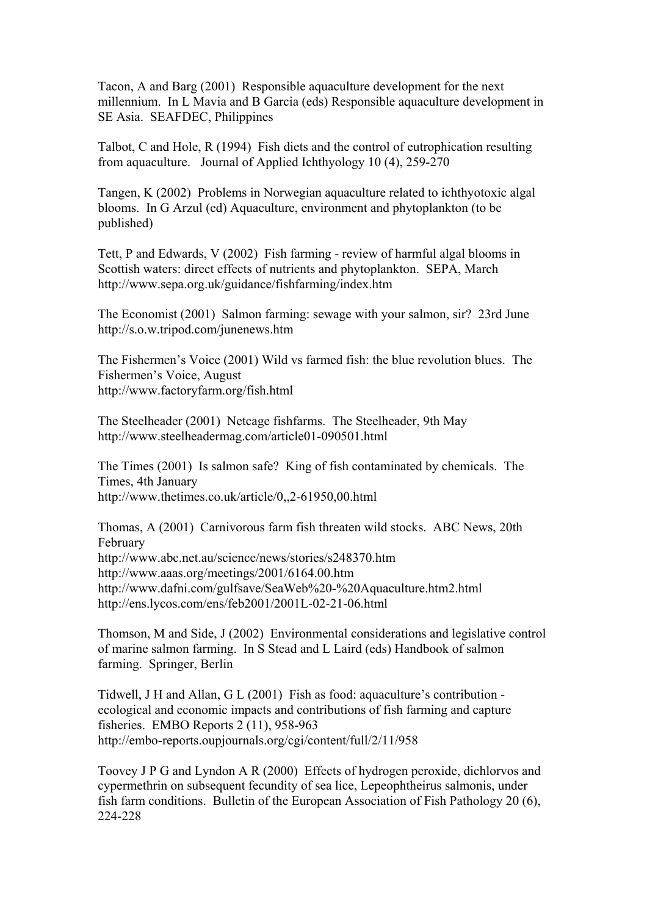Tacon, A and Barg (2001) Responsible aquaculture development for the next millennium. In L Mavia and B Garcia (eds) Responsible aquaculture development in SE Asia. SEAFDEC, Philippines

Talbot, C and Hole, R (1994) Fish diets and the control of eutrophication resulting from aquaculture. Journal of Applied Ichthyology 10 (4), 259-270

Tangen, K (2002) Problems in Norwegian aquaculture related to ichthyotoxic algal blooms. In G Arzul (ed) Aquaculture, environment and phytoplankton (to be published)

Tett, P and Edwards, V (2002) Fish farming - review of harmful algal blooms in Scottish waters: direct effects of nutrients and phytoplankton. SEPA, March http://www.sepa.org.uk/guidance/fishfarming/index.htm

The Economist (2001) Salmon farming: sewage with your salmon, sir? 23rd June http://s.o.w.tripod.com/junenews.htm

The Fishermen's Voice (2001) Wild vs farmed fish: the blue revolution blues. The Fishermen's Voice, August http://www.factoryfarm.org/fish.html

The Steelheader (2001) Netcage fishfarms. The Steelheader, 9th May http://www.steelheadermag.com/article01-090501.html

The Times (2001) Is salmon safe? King of fish contaminated by chemicals. The Times, 4th January http://www.thetimes.co.uk/article/0,,2-61950,00.html

Thomas, A (2001) Carnivorous farm fish threaten wild stocks. ABC News, 20th February http://www.abc.net.au/science/news/stories/s248370.htm http://www.aaas.org/meetings/2001/6164.00.htm http://www.dafni.com/gulfsave/SeaWeb%20-%20Aquaculture.htm2.html http://ens.lycos.com/ens/feb2001/2001L-02-21-06.html

Thomson, M and Side, J (2002) Environmental considerations and legislative control of marine salmon farming. In S Stead and L Laird (eds) Handbook of salmon farming. Springer, Berlin

Tidwell, J H and Allan, G L (2001) Fish as food: aquaculture's contribution ecological and economic impacts and contributions of fish farming and capture fisheries. EMBO Reports 2 (11), 958-963 http://embo-reports.oupjournals.org/cgi/content/full/2/11/958

Toovey J P G and Lyndon A R (2000) Effects of hydrogen peroxide, dichlorvos and cypermethrin on subsequent fecundity of sea lice, Lepeophtheirus salmonis, under fish farm conditions. Bulletin of the European Association of Fish Pathology 20 (6), 224-228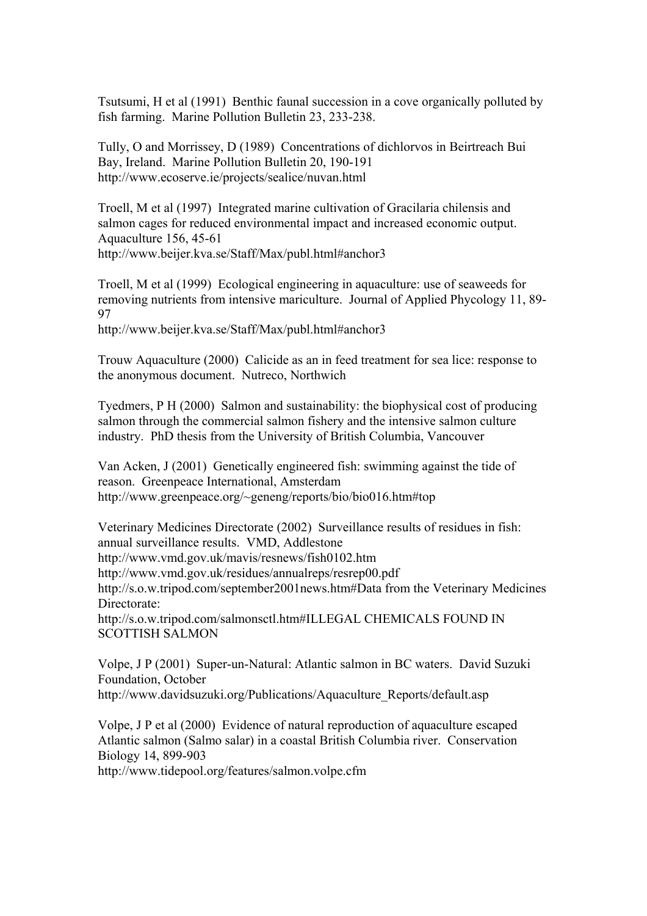Tsutsumi, H et al (1991) Benthic faunal succession in a cove organically polluted by fish farming. Marine Pollution Bulletin 23, 233-238.

Tully, O and Morrissey, D (1989) Concentrations of dichlorvos in Beirtreach Bui Bay, Ireland. Marine Pollution Bulletin 20, 190-191 http://www.ecoserve.ie/projects/sealice/nuvan.html

Troell, M et al (1997) Integrated marine cultivation of Gracilaria chilensis and salmon cages for reduced environmental impact and increased economic output. Aquaculture 156, 45-61 http://www.beijer.kva.se/Staff/Max/publ.html#anchor3

Troell, M et al (1999) Ecological engineering in aquaculture: use of seaweeds for removing nutrients from intensive mariculture. Journal of Applied Phycology 11, 89- 97

http://www.beijer.kva.se/Staff/Max/publ.html#anchor3

Trouw Aquaculture (2000) Calicide as an in feed treatment for sea lice: response to the anonymous document. Nutreco, Northwich

Tyedmers, P H (2000) Salmon and sustainability: the biophysical cost of producing salmon through the commercial salmon fishery and the intensive salmon culture industry. PhD thesis from the University of British Columbia, Vancouver

Van Acken, J (2001) Genetically engineered fish: swimming against the tide of reason. Greenpeace International, Amsterdam http://www.greenpeace.org/~geneng/reports/bio/bio016.htm#top

Veterinary Medicines Directorate (2002) Surveillance results of residues in fish: annual surveillance results. VMD, Addlestone http://www.vmd.gov.uk/mavis/resnews/fish0102.htm

http://www.vmd.gov.uk/residues/annualreps/resrep00.pdf

http://s.o.w.tripod.com/september2001news.htm#Data from the Veterinary Medicines Directorate:

http://s.o.w.tripod.com/salmonsctl.htm#ILLEGAL CHEMICALS FOUND IN SCOTTISH SALMON

Volpe, J P (2001) Super-un-Natural: Atlantic salmon in BC waters. David Suzuki Foundation, October http://www.davidsuzuki.org/Publications/Aquaculture\_Reports/default.asp

Volpe, J P et al (2000) Evidence of natural reproduction of aquaculture escaped Atlantic salmon (Salmo salar) in a coastal British Columbia river. Conservation Biology 14, 899-903

http://www.tidepool.org/features/salmon.volpe.cfm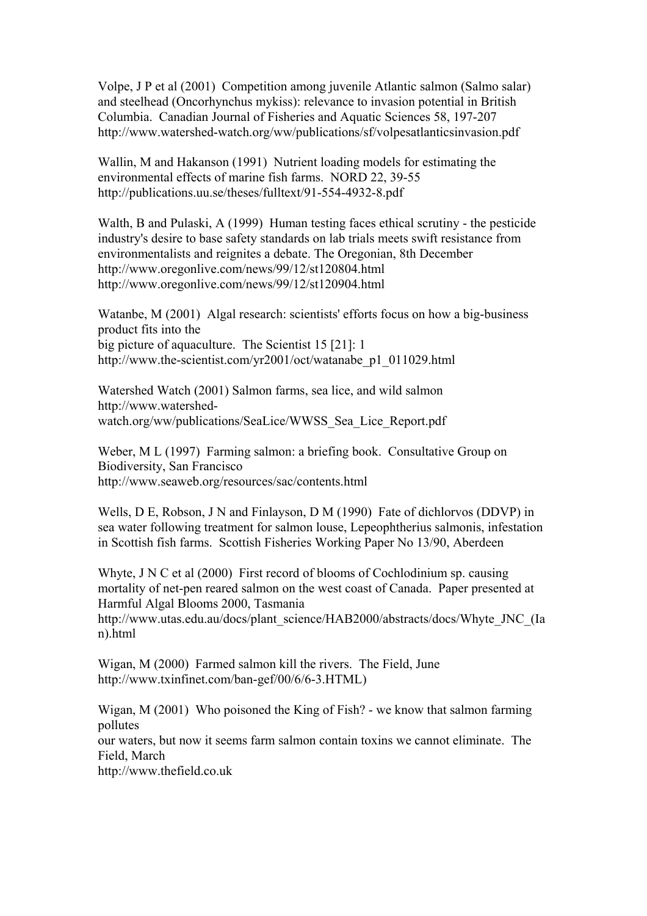Volpe, J P et al (2001) Competition among juvenile Atlantic salmon (Salmo salar) and steelhead (Oncorhynchus mykiss): relevance to invasion potential in British Columbia. Canadian Journal of Fisheries and Aquatic Sciences 58, 197-207 http://www.watershed-watch.org/ww/publications/sf/volpesatlanticsinvasion.pdf

Wallin, M and Hakanson (1991) Nutrient loading models for estimating the environmental effects of marine fish farms. NORD 22, 39-55 http://publications.uu.se/theses/fulltext/91-554-4932-8.pdf

Walth, B and Pulaski, A (1999) Human testing faces ethical scrutiny - the pesticide industry's desire to base safety standards on lab trials meets swift resistance from environmentalists and reignites a debate. The Oregonian, 8th December http://www.oregonlive.com/news/99/12/st120804.html http://www.oregonlive.com/news/99/12/st120904.html

Watanbe, M (2001) Algal research: scientists' efforts focus on how a big-business product fits into the big picture of aquaculture. The Scientist 15 [21]: 1 http://www.the-scientist.com/yr2001/oct/watanabe\_p1\_011029.html

Watershed Watch (2001) Salmon farms, sea lice, and wild salmon http://www.watershedwatch.org/ww/publications/SeaLice/WWSS\_Sea\_Lice\_Report.pdf

Weber, M L (1997) Farming salmon: a briefing book. Consultative Group on Biodiversity, San Francisco http://www.seaweb.org/resources/sac/contents.html

Wells, D E, Robson, J N and Finlayson, D M (1990) Fate of dichlorvos (DDVP) in sea water following treatment for salmon louse, Lepeophtherius salmonis, infestation in Scottish fish farms. Scottish Fisheries Working Paper No 13/90, Aberdeen

Whyte, J N C et al (2000) First record of blooms of Cochlodinium sp. causing mortality of net-pen reared salmon on the west coast of Canada. Paper presented at Harmful Algal Blooms 2000, Tasmania

http://www.utas.edu.au/docs/plant\_science/HAB2000/abstracts/docs/Whyte\_JNC\_(Ia n).html

Wigan, M (2000) Farmed salmon kill the rivers. The Field, June http://www.txinfinet.com/ban-gef/00/6/6-3.HTML)

Wigan, M (2001) Who poisoned the King of Fish? - we know that salmon farming pollutes our waters, but now it seems farm salmon contain toxins we cannot eliminate. The Field, March http://www.thefield.co.uk